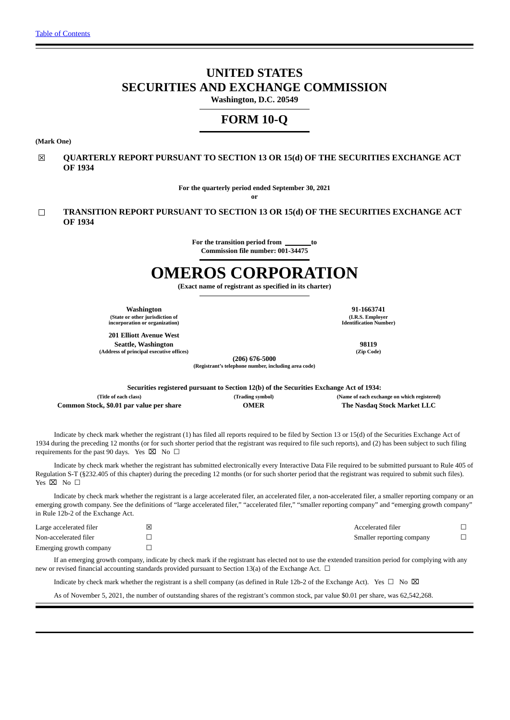## **UNITED STATES SECURITIES AND EXCHANGE COMMISSION**

**Washington, D.C. 20549**

## **FORM 10-Q**

**(Mark One)**

☒ **QUARTERLY REPORT PURSUANT TO SECTION 13 OR 15(d) OF THE SECURITIES EXCHANGE ACT OF 1934**

**For the quarterly period ended September 30, 2021**

**or**

☐ **TRANSITION REPORT PURSUANT TO SECTION 13 OR 15(d) OF THE SECURITIES EXCHANGE ACT OF 1934**

> **For the transition period from \_\_\_\_\_\_\_ to Commission file number: 001-34475**

## **OMEROS CORPORATION**

**(Exact name of registrant as specified in its charter)**

**(State or other jurisdiction of incorporation or organization)**

**201 Elliott Avenue West Seattle, Washington 98119 (Address of principal executive offices) (Zip Code)**

**Washington 91-1663741 (I.R.S. Employer Identification Number)**

**(206) 676-5000 (Registrant's telephone number, including area code)**

|                                          | Securities registered pursuant to Section 12(b) of the Securities Exchange Act of 1934: |                                             |
|------------------------------------------|-----------------------------------------------------------------------------------------|---------------------------------------------|
| (Title of each class)                    | (Trading symbol)                                                                        | (Name of each exchange on which registered) |
| Common Stock, \$0.01 par value per share | <b>OMER</b>                                                                             | The Nasdag Stock Market LLC                 |

Indicate by check mark whether the registrant (1) has filed all reports required to be filed by Section 13 or 15(d) of the Securities Exchange Act of 1934 during the preceding 12 months (or for such shorter period that the registrant was required to file such reports), and (2) has been subject to such filing requirements for the past 90 days. Yes  $\boxtimes$  No  $\Box$ 

Indicate by check mark whether the registrant has submitted electronically every Interactive Data File required to be submitted pursuant to Rule 405 of Regulation S-T (§232.405 of this chapter) during the preceding 12 months (or for such shorter period that the registrant was required to submit such files). Yes ⊠ No □

Indicate by check mark whether the registrant is a large accelerated filer, an accelerated filer, a non-accelerated filer, a smaller reporting company or an emerging growth company. See the definitions of "large accelerated filer," "accelerated filer," "smaller reporting company" and "emerging growth company" in Rule 12b-2 of the Exchange Act.

| Large accelerated filer | Accelerated filer         |  |
|-------------------------|---------------------------|--|
| Non-accelerated filer   | Smaller reporting company |  |
| Emerging growth company |                           |  |

If an emerging growth company, indicate by check mark if the registrant has elected not to use the extended transition period for complying with any new or revised financial accounting standards provided pursuant to Section 13(a) of the Exchange Act.  $\Box$ 

Indicate by check mark whether the registrant is a shell company (as defined in Rule 12b-2 of the Exchange Act). Yes  $\Box$  No  $\boxtimes$ 

As of November 5, 2021, the number of outstanding shares of the registrant's common stock, par value \$0.01 per share, was 62,542,268.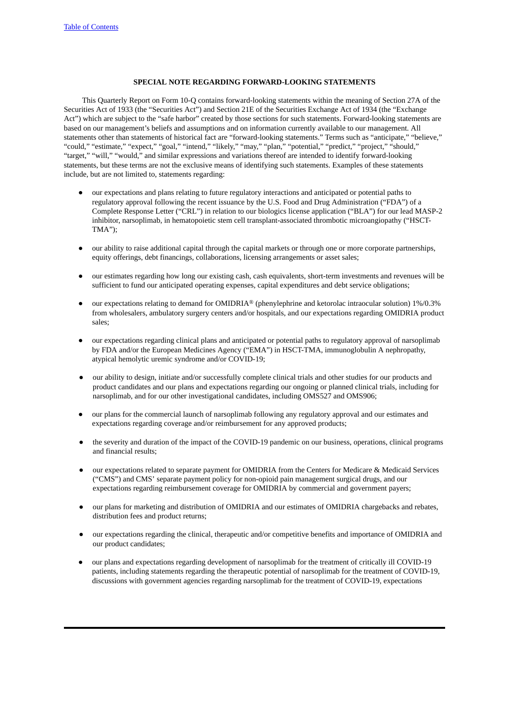### **SPECIAL NOTE REGARDING FORWARD-LOOKING STATEMENTS**

This Quarterly Report on Form 10-Q contains forward-looking statements within the meaning of Section 27A of the Securities Act of 1933 (the "Securities Act") and Section 21E of the Securities Exchange Act of 1934 (the "Exchange Act") which are subject to the "safe harbor" created by those sections for such statements. Forward-looking statements are based on our management's beliefs and assumptions and on information currently available to our management. All statements other than statements of historical fact are "forward-looking statements." Terms such as "anticipate," "believe," "could," "estimate," "expect," "goal," "intend," "likely," "may," "plan," "potential," "predict," "project," "should," "target," "will," "would," and similar expressions and variations thereof are intended to identify forward-looking statements, but these terms are not the exclusive means of identifying such statements. Examples of these statements include, but are not limited to, statements regarding:

- our expectations and plans relating to future regulatory interactions and anticipated or potential paths to regulatory approval following the recent issuance by the U.S. Food and Drug Administration ("FDA") of a Complete Response Letter ("CRL") in relation to our biologics license application ("BLA") for our lead MASP-2 inhibitor, narsoplimab, in hematopoietic stem cell transplant-associated thrombotic microangiopathy ("HSCT-TMA");
- our ability to raise additional capital through the capital markets or through one or more corporate partnerships, equity offerings, debt financings, collaborations, licensing arrangements or asset sales;
- our estimates regarding how long our existing cash, cash equivalents, short-term investments and revenues will be sufficient to fund our anticipated operating expenses, capital expenditures and debt service obligations;
- our expectations relating to demand for OMIDRIA® (phenylephrine and ketorolac intraocular solution) 1%/0.3% from wholesalers, ambulatory surgery centers and/or hospitals, and our expectations regarding OMIDRIA product sales;
- our expectations regarding clinical plans and anticipated or potential paths to regulatory approval of narsoplimab by FDA and/or the European Medicines Agency ("EMA") in HSCT-TMA, immunoglobulin A nephropathy, atypical hemolytic uremic syndrome and/or COVID-19;
- our ability to design, initiate and/or successfully complete clinical trials and other studies for our products and product candidates and our plans and expectations regarding our ongoing or planned clinical trials, including for narsoplimab, and for our other investigational candidates, including OMS527 and OMS906;
- our plans for the commercial launch of narsoplimab following any regulatory approval and our estimates and expectations regarding coverage and/or reimbursement for any approved products;
- the severity and duration of the impact of the COVID-19 pandemic on our business, operations, clinical programs and financial results;
- our expectations related to separate payment for OMIDRIA from the Centers for Medicare & Medicaid Services ("CMS") and CMS' separate payment policy for non-opioid pain management surgical drugs, and our expectations regarding reimbursement coverage for OMIDRIA by commercial and government payers;
- our plans for marketing and distribution of OMIDRIA and our estimates of OMIDRIA chargebacks and rebates, distribution fees and product returns;
- our expectations regarding the clinical, therapeutic and/or competitive benefits and importance of OMIDRIA and our product candidates;
- our plans and expectations regarding development of narsoplimab for the treatment of critically ill COVID-19 patients, including statements regarding the therapeutic potential of narsoplimab for the treatment of COVID-19, discussions with government agencies regarding narsoplimab for the treatment of COVID-19, expectations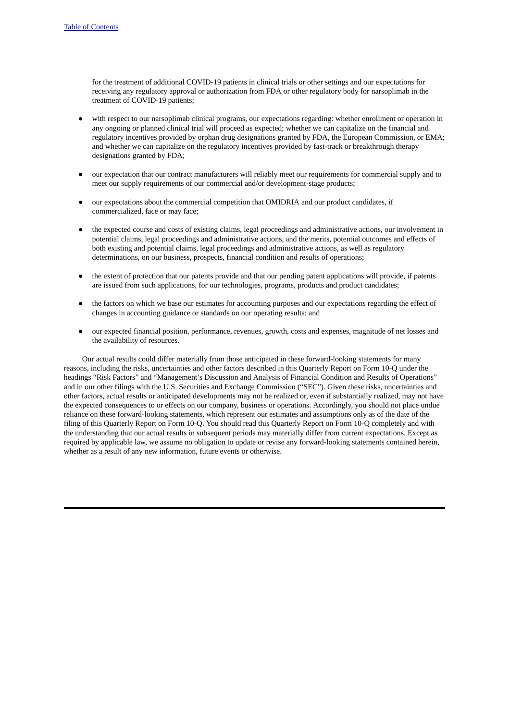for the treatment of additional COVID-19 patients in clinical trials or other settings and our expectations for receiving any regulatory approval or authorization from FDA or other regulatory body for narsoplimab in the treatment of COVID-19 patients;

- with respect to our narsoplimab clinical programs, our expectations regarding: whether enrollment or operation in any ongoing or planned clinical trial will proceed as expected; whether we can capitalize on the financial and regulatory incentives provided by orphan drug designations granted by FDA, the European Commission, or EMA; and whether we can capitalize on the regulatory incentives provided by fast-track or breakthrough therapy designations granted by FDA;
- our expectation that our contract manufacturers will reliably meet our requirements for commercial supply and to meet our supply requirements of our commercial and/or development-stage products;
- our expectations about the commercial competition that OMIDRIA and our product candidates, if commercialized, face or may face;
- the expected course and costs of existing claims, legal proceedings and administrative actions, our involvement in potential claims, legal proceedings and administrative actions, and the merits, potential outcomes and effects of both existing and potential claims, legal proceedings and administrative actions, as well as regulatory determinations, on our business, prospects, financial condition and results of operations;
- the extent of protection that our patents provide and that our pending patent applications will provide, if patents are issued from such applications, for our technologies, programs, products and product candidates;
- the factors on which we base our estimates for accounting purposes and our expectations regarding the effect of changes in accounting guidance or standards on our operating results; and
- our expected financial position, performance, revenues, growth, costs and expenses, magnitude of net losses and the availability of resources.

Our actual results could differ materially from those anticipated in these forward-looking statements for many reasons, including the risks, uncertainties and other factors described in this Quarterly Report on Form 10-Q under the headings "Risk Factors" and "Management's Discussion and Analysis of Financial Condition and Results of Operations" and in our other filings with the U.S. Securities and Exchange Commission ("SEC"). Given these risks, uncertainties and other factors, actual results or anticipated developments may not be realized or, even if substantially realized, may not have the expected consequences to or effects on our company, business or operations. Accordingly, you should not place undue reliance on these forward-looking statements, which represent our estimates and assumptions only as of the date of the filing of this Quarterly Report on Form 10-Q. You should read this Quarterly Report on Form 10-Q completely and with the understanding that our actual results in subsequent periods may materially differ from current expectations. Except as required by applicable law, we assume no obligation to update or revise any forward-looking statements contained herein, whether as a result of any new information, future events or otherwise.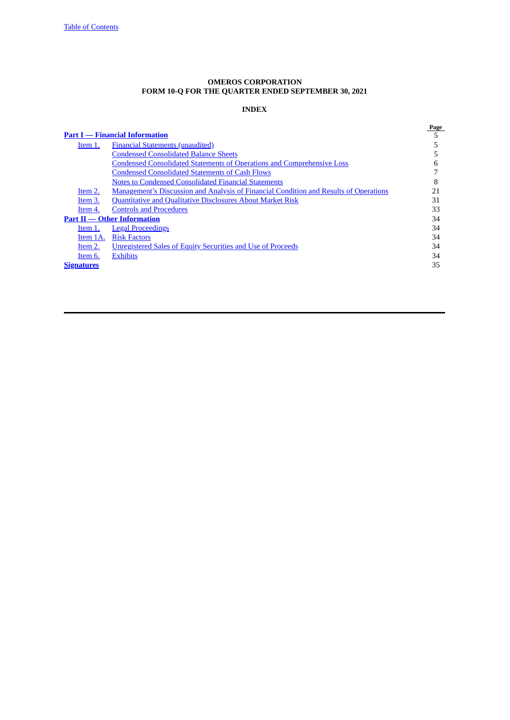## **OMEROS CORPORATION FORM 10-Q FOR THE QUARTER ENDED SEPTEMBER 30, 2021**

## **INDEX**

<span id="page-3-0"></span>

|                   |                                                                                       | Page |
|-------------------|---------------------------------------------------------------------------------------|------|
|                   | <b>Part I</b> — Financial Information                                                 | 5    |
| Item 1.           | <b>Financial Statements (unaudited)</b>                                               | 5    |
|                   | <b>Condensed Consolidated Balance Sheets</b>                                          | 5    |
|                   | <b>Condensed Consolidated Statements of Operations and Comprehensive Loss</b>         | 6    |
|                   | <b>Condensed Consolidated Statements of Cash Flows</b>                                | ⇁    |
|                   | <b>Notes to Condensed Consolidated Financial Statements</b>                           | 8    |
| Item 2.           | Management's Discussion and Analysis of Financial Condition and Results of Operations | 21   |
| Item 3.           | <b>Quantitative and Qualitative Disclosures About Market Risk</b>                     | 31   |
| Item 4.           | <b>Controls and Procedures</b>                                                        | 33   |
|                   | <b>Part II — Other Information</b>                                                    | 34   |
| Item 1.           | <b>Legal Proceedings</b>                                                              | 34   |
| Item 1A.          | <b>Risk Factors</b>                                                                   | 34   |
| Item 2.           | <b>Unregistered Sales of Equity Securities and Use of Proceeds</b>                    | 34   |
| Item 6.           | <b>Exhibits</b>                                                                       | 34   |
| <b>Signatures</b> |                                                                                       | 35   |
|                   |                                                                                       |      |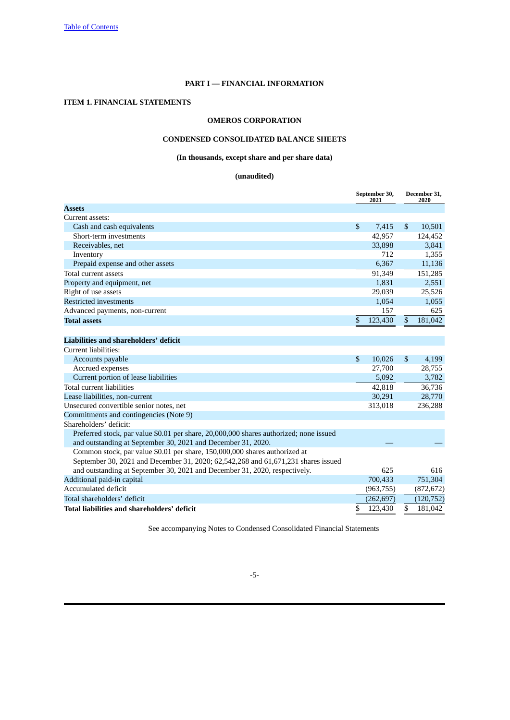## **PART I — FINANCIAL INFORMATION**

## <span id="page-4-2"></span><span id="page-4-1"></span><span id="page-4-0"></span>**ITEM 1. FINANCIAL STATEMENTS**

## **OMEROS CORPORATION**

## **CONDENSED CONSOLIDATED BALANCE SHEETS**

## **(In thousands, except share and per share data)**

## **(unaudited)**

|                                                                                        |              | September 30,<br>2021 |              | December 31.<br>2020 |
|----------------------------------------------------------------------------------------|--------------|-----------------------|--------------|----------------------|
| <b>Assets</b>                                                                          |              |                       |              |                      |
| Current assets:                                                                        |              |                       |              |                      |
| Cash and cash equivalents                                                              | $\mathbb{S}$ | 7,415                 | $\mathbb{S}$ | 10,501               |
| Short-term investments                                                                 |              | 42,957                |              | 124,452              |
| Receivables, net                                                                       |              | 33,898                |              | 3,841                |
| Inventory                                                                              |              | 712                   |              | 1,355                |
| Prepaid expense and other assets                                                       |              | 6,367                 |              | 11,136               |
| Total current assets                                                                   |              | 91,349                |              | 151,285              |
| Property and equipment, net                                                            |              | 1,831                 |              | 2,551                |
| Right of use assets                                                                    |              | 29,039                |              | 25,526               |
| <b>Restricted investments</b>                                                          |              | 1,054                 |              | 1,055                |
| Advanced payments, non-current                                                         |              | 157                   |              | 625                  |
| <b>Total assets</b>                                                                    | \$           | 123,430               | \$           | 181,042              |
|                                                                                        |              |                       |              |                      |
| Liabilities and shareholders' deficit                                                  |              |                       |              |                      |
| Current liabilities:                                                                   |              |                       |              |                      |
| Accounts payable                                                                       | $\mathbb{S}$ | 10,026                | \$           | 4,199                |
| Accrued expenses                                                                       |              | 27,700                |              | 28,755               |
| Current portion of lease liabilities                                                   |              | 5,092                 |              | 3,782                |
| <b>Total current liabilities</b>                                                       |              | 42,818                |              | 36,736               |
| Lease liabilities, non-current                                                         |              | 30,291                |              | 28,770               |
| Unsecured convertible senior notes, net                                                |              | 313,018               |              | 236,288              |
| Commitments and contingencies (Note 9)                                                 |              |                       |              |                      |
| Shareholders' deficit:                                                                 |              |                       |              |                      |
| Preferred stock, par value \$0.01 per share, 20,000,000 shares authorized; none issued |              |                       |              |                      |
| and outstanding at September 30, 2021 and December 31, 2020.                           |              |                       |              |                      |
| Common stock, par value \$0.01 per share, 150,000,000 shares authorized at             |              |                       |              |                      |
| September 30, 2021 and December 31, 2020; 62,542,268 and 61,671,231 shares issued      |              |                       |              |                      |
| and outstanding at September 30, 2021 and December 31, 2020, respectively.             |              | 625                   |              | 616                  |
| Additional paid-in capital                                                             |              | 700,433               |              | 751,304              |
| Accumulated deficit                                                                    |              | (963, 755)            |              | (872, 672)           |
| Total shareholders' deficit                                                            |              | (262, 697)            |              | (120, 752)           |
| Total liabilities and shareholders' deficit                                            | \$           | 123,430               | \$           | 181,042              |

See accompanying Notes to Condensed Consolidated Financial Statements

-5-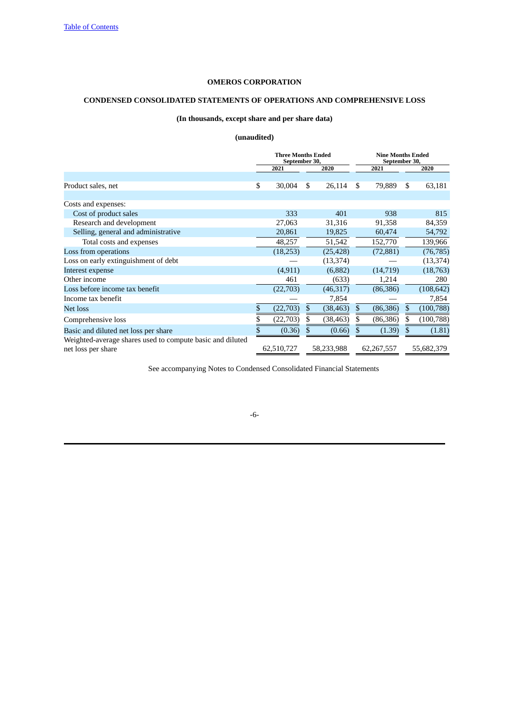## **OMEROS CORPORATION**

## <span id="page-5-0"></span>**CONDENSED CONSOLIDATED STATEMENTS OF OPERATIONS AND COMPREHENSIVE LOSS**

## **(In thousands, except share and per share data)**

## **(unaudited)**

|                                                           |                      | <b>Three Months Ended</b><br>September 30, |     |            |     |              | <b>Nine Months Ended</b><br>September 30, |            |  |
|-----------------------------------------------------------|----------------------|--------------------------------------------|-----|------------|-----|--------------|-------------------------------------------|------------|--|
|                                                           | 2020<br>2021<br>2021 |                                            |     | 2020       |     |              |                                           |            |  |
|                                                           |                      |                                            |     |            |     |              |                                           |            |  |
| Product sales, net                                        | \$                   | 30,004                                     | \$. | 26,114     | \$. | 79,889       | S                                         | 63,181     |  |
|                                                           |                      |                                            |     |            |     |              |                                           |            |  |
| Costs and expenses:                                       |                      |                                            |     |            |     |              |                                           |            |  |
| Cost of product sales                                     |                      | 333                                        |     | 401        |     | 938          |                                           | 815        |  |
| Research and development                                  |                      | 27,063                                     |     | 31,316     |     | 91,358       |                                           | 84,359     |  |
| Selling, general and administrative                       |                      | 20,861                                     |     | 19,825     |     | 60,474       |                                           | 54,792     |  |
| Total costs and expenses                                  |                      | 48,257                                     |     | 51,542     |     | 152,770      |                                           | 139,966    |  |
| Loss from operations                                      |                      | (18,253)                                   |     | (25, 428)  |     | (72, 881)    |                                           | (76, 785)  |  |
| Loss on early extinguishment of debt                      |                      |                                            |     | (13, 374)  |     |              |                                           | (13, 374)  |  |
| Interest expense                                          |                      | (4, 911)                                   |     | (6,882)    |     | (14,719)     |                                           | (18, 763)  |  |
| Other income                                              |                      | 461                                        |     | (633)      |     | 1,214        |                                           | 280        |  |
| Loss before income tax benefit                            |                      | (22,703)                                   |     | (46,317)   |     | (86, 386)    |                                           | (108, 642) |  |
| Income tax benefit                                        |                      |                                            |     | 7,854      |     |              |                                           | 7,854      |  |
| Net loss                                                  | \$                   | (22, 703)                                  | S   | (38, 463)  | \$  | (86, 386)    | \$                                        | (100, 788) |  |
| Comprehensive loss                                        |                      | (22, 703)                                  | \$  | (38, 463)  | S   | (86, 386)    | S                                         | (100, 788) |  |
| Basic and diluted net loss per share                      |                      | (0.36)                                     | S   | (0.66)     | S   | (1.39)       | S                                         | (1.81)     |  |
| Weighted-average shares used to compute basic and diluted |                      |                                            |     |            |     |              |                                           |            |  |
| net loss per share                                        |                      | 62,510,727                                 |     | 58,233,988 |     | 62, 267, 557 |                                           | 55,682,379 |  |

See accompanying Notes to Condensed Consolidated Financial Statements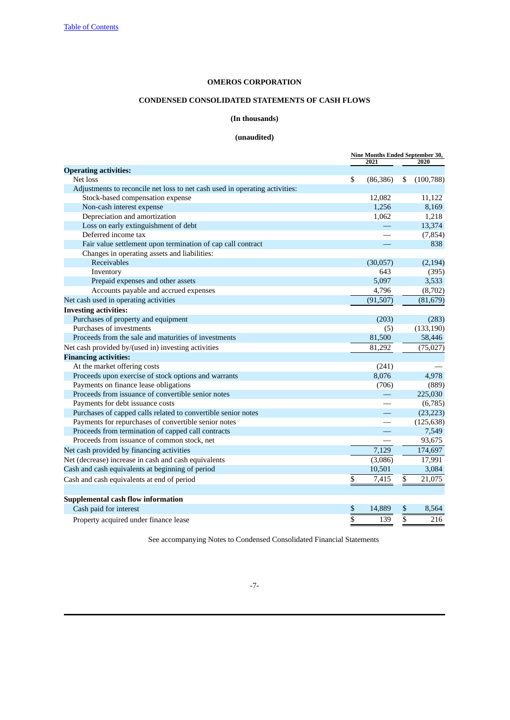## **OMEROS CORPORATION**

## **CONDENSED CONSOLIDATED STATEMENTS OF CASH FLOWS**

## **(In thousands)**

## **(unaudited)**

<span id="page-6-0"></span>

|                                                                             | Nine Months Ended September 30,<br>2021<br>2020 |                 |            |  |
|-----------------------------------------------------------------------------|-------------------------------------------------|-----------------|------------|--|
| <b>Operating activities:</b>                                                |                                                 |                 |            |  |
| Net loss                                                                    | \$<br>(86, 386)                                 | \$              | (100, 788) |  |
| Adjustments to reconcile net loss to net cash used in operating activities: |                                                 |                 |            |  |
| Stock-based compensation expense                                            | 12,082                                          |                 | 11,122     |  |
| Non-cash interest expense                                                   | 1,256                                           |                 | 8,169      |  |
| Depreciation and amortization                                               | 1,062                                           |                 | 1,218      |  |
| Loss on early extinguishment of debt                                        |                                                 |                 | 13,374     |  |
| Deferred income tax                                                         |                                                 |                 | (7, 854)   |  |
| Fair value settlement upon termination of cap call contract                 |                                                 |                 | 838        |  |
| Changes in operating assets and liabilities:                                |                                                 |                 |            |  |
| <b>Receivables</b>                                                          | (30,057)                                        |                 | (2, 194)   |  |
| Inventory                                                                   | 643                                             |                 | (395)      |  |
| Prepaid expenses and other assets                                           | 5,097                                           |                 | 3,533      |  |
| Accounts payable and accrued expenses                                       | 4,796                                           |                 | (8,702)    |  |
| Net cash used in operating activities                                       | (91, 507)                                       |                 | (81, 679)  |  |
| <b>Investing activities:</b>                                                |                                                 |                 |            |  |
| Purchases of property and equipment                                         | (203)                                           |                 | (283)      |  |
| Purchases of investments                                                    | (5)                                             |                 | (133, 190) |  |
| Proceeds from the sale and maturities of investments                        | 81,500                                          |                 | 58,446     |  |
| Net cash provided by/(used in) investing activities                         | 81,292                                          |                 | (75,027)   |  |
| <b>Financing activities:</b>                                                |                                                 |                 |            |  |
| At the market offering costs                                                | (241)                                           |                 |            |  |
| Proceeds upon exercise of stock options and warrants                        | 8,076                                           |                 | 4,978      |  |
| Payments on finance lease obligations                                       | (706)                                           |                 | (889)      |  |
| Proceeds from issuance of convertible senior notes                          |                                                 |                 | 225,030    |  |
| Payments for debt issuance costs                                            |                                                 |                 | (6,785)    |  |
| Purchases of capped calls related to convertible senior notes               |                                                 |                 | (23, 223)  |  |
| Payments for repurchases of convertible senior notes                        |                                                 |                 | (125, 638) |  |
| Proceeds from termination of capped call contracts                          |                                                 |                 | 7,549      |  |
| Proceeds from issuance of common stock, net                                 |                                                 |                 | 93,675     |  |
| Net cash provided by financing activities                                   | 7,129                                           |                 | 174,697    |  |
| Net (decrease) increase in cash and cash equivalents                        | (3,086)                                         |                 | 17,991     |  |
| Cash and cash equivalents at beginning of period                            | 10,501                                          |                 | 3,084      |  |
| Cash and cash equivalents at end of period                                  | \$<br>7,415                                     | $\overline{\$}$ | 21,075     |  |
|                                                                             |                                                 |                 |            |  |
| <b>Supplemental cash flow information</b>                                   |                                                 |                 |            |  |
| Cash paid for interest                                                      | \$<br>14,889                                    | \$              | 8,564      |  |
| Property acquired under finance lease                                       | \$<br>139                                       | $\overline{\$}$ | 216        |  |

See accompanying Notes to Condensed Consolidated Financial Statements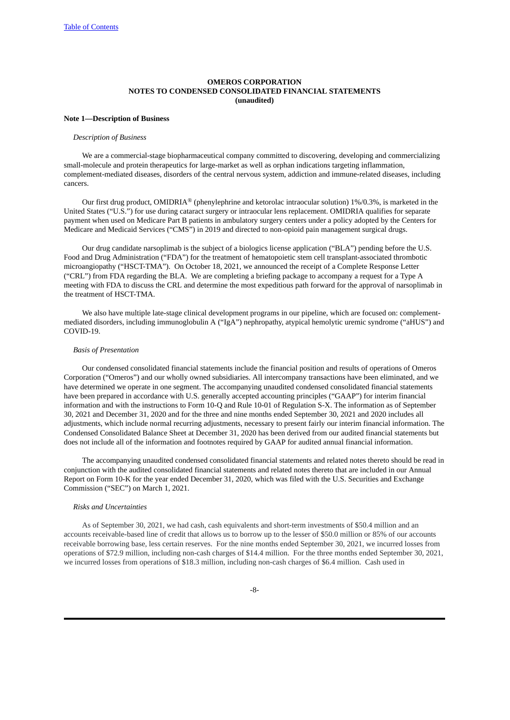#### **OMEROS CORPORATION NOTES TO CONDENSED CONSOLIDATED FINANCIAL STATEMENTS (unaudited)**

#### <span id="page-7-0"></span>**Note 1—Description of Business**

#### *Description of Business*

We are a commercial-stage biopharmaceutical company committed to discovering, developing and commercializing small-molecule and protein therapeutics for large-market as well as orphan indications targeting inflammation, complement-mediated diseases, disorders of the central nervous system, addiction and immune-related diseases, including cancers.

Our first drug product, OMIDRIA® (phenylephrine and ketorolac intraocular solution) 1%/0.3%, is marketed in the United States ("U.S.") for use during cataract surgery or intraocular lens replacement. OMIDRIA qualifies for separate payment when used on Medicare Part B patients in ambulatory surgery centers under a policy adopted by the Centers for Medicare and Medicaid Services ("CMS") in 2019 and directed to non-opioid pain management surgical drugs.

Our drug candidate narsoplimab is the subject of a biologics license application ("BLA") pending before the U.S. Food and Drug Administration ("FDA") for the treatment of hematopoietic stem cell transplant-associated thrombotic microangiopathy ("HSCT-TMA"). On October 18, 2021, we announced the receipt of a Complete Response Letter ("CRL") from FDA regarding the BLA. We are completing a briefing package to accompany a request for a Type A meeting with FDA to discuss the CRL and determine the most expeditious path forward for the approval of narsoplimab in the treatment of HSCT-TMA.

We also have multiple late-stage clinical development programs in our pipeline, which are focused on: complementmediated disorders, including immunoglobulin A ("IgA") nephropathy, atypical hemolytic uremic syndrome ("aHUS") and COVID-19.

#### *Basis of Presentation*

Our condensed consolidated financial statements include the financial position and results of operations of Omeros Corporation ("Omeros") and our wholly owned subsidiaries. All intercompany transactions have been eliminated, and we have determined we operate in one segment. The accompanying unaudited condensed consolidated financial statements have been prepared in accordance with U.S. generally accepted accounting principles ("GAAP") for interim financial information and with the instructions to Form 10-Q and Rule 10-01 of Regulation S-X. The information as of September 30, 2021 and December 31, 2020 and for the three and nine months ended September 30, 2021 and 2020 includes all adjustments, which include normal recurring adjustments, necessary to present fairly our interim financial information. The Condensed Consolidated Balance Sheet at December 31, 2020 has been derived from our audited financial statements but does not include all of the information and footnotes required by GAAP for audited annual financial information.

The accompanying unaudited condensed consolidated financial statements and related notes thereto should be read in conjunction with the audited consolidated financial statements and related notes thereto that are included in our Annual Report on Form 10-K for the year ended December 31, 2020, which was filed with the U.S. Securities and Exchange Commission ("SEC") on March 1, 2021.

#### *Risks and Uncertainties*

As of September 30, 2021, we had cash, cash equivalents and short-term investments of \$50.4 million and an accounts receivable-based line of credit that allows us to borrow up to the lesser of \$50.0 million or 85% of our accounts receivable borrowing base, less certain reserves. For the nine months ended September 30, 2021, we incurred losses from operations of \$72.9 million, including non-cash charges of \$14.4 million. For the three months ended September 30, 2021, we incurred losses from operations of \$18.3 million, including non-cash charges of \$6.4 million. Cash used in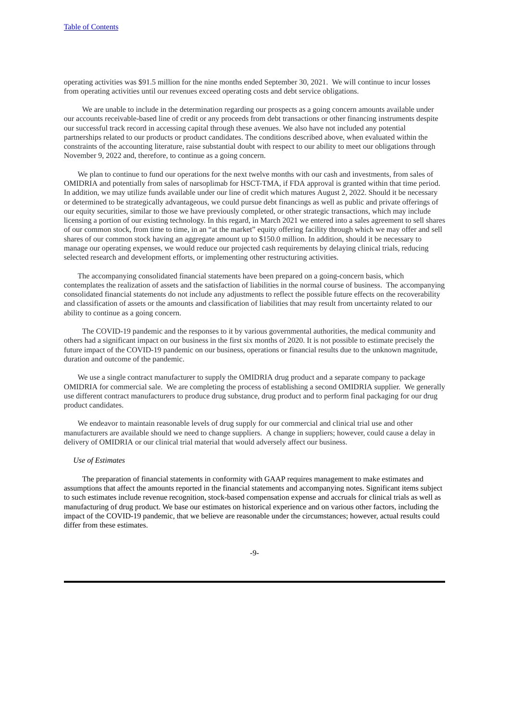operating activities was \$91.5 million for the nine months ended September 30, 2021. We will continue to incur losses from operating activities until our revenues exceed operating costs and debt service obligations.

We are unable to include in the determination regarding our prospects as a going concern amounts available under our accounts receivable-based line of credit or any proceeds from debt transactions or other financing instruments despite our successful track record in accessing capital through these avenues. We also have not included any potential partnerships related to our products or product candidates. The conditions described above, when evaluated within the constraints of the accounting literature, raise substantial doubt with respect to our ability to meet our obligations through November 9, 2022 and, therefore, to continue as a going concern.

We plan to continue to fund our operations for the next twelve months with our cash and investments, from sales of OMIDRIA and potentially from sales of narsoplimab for HSCT-TMA, if FDA approval is granted within that time period. In addition, we may utilize funds available under our line of credit which matures August 2, 2022. Should it be necessary or determined to be strategically advantageous, we could pursue debt financings as well as public and private offerings of our equity securities, similar to those we have previously completed, or other strategic transactions, which may include licensing a portion of our existing technology. In this regard, in March 2021 we entered into a sales agreement to sell shares of our common stock, from time to time, in an "at the market" equity offering facility through which we may offer and sell shares of our common stock having an aggregate amount up to \$150.0 million. In addition, should it be necessary to manage our operating expenses, we would reduce our projected cash requirements by delaying clinical trials, reducing selected research and development efforts, or implementing other restructuring activities.

The accompanying consolidated financial statements have been prepared on a going-concern basis, which contemplates the realization of assets and the satisfaction of liabilities in the normal course of business. The accompanying consolidated financial statements do not include any adjustments to reflect the possible future effects on the recoverability and classification of assets or the amounts and classification of liabilities that may result from uncertainty related to our ability to continue as a going concern.

The COVID-19 pandemic and the responses to it by various governmental authorities, the medical community and others had a significant impact on our business in the first six months of 2020. It is not possible to estimate precisely the future impact of the COVID-19 pandemic on our business, operations or financial results due to the unknown magnitude, duration and outcome of the pandemic.

We use a single contract manufacturer to supply the OMIDRIA drug product and a separate company to package OMIDRIA for commercial sale. We are completing the process of establishing a second OMIDRIA supplier. We generally use different contract manufacturers to produce drug substance, drug product and to perform final packaging for our drug product candidates.

We endeavor to maintain reasonable levels of drug supply for our commercial and clinical trial use and other manufacturers are available should we need to change suppliers. A change in suppliers; however, could cause a delay in delivery of OMIDRIA or our clinical trial material that would adversely affect our business.

#### *Use of Estimates*

The preparation of financial statements in conformity with GAAP requires management to make estimates and assumptions that affect the amounts reported in the financial statements and accompanying notes. Significant items subject to such estimates include revenue recognition, stock-based compensation expense and accruals for clinical trials as well as manufacturing of drug product. We base our estimates on historical experience and on various other factors, including the impact of the COVID-19 pandemic, that we believe are reasonable under the circumstances; however, actual results could differ from these estimates.

-9-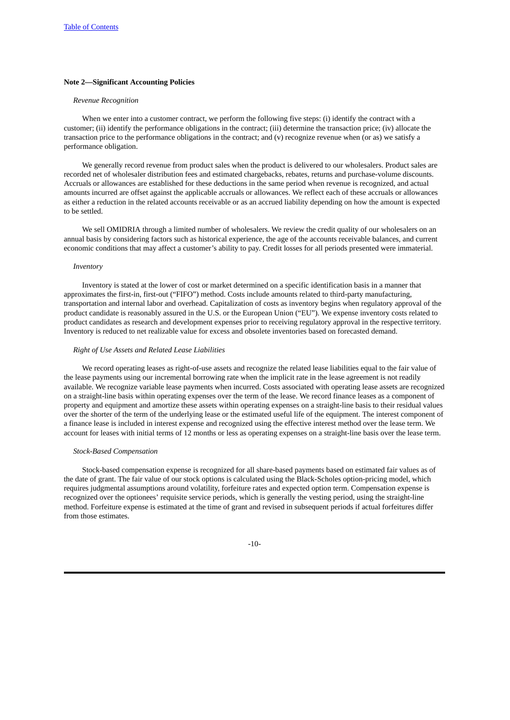#### **Note 2—Significant Accounting Policies**

#### *Revenue Recognition*

When we enter into a customer contract, we perform the following five steps: (i) identify the contract with a customer; (ii) identify the performance obligations in the contract; (iii) determine the transaction price; (iv) allocate the transaction price to the performance obligations in the contract; and (v) recognize revenue when (or as) we satisfy a performance obligation.

We generally record revenue from product sales when the product is delivered to our wholesalers. Product sales are recorded net of wholesaler distribution fees and estimated chargebacks, rebates, returns and purchase-volume discounts. Accruals or allowances are established for these deductions in the same period when revenue is recognized, and actual amounts incurred are offset against the applicable accruals or allowances. We reflect each of these accruals or allowances as either a reduction in the related accounts receivable or as an accrued liability depending on how the amount is expected to be settled.

We sell OMIDRIA through a limited number of wholesalers. We review the credit quality of our wholesalers on an annual basis by considering factors such as historical experience, the age of the accounts receivable balances, and current economic conditions that may affect a customer's ability to pay. Credit losses for all periods presented were immaterial.

#### *Inventory*

Inventory is stated at the lower of cost or market determined on a specific identification basis in a manner that approximates the first-in, first-out ("FIFO") method. Costs include amounts related to third-party manufacturing, transportation and internal labor and overhead. Capitalization of costs as inventory begins when regulatory approval of the product candidate is reasonably assured in the U.S. or the European Union ("EU"). We expense inventory costs related to product candidates as research and development expenses prior to receiving regulatory approval in the respective territory. Inventory is reduced to net realizable value for excess and obsolete inventories based on forecasted demand.

#### *Right of Use Assets and Related Lease Liabilities*

We record operating leases as right-of-use assets and recognize the related lease liabilities equal to the fair value of the lease payments using our incremental borrowing rate when the implicit rate in the lease agreement is not readily available. We recognize variable lease payments when incurred. Costs associated with operating lease assets are recognized on a straight-line basis within operating expenses over the term of the lease. We record finance leases as a component of property and equipment and amortize these assets within operating expenses on a straight-line basis to their residual values over the shorter of the term of the underlying lease or the estimated useful life of the equipment. The interest component of a finance lease is included in interest expense and recognized using the effective interest method over the lease term. We account for leases with initial terms of 12 months or less as operating expenses on a straight-line basis over the lease term.

#### *Stock-Based Compensation*

Stock-based compensation expense is recognized for all share-based payments based on estimated fair values as of the date of grant. The fair value of our stock options is calculated using the Black-Scholes option-pricing model, which requires judgmental assumptions around volatility, forfeiture rates and expected option term. Compensation expense is recognized over the optionees' requisite service periods, which is generally the vesting period, using the straight-line method. Forfeiture expense is estimated at the time of grant and revised in subsequent periods if actual forfeitures differ from those estimates.

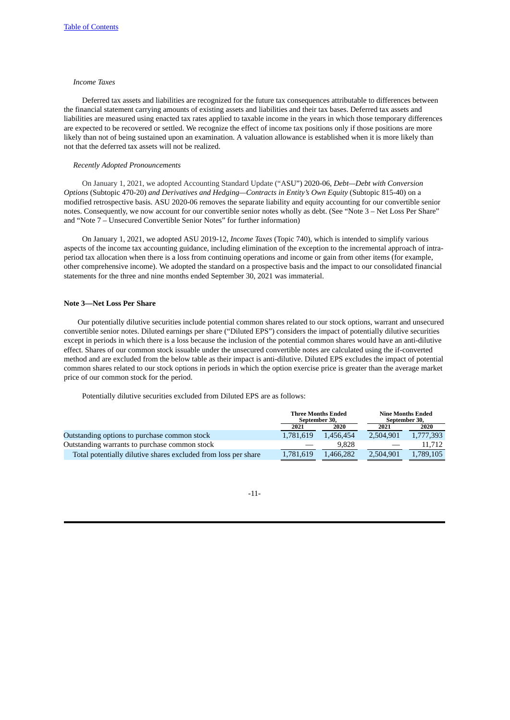#### *Income Taxes*

Deferred tax assets and liabilities are recognized for the future tax consequences attributable to differences between the financial statement carrying amounts of existing assets and liabilities and their tax bases. Deferred tax assets and liabilities are measured using enacted tax rates applied to taxable income in the years in which those temporary differences are expected to be recovered or settled. We recognize the effect of income tax positions only if those positions are more likely than not of being sustained upon an examination. A valuation allowance is established when it is more likely than not that the deferred tax assets will not be realized.

#### *Recently Adopted Pronouncements*

On January 1, 2021, we adopted Accounting Standard Update ("ASU") 2020-06, *Debt—Debt with Conversion Options* (Subtopic 470-20) *and Derivatives and Hedging—Contracts in Entity's Own Equity* (Subtopic 815-40) on a modified retrospective basis. ASU 2020-06 removes the separate liability and equity accounting for our convertible senior notes. Consequently, we now account for our convertible senior notes wholly as debt. (See "Note 3 – Net Loss Per Share" and "Note 7 – Unsecured Convertible Senior Notes" for further information)

On January 1, 2021, we adopted ASU 2019-12, *Income Taxes* (Topic 740), which is intended to simplify various aspects of the income tax accounting guidance, including elimination of the exception to the incremental approach of intraperiod tax allocation when there is a loss from continuing operations and income or gain from other items (for example, other comprehensive income). We adopted the standard on a prospective basis and the impact to our consolidated financial statements for the three and nine months ended September 30, 2021 was immaterial.

#### **Note 3—Net Loss Per Share**

Our potentially dilutive securities include potential common shares related to our stock options, warrant and unsecured convertible senior notes. Diluted earnings per share ("Diluted EPS") considers the impact of potentially dilutive securities except in periods in which there is a loss because the inclusion of the potential common shares would have an anti-dilutive effect. Shares of our common stock issuable under the unsecured convertible notes are calculated using the if-converted method and are excluded from the below table as their impact is anti-dilutive. Diluted EPS excludes the impact of potential common shares related to our stock options in periods in which the option exercise price is greater than the average market price of our common stock for the period.

Potentially dilutive securities excluded from Diluted EPS are as follows:

|                                                                | <b>Three Months Ended</b><br><b>Nine Months Ended</b><br>September 30,<br>September 30, |           |           |           |
|----------------------------------------------------------------|-----------------------------------------------------------------------------------------|-----------|-----------|-----------|
|                                                                | 2021                                                                                    | 2020      | 2021      | 2020      |
| Outstanding options to purchase common stock                   | 1.781.619                                                                               | 1.456.454 | 2.504.901 | 1,777,393 |
| Outstanding warrants to purchase common stock                  |                                                                                         | 9.828     |           | 11.712    |
| Total potentially dilutive shares excluded from loss per share | 1.781.619                                                                               | 1.466.282 | 2.504.901 | 1,789,105 |

#### -11-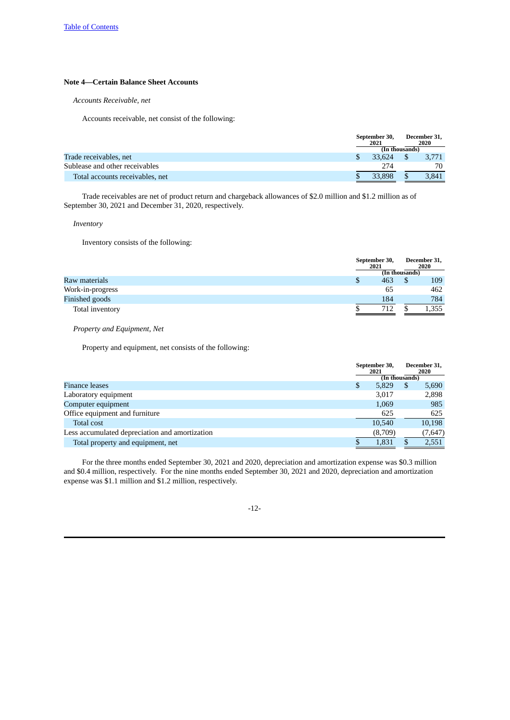## **Note 4—Certain Balance Sheet Accounts**

#### *Accounts Receivable, net*

Accounts receivable, net consist of the following:

|                                 | September 30,<br>2021 | December 31,<br>2020 |
|---------------------------------|-----------------------|----------------------|
|                                 |                       | (In thousands)       |
| Trade receivables, net          |                       | 33.624<br>3.771      |
| Sublease and other receivables  |                       | 70<br>274            |
| Total accounts receivables, net |                       | 33.898<br>3,841      |
|                                 |                       |                      |

Trade receivables are net of product return and chargeback allowances of \$2.0 million and \$1.2 million as of September 30, 2021 and December 31, 2020, respectively.

*Inventory*

Inventory consists of the following:

|                  | September 30,<br>2021 |                | December 31,<br>2020 |
|------------------|-----------------------|----------------|----------------------|
|                  |                       | (In thousands) |                      |
| Raw materials    | \$<br>463             |                | 109                  |
| Work-in-progress | 65                    |                | 462                  |
| Finished goods   | 184                   |                | 784                  |
| Total inventory  | 712                   |                | 1,355                |
|                  |                       |                |                      |

*Property and Equipment, Net*

Property and equipment, net consists of the following:

|                                                |   | September 30,<br>2021 |   | December 31,<br>2020 |
|------------------------------------------------|---|-----------------------|---|----------------------|
|                                                |   | (In thousands)        |   |                      |
| Finance leases                                 | S | 5,829                 | S | 5,690                |
| Laboratory equipment                           |   | 3.017                 |   | 2,898                |
| Computer equipment                             |   | 1,069                 |   | 985                  |
| Office equipment and furniture                 |   | 625                   |   | 625                  |
| Total cost                                     |   | 10,540                |   | 10,198               |
| Less accumulated depreciation and amortization |   | (8,709)               |   | (7,647)              |
| Total property and equipment, net              |   | 1,831                 |   | 2,551                |

For the three months ended September 30, 2021 and 2020, depreciation and amortization expense was \$0.3 million and \$0.4 million, respectively. For the nine months ended September 30, 2021 and 2020, depreciation and amortization expense was \$1.1 million and \$1.2 million, respectively.

#### -12-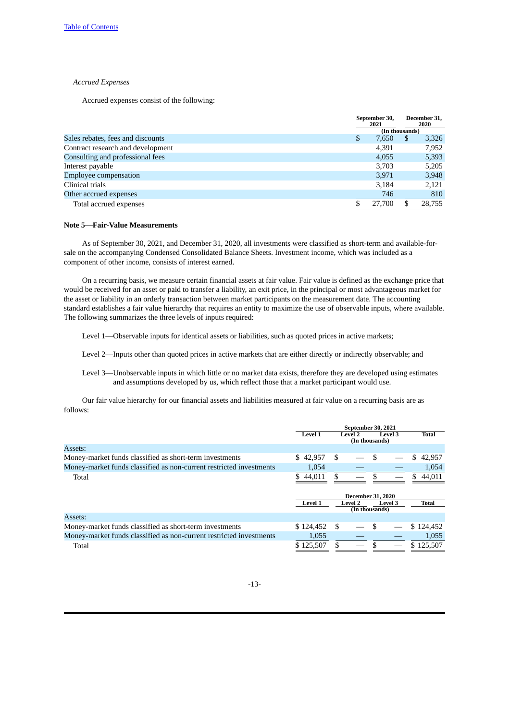#### *Accrued Expenses*

Accrued expenses consist of the following:

|                                   | September 30,<br>2021 | December 31,<br>2020 |
|-----------------------------------|-----------------------|----------------------|
|                                   | (In thousands)        |                      |
| Sales rebates, fees and discounts | \$<br>7,650           | \$<br>3,326          |
| Contract research and development | 4,391                 | 7,952                |
| Consulting and professional fees  | 4,055                 | 5,393                |
| Interest payable                  | 3,703                 | 5,205                |
| <b>Employee compensation</b>      | 3,971                 | 3,948                |
| Clinical trials                   | 3,184                 | 2,121                |
| Other accrued expenses            | 746                   | 810                  |
| Total accrued expenses            | 27,700                | 28,755               |

#### **Note 5—Fair-Value Measurements**

As of September 30, 2021, and December 31, 2020, all investments were classified as short-term and available-forsale on the accompanying Condensed Consolidated Balance Sheets. Investment income, which was included as a component of other income, consists of interest earned.

On a recurring basis, we measure certain financial assets at fair value. Fair value is defined as the exchange price that would be received for an asset or paid to transfer a liability, an exit price, in the principal or most advantageous market for the asset or liability in an orderly transaction between market participants on the measurement date. The accounting standard establishes a fair value hierarchy that requires an entity to maximize the use of observable inputs, where available. The following summarizes the three levels of inputs required:

Level 1—Observable inputs for identical assets or liabilities, such as quoted prices in active markets;

Level 2—Inputs other than quoted prices in active markets that are either directly or indirectly observable; and

Level 3—Unobservable inputs in which little or no market data exists, therefore they are developed using estimates and assumptions developed by us, which reflect those that a market participant would use.

Our fair value hierarchy for our financial assets and liabilities measured at fair value on a recurring basis are as follows:

|                                                                     | September 30, 2021<br>Level 2 |     |                          |  |                |     |              |
|---------------------------------------------------------------------|-------------------------------|-----|--------------------------|--|----------------|-----|--------------|
|                                                                     | <b>Level 1</b>                |     |                          |  | <b>Level 3</b> |     | <b>Total</b> |
|                                                                     |                               |     | (In thousands)           |  |                |     |              |
| Assets:                                                             |                               |     |                          |  |                |     |              |
| Money-market funds classified as short-term investments             | \$42,957                      | \$  |                          |  |                | \$. | 42.957       |
| Money-market funds classified as non-current restricted investments | 1,054                         |     |                          |  |                |     | 1,054        |
| Total                                                               | \$44.011                      | \$  |                          |  |                | \$  | 44,011       |
|                                                                     |                               |     |                          |  |                |     |              |
|                                                                     |                               |     |                          |  |                |     |              |
|                                                                     |                               |     | <b>December 31, 2020</b> |  |                |     |              |
|                                                                     | <b>Level 1</b>                |     | Level 2                  |  | <b>Level 3</b> |     | <b>Total</b> |
|                                                                     |                               |     | (In thousands)           |  |                |     |              |
| Assets:                                                             |                               |     |                          |  |                |     |              |
| Money-market funds classified as short-term investments             | \$124,452                     | -\$ |                          |  |                |     | \$124,452    |
| Money-market funds classified as non-current restricted investments | 1,055                         |     |                          |  |                |     | 1,055        |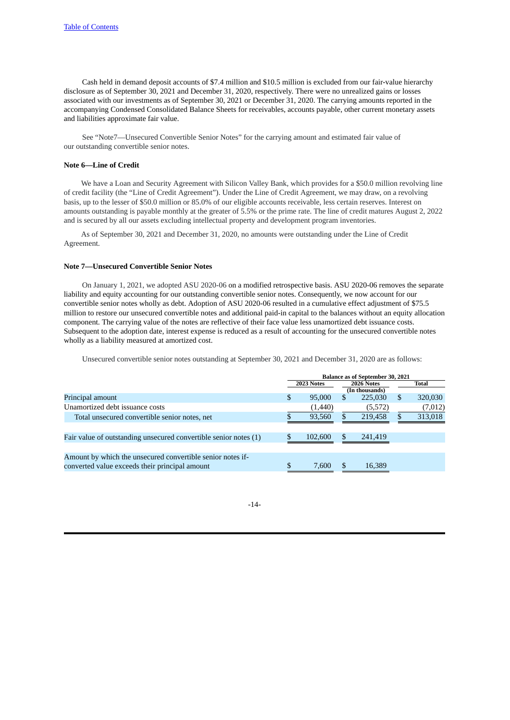Cash held in demand deposit accounts of \$7.4 million and \$10.5 million is excluded from our fair-value hierarchy disclosure as of September 30, 2021 and December 31, 2020, respectively. There were no unrealized gains or losses associated with our investments as of September 30, 2021 or December 31, 2020. The carrying amounts reported in the accompanying Condensed Consolidated Balance Sheets for receivables, accounts payable, other current monetary assets and liabilities approximate fair value.

See "Note7—Unsecured Convertible Senior Notes" for the carrying amount and estimated fair value of our outstanding convertible senior notes.

#### **Note 6—Line of Credit**

We have a Loan and Security Agreement with Silicon Valley Bank, which provides for a \$50.0 million revolving line of credit facility (the "Line of Credit Agreement"). Under the Line of Credit Agreement, we may draw, on a revolving basis, up to the lesser of \$50.0 million or 85.0% of our eligible accounts receivable, less certain reserves. Interest on amounts outstanding is payable monthly at the greater of 5.5% or the prime rate. The line of credit matures August 2, 2022 and is secured by all our assets excluding intellectual property and development program inventories.

As of September 30, 2021 and December 31, 2020, no amounts were outstanding under the Line of Credit Agreement.

#### **Note 7—Unsecured Convertible Senior Notes**

On January 1, 2021, we adopted ASU 2020-06 on a modified retrospective basis. ASU 2020-06 removes the separate liability and equity accounting for our outstanding convertible senior notes. Consequently, we now account for our convertible senior notes wholly as debt. Adoption of ASU 2020-06 resulted in a cumulative effect adjustment of \$75.5 million to restore our unsecured convertible notes and additional paid-in capital to the balances without an equity allocation component. The carrying value of the notes are reflective of their face value less unamortized debt issuance costs. Subsequent to the adoption date, interest expense is reduced as a result of accounting for the unsecured convertible notes wholly as a liability measured at amortized cost.

Unsecured convertible senior notes outstanding at September 30, 2021 and December 31, 2020 are as follows:

|                                                                  | Balance as of September 30, 2021 |            |  |                |               |         |  |  |
|------------------------------------------------------------------|----------------------------------|------------|--|----------------|---------------|---------|--|--|
|                                                                  |                                  | 2023 Notes |  | 2026 Notes     |               | Total   |  |  |
|                                                                  |                                  |            |  | (In thousands) |               |         |  |  |
| Principal amount                                                 | \$                               | 95,000     |  | 225,030        | <sup>\$</sup> | 320,030 |  |  |
| Unamortized debt issuance costs                                  |                                  | (1,440)    |  | (5,572)        |               | (7,012) |  |  |
| Total unsecured convertible senior notes, net                    |                                  | 93.560     |  | 219,458        | S.            | 313,018 |  |  |
|                                                                  |                                  |            |  |                |               |         |  |  |
| Fair value of outstanding unsecured convertible senior notes (1) |                                  | 102,600    |  | 241,419        |               |         |  |  |
|                                                                  |                                  |            |  |                |               |         |  |  |
| Amount by which the unsecured convertible senior notes if-       |                                  |            |  |                |               |         |  |  |
| converted value exceeds their principal amount                   |                                  | 7,600      |  | 16,389         |               |         |  |  |

-14-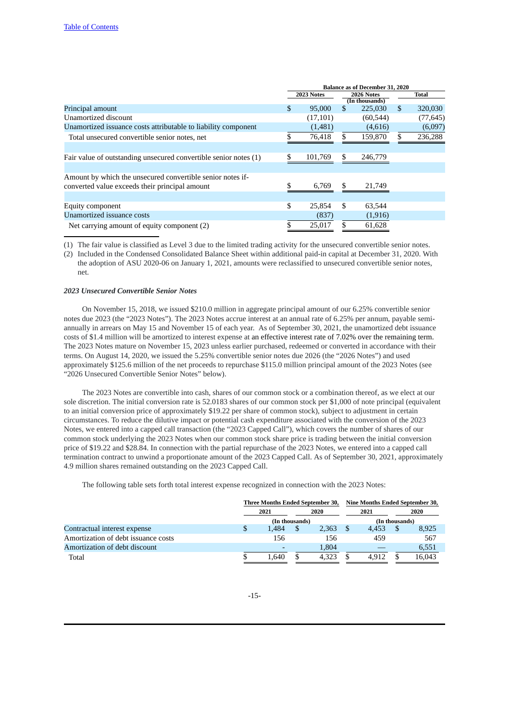|                                                                  | <b>Balance as of December 31, 2020</b> |            |     |                |     |           |  |
|------------------------------------------------------------------|----------------------------------------|------------|-----|----------------|-----|-----------|--|
|                                                                  |                                        | 2023 Notes |     | 2026 Notes     |     | Total     |  |
|                                                                  |                                        |            |     | (In thousands) |     |           |  |
| Principal amount                                                 | \$                                     | 95,000     | \$  | 225,030        | \$. | 320,030   |  |
| Unamortized discount                                             |                                        | (17,101)   |     | (60, 544)      |     | (77, 645) |  |
| Unamortized issuance costs attributable to liability component   |                                        | (1,481)    |     | (4,616)        |     | (6,097)   |  |
| Total unsecured convertible senior notes, net                    | \$                                     | 76,418     |     | 159,870        | \$  | 236,288   |  |
|                                                                  |                                        |            |     |                |     |           |  |
| Fair value of outstanding unsecured convertible senior notes (1) |                                        | 101,769    | \$. | 246,779        |     |           |  |
|                                                                  |                                        |            |     |                |     |           |  |
| Amount by which the unsecured convertible senior notes if-       |                                        |            |     |                |     |           |  |
| converted value exceeds their principal amount                   | \$                                     | 6.769      | \$  | 21,749         |     |           |  |
|                                                                  |                                        |            |     |                |     |           |  |
| Equity component                                                 | \$                                     | 25.854     | \$  | 63,544         |     |           |  |
| Unamortized issuance costs                                       |                                        | (837)      |     | (1, 916)       |     |           |  |
| Net carrying amount of equity component (2)                      |                                        | 25,017     | \$  | 61,628         |     |           |  |
|                                                                  |                                        |            |     |                |     |           |  |

(1) The fair value is classified as Level 3 due to the limited trading activity for the unsecured convertible senior notes.

(2) Included in the Condensed Consolidated Balance Sheet within additional paid-in capital at December 31, 2020. With the adoption of ASU 2020-06 on January 1, 2021, amounts were reclassified to unsecured convertible senior notes, net.

#### *2023 Unsecured Convertible Senior Notes*

On November 15, 2018, we issued \$210.0 million in aggregate principal amount of our 6.25% convertible senior notes due 2023 (the "2023 Notes"). The 2023 Notes accrue interest at an annual rate of 6.25% per annum, payable semiannually in arrears on May 15 and November 15 of each year. As of September 30, 2021, the unamortized debt issuance costs of \$1.4 million will be amortized to interest expense at an effective interest rate of 7.02% over the remaining term. The 2023 Notes mature on November 15, 2023 unless earlier purchased, redeemed or converted in accordance with their terms. On August 14, 2020, we issued the 5.25% convertible senior notes due 2026 (the "2026 Notes") and used approximately \$125.6 million of the net proceeds to repurchase \$115.0 million principal amount of the 2023 Notes (see "2026 Unsecured Convertible Senior Notes" below).

The 2023 Notes are convertible into cash, shares of our common stock or a combination thereof, as we elect at our sole discretion. The initial conversion rate is 52.0183 shares of our common stock per \$1,000 of note principal (equivalent to an initial conversion price of approximately \$19.22 per share of common stock), subject to adjustment in certain circumstances. To reduce the dilutive impact or potential cash expenditure associated with the conversion of the 2023 Notes, we entered into a capped call transaction (the "2023 Capped Call"), which covers the number of shares of our common stock underlying the 2023 Notes when our common stock share price is trading between the initial conversion price of \$19.22 and \$28.84. In connection with the partial repurchase of the 2023 Notes, we entered into a capped call termination contract to unwind a proportionate amount of the 2023 Capped Call. As of September 30, 2021, approximately 4.9 million shares remained outstanding on the 2023 Capped Call.

The following table sets forth total interest expense recognized in connection with the 2023 Notes:

|                                     | <b>Three Months Ended September 30,</b> |                |      |       | Nine Months Ended September 30, |                |  |        |  |
|-------------------------------------|-----------------------------------------|----------------|------|-------|---------------------------------|----------------|--|--------|--|
|                                     | 2020<br>2021                            |                | 2021 |       | 2020                            |                |  |        |  |
|                                     |                                         | (In thousands) |      |       |                                 | (In thousands) |  |        |  |
| Contractual interest expense        | S                                       | 1.484          |      | 2,363 |                                 | 4.453          |  | 8,925  |  |
| Amortization of debt issuance costs |                                         | 156            |      | 156   |                                 | 459            |  | 567    |  |
| Amortization of debt discount       |                                         |                |      | 1.804 |                                 |                |  | 6,551  |  |
| Total                               |                                         | 1,640          |      | 4.323 |                                 | 4.912          |  | 16,043 |  |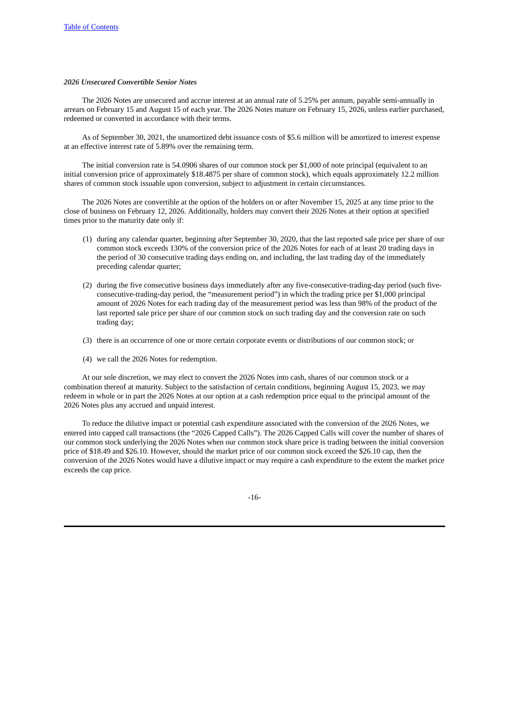#### *2026 Unsecured Convertible Senior Notes*

The 2026 Notes are unsecured and accrue interest at an annual rate of 5.25% per annum, payable semi-annually in arrears on February 15 and August 15 of each year. The 2026 Notes mature on February 15, 2026, unless earlier purchased, redeemed or converted in accordance with their terms.

As of September 30, 2021, the unamortized debt issuance costs of \$5.6 million will be amortized to interest expense at an effective interest rate of 5.89% over the remaining term.

The initial conversion rate is 54.0906 shares of our common stock per \$1,000 of note principal (equivalent to an initial conversion price of approximately \$18.4875 per share of common stock), which equals approximately 12.2 million shares of common stock issuable upon conversion, subject to adjustment in certain circumstances.

The 2026 Notes are convertible at the option of the holders on or after November 15, 2025 at any time prior to the close of business on February 12, 2026. Additionally, holders may convert their 2026 Notes at their option at specified times prior to the maturity date only if:

- (1) during any calendar quarter, beginning after September 30, 2020, that the last reported sale price per share of our common stock exceeds 130% of the conversion price of the 2026 Notes for each of at least 20 trading days in the period of 30 consecutive trading days ending on, and including, the last trading day of the immediately preceding calendar quarter;
- (2) during the five consecutive business days immediately after any five-consecutive-trading-day period (such fiveconsecutive-trading-day period, the "measurement period") in which the trading price per \$1,000 principal amount of 2026 Notes for each trading day of the measurement period was less than 98% of the product of the last reported sale price per share of our common stock on such trading day and the conversion rate on such trading day;
- (3) there is an occurrence of one or more certain corporate events or distributions of our common stock; or
- (4) we call the 2026 Notes for redemption.

At our sole discretion, we may elect to convert the 2026 Notes into cash, shares of our common stock or a combination thereof at maturity. Subject to the satisfaction of certain conditions, beginning August 15, 2023, we may redeem in whole or in part the 2026 Notes at our option at a cash redemption price equal to the principal amount of the 2026 Notes plus any accrued and unpaid interest.

To reduce the dilutive impact or potential cash expenditure associated with the conversion of the 2026 Notes, we entered into capped call transactions (the "2026 Capped Calls"). The 2026 Capped Calls will cover the number of shares of our common stock underlying the 2026 Notes when our common stock share price is trading between the initial conversion price of \$18.49 and \$26.10. However, should the market price of our common stock exceed the \$26.10 cap, then the conversion of the 2026 Notes would have a dilutive impact or may require a cash expenditure to the extent the market price exceeds the cap price.

-16-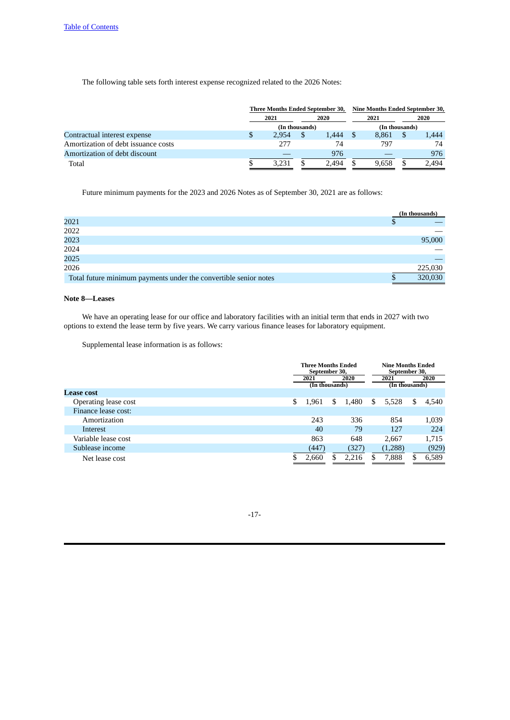The following table sets forth interest expense recognized related to the 2026 Notes:

|                                     | <b>Three Months Ended September 30,</b> |  |       | Nine Months Ended September 30, |       |                |       |  |  |
|-------------------------------------|-----------------------------------------|--|-------|---------------------------------|-------|----------------|-------|--|--|
|                                     | 2021<br>2020                            |  | 2021  |                                 | 2020  |                |       |  |  |
|                                     | (In thousands)                          |  |       |                                 |       | (In thousands) |       |  |  |
| Contractual interest expense        | \$<br>2.954                             |  | 1,444 |                                 | 8.861 |                | 1.444 |  |  |
| Amortization of debt issuance costs | 277                                     |  | 74    |                                 | 797   |                | 74    |  |  |
| Amortization of debt discount       |                                         |  | 976   |                                 |       |                | 976   |  |  |
| Total                               | 3.231                                   |  | 2.494 |                                 | 9.658 |                | 2.494 |  |  |

Future minimum payments for the 2023 and 2026 Notes as of September 30, 2021 are as follows:

|                                                                  |   | (In thousands) |
|------------------------------------------------------------------|---|----------------|
| 2021                                                             | Φ |                |
| 2022                                                             |   |                |
| 2023                                                             |   | 95,000         |
| 2024                                                             |   |                |
| 2025                                                             |   |                |
| 2026                                                             |   | 225,030        |
| Total future minimum payments under the convertible senior notes |   | 320,030        |

### **Note 8—Leases**

We have an operating lease for our office and laboratory facilities with an initial term that ends in 2027 with two options to extend the lease term by five years. We carry various finance leases for laboratory equipment.

Supplemental lease information is as follows:

|                      | <b>Three Months Ended</b><br>September 30, |                              |       |    | Nine Months Ended<br>September 30, |   |       |
|----------------------|--------------------------------------------|------------------------------|-------|----|------------------------------------|---|-------|
|                      | 2021                                       | 2020<br>$($ In thousands $)$ |       |    | 2021<br>(In thousands)             |   | 2020  |
| <b>Lease cost</b>    |                                            |                              |       |    |                                    |   |       |
| Operating lease cost | \$<br>1,961                                | \$.                          | 1,480 | S. | 5,528                              | S | 4,540 |
| Finance lease cost:  |                                            |                              |       |    |                                    |   |       |
| Amortization         | 243                                        |                              | 336   |    | 854                                |   | 1,039 |
| Interest             | 40                                         |                              | 79    |    | 127                                |   | 224   |
| Variable lease cost  | 863                                        |                              | 648   |    | 2,667                              |   | 1,715 |
| Sublease income      | (447)                                      |                              | (327) |    | (1,288)                            |   | (929) |
| Net lease cost       | 2,660                                      |                              | 2.216 |    | 7,888                              |   | 6,589 |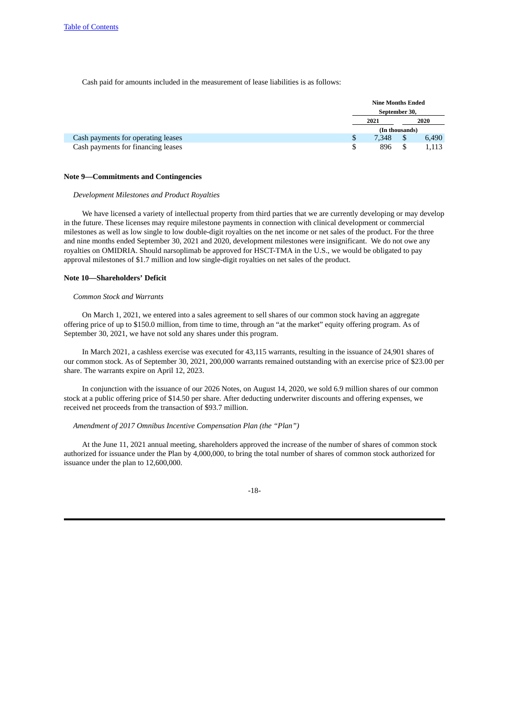Cash paid for amounts included in the measurement of lease liabilities is as follows:

|                                    | <b>Nine Months Ended</b> |  |       |  |
|------------------------------------|--------------------------|--|-------|--|
|                                    | September 30,            |  |       |  |
|                                    | 2021                     |  | 2020  |  |
|                                    | (In thousands)           |  |       |  |
| Cash payments for operating leases | 7.348                    |  | 6,490 |  |
| Cash payments for financing leases | 896                      |  | 1,113 |  |

#### **Note 9—Commitments and Contingencies**

#### *Development Milestones and Product Royalties*

We have licensed a variety of intellectual property from third parties that we are currently developing or may develop in the future. These licenses may require milestone payments in connection with clinical development or commercial milestones as well as low single to low double-digit royalties on the net income or net sales of the product. For the three and nine months ended September 30, 2021 and 2020, development milestones were insignificant. We do not owe any royalties on OMIDRIA. Should narsoplimab be approved for HSCT-TMA in the U.S., we would be obligated to pay approval milestones of \$1.7 million and low single-digit royalties on net sales of the product.

#### **Note 10—Shareholders' Deficit**

#### *Common Stock and Warrants*

On March 1, 2021, we entered into a sales agreement to sell shares of our common stock having an aggregate offering price of up to \$150.0 million, from time to time, through an "at the market" equity offering program. As of September 30, 2021, we have not sold any shares under this program.

In March 2021, a cashless exercise was executed for 43,115 warrants, resulting in the issuance of 24,901 shares of our common stock. As of September 30, 2021, 200,000 warrants remained outstanding with an exercise price of \$23.00 per share. The warrants expire on April 12, 2023.

In conjunction with the issuance of our 2026 Notes, on August 14, 2020, we sold 6.9 million shares of our common stock at a public offering price of \$14.50 per share. After deducting underwriter discounts and offering expenses, we received net proceeds from the transaction of \$93.7 million.

#### *Amendment of 2017 Omnibus Incentive Compensation Plan (the "Plan")*

At the June 11, 2021 annual meeting, shareholders approved the increase of the number of shares of common stock authorized for issuance under the Plan by 4,000,000, to bring the total number of shares of common stock authorized for issuance under the plan to 12,600,000.

-18-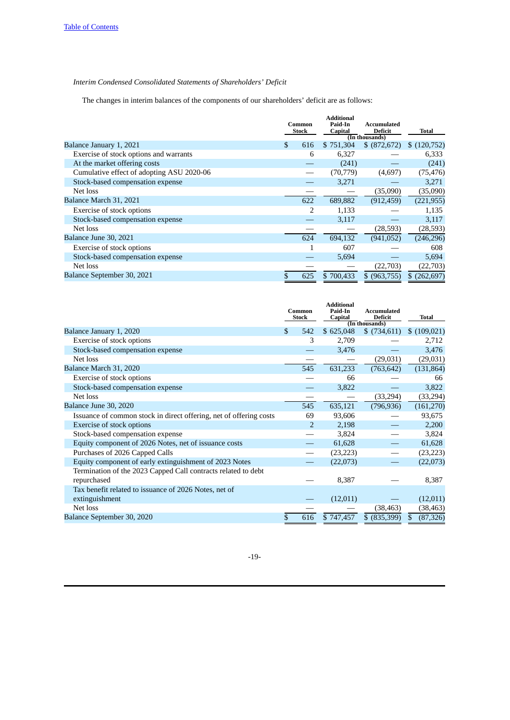## *Interim Condensed Consolidated Statements of Shareholders' Deficit*

The changes in interim balances of the components of our shareholders' deficit are as follows:

|                                           | Common           | <b>Additional</b><br>Paid-In | Accumulated               |                   |
|-------------------------------------------|------------------|------------------------------|---------------------------|-------------------|
|                                           | Stock<br>Capital |                              | Deficit<br>(In thousands) | Total             |
| Balance January 1, 2021                   | \$<br>616        | \$751,304                    | \$ (872, 672)             | \$(120,752)       |
| Exercise of stock options and warrants    | 6                | 6,327                        |                           | 6,333             |
| At the market offering costs              |                  | (241)                        |                           | (241)             |
| Cumulative effect of adopting ASU 2020-06 |                  | (70, 779)                    | (4,697)                   | (75, 476)         |
| Stock-based compensation expense          |                  | 3,271                        |                           | 3,271             |
| Net loss                                  |                  |                              | (35,090)                  | (35,090)          |
| Balance March 31, 2021                    | 622              | 689,882                      | (912, 459)                | (221, 955)        |
| Exercise of stock options                 |                  | 1,133                        |                           | 1,135             |
| Stock-based compensation expense          |                  | 3,117                        |                           | 3,117             |
| Net loss                                  |                  |                              | (28, 593)                 | (28,593)          |
| Balance June 30, 2021                     | 624              | 694,132                      | (941, 052)                | (246, 296)        |
| Exercise of stock options                 | 1                | 607                          |                           | 608               |
| Stock-based compensation expense          |                  | 5,694                        |                           | 5,694             |
| Net loss                                  |                  |                              | (22,703)                  | (22, 703)         |
| Balance September 30, 2021                | \$<br>625        | \$700,433                    | $$$ (963,755)             | (262, 697)<br>\$. |

|                                                                    | Common<br><b>Stock</b> | <b>Additional</b><br>Paid-In<br><b>Capital</b> | <b>Accumulated</b><br>Deficit<br>(In thousands) | <b>Total</b>    |
|--------------------------------------------------------------------|------------------------|------------------------------------------------|-------------------------------------------------|-----------------|
| Balance January 1, 2020                                            | \$<br>542              | \$625,048                                      | \$(734,611)                                     | \$(109,021)     |
| <b>Exercise of stock options</b>                                   | 3                      | 2,709                                          |                                                 | 2,712           |
| Stock-based compensation expense                                   |                        | 3,476                                          |                                                 | 3,476           |
| Net loss                                                           |                        |                                                | (29,031)                                        | (29, 031)       |
| Balance March 31, 2020                                             | 545                    | 631,233                                        | (763, 642)                                      | (131, 864)      |
| Exercise of stock options                                          |                        | 66                                             |                                                 | 66              |
| Stock-based compensation expense                                   |                        | 3,822                                          |                                                 | 3,822           |
| Net loss                                                           |                        |                                                | (33, 294)                                       | (33, 294)       |
| Balance June 30, 2020                                              | 545                    | 635,121                                        | (796, 936)                                      | (161, 270)      |
| Issuance of common stock in direct offering, net of offering costs | 69                     | 93,606                                         |                                                 | 93,675          |
| Exercise of stock options                                          | 2                      | 2,198                                          |                                                 | 2,200           |
| Stock-based compensation expense                                   |                        | 3,824                                          |                                                 | 3,824           |
| Equity component of 2026 Notes, net of issuance costs              |                        | 61,628                                         |                                                 | 61,628          |
| Purchases of 2026 Capped Calls                                     |                        | (23, 223)                                      |                                                 | (23, 223)       |
| Equity component of early extinguishment of 2023 Notes             |                        | (22,073)                                       |                                                 | (22,073)        |
| Termination of the 2023 Capped Call contracts related to debt      |                        |                                                |                                                 |                 |
| repurchased                                                        |                        | 8,387                                          |                                                 | 8,387           |
| Tax benefit related to issuance of 2026 Notes, net of              |                        |                                                |                                                 |                 |
| extinguishment                                                     |                        | (12,011)                                       |                                                 | (12,011)        |
| Net loss                                                           |                        |                                                | (38, 463)                                       | (38, 463)       |
| Balance September 30, 2020                                         | \$<br>616              | \$747,457                                      | \$ (835,399)                                    | \$<br>(87, 326) |

-19-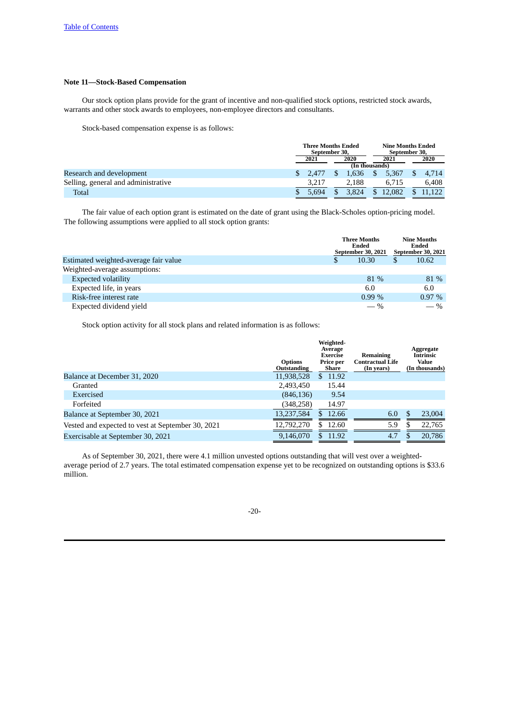### **Note 11—Stock-Based Compensation**

Our stock option plans provide for the grant of incentive and non-qualified stock options, restricted stock awards, warrants and other stock awards to employees, non-employee directors and consultants.

Stock-based compensation expense is as follows:

|                                     | <b>Three Months Ended</b><br>September 30, |                |       |  | <b>Nine Months Ended</b><br>September 30, |      |       |
|-------------------------------------|--------------------------------------------|----------------|-------|--|-------------------------------------------|------|-------|
|                                     | 2021                                       |                | 2020  |  | 2021                                      | 2020 |       |
|                                     |                                            | (In thousands) |       |  |                                           |      |       |
| Research and development            | 2.477                                      |                | .636  |  | 5.367                                     |      | 4.714 |
| Selling, general and administrative | 3.217                                      |                | 2.188 |  | 6.715                                     |      | 6.408 |
| <b>Total</b>                        | 5.694                                      |                | 3.824 |  | 12.082                                    |      |       |

The fair value of each option grant is estimated on the date of grant using the Black-Scholes option-pricing model. The following assumptions were applied to all stock option grants:

|                                       | <b>Three Months</b><br>Ended<br><b>September 30, 2021</b> | <b>Nine Months</b><br>Ended<br>September 30, 2021 |       |  |
|---------------------------------------|-----------------------------------------------------------|---------------------------------------------------|-------|--|
| Estimated weighted-average fair value | 10.30                                                     | S                                                 | 10.62 |  |
| Weighted-average assumptions:         |                                                           |                                                   |       |  |
| <b>Expected volatility</b>            | 81 %                                                      |                                                   | 81 %  |  |
| Expected life, in years               | 6.0                                                       |                                                   | 6.0   |  |
| Risk-free interest rate               | 0.99%                                                     |                                                   | 0.97% |  |
| Expected dividend yield               | $-$ %                                                     |                                                   | $-$ % |  |

Stock option activity for all stock plans and related information is as follows:

|                                                   | <b>Options</b><br>Outstanding | Weighted-<br>Average<br><b>Exercise</b><br>Price per<br>Share | <b>Remaining</b><br><b>Contractual Life</b><br>(In years) | Aggregate<br><b>Intrinsic</b><br>Value<br>(In thousands) |
|---------------------------------------------------|-------------------------------|---------------------------------------------------------------|-----------------------------------------------------------|----------------------------------------------------------|
| Balance at December 31, 2020                      | 11,938,528                    | 11.92<br>\$.                                                  |                                                           |                                                          |
| Granted                                           | 2,493,450                     | 15.44                                                         |                                                           |                                                          |
| Exercised                                         | (846, 136)                    | 9.54                                                          |                                                           |                                                          |
| Forfeited                                         | (348, 258)                    | 14.97                                                         |                                                           |                                                          |
| Balance at September 30, 2021                     | 13,237,584                    | 12.66                                                         | 6.0                                                       | 23,004<br>S.                                             |
| Vested and expected to vest at September 30, 2021 | 12,792,270                    | 12.60                                                         | 5.9                                                       | 22,765                                                   |
| Exercisable at September 30, 2021                 | 9,146,070                     | 11.92<br>\$                                                   | 4.7                                                       | 20,786                                                   |

As of September 30, 2021, there were 4.1 million unvested options outstanding that will vest over a weightedaverage period of 2.7 years. The total estimated compensation expense yet to be recognized on outstanding options is \$33.6 million.

-20-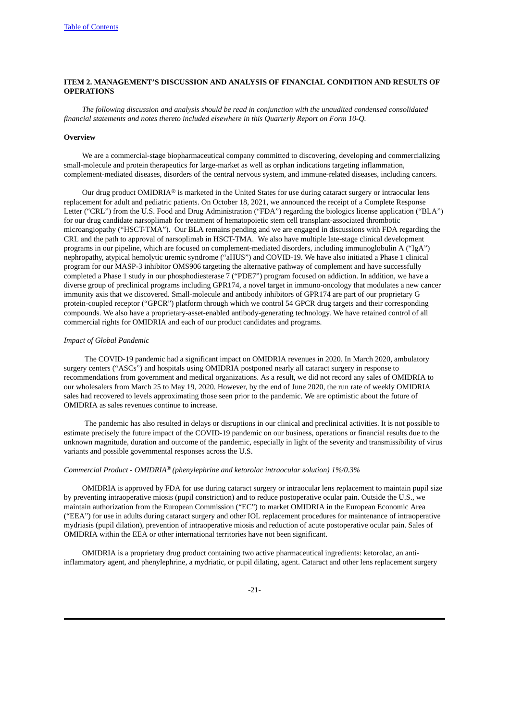#### <span id="page-20-0"></span>**ITEM 2. MANAGEMENT'S DISCUSSION AND ANALYSIS OF FINANCIAL CONDITION AND RESULTS OF OPERATIONS**

*The following discussion and analysis should be read in conjunction with the unaudited condensed consolidated financial statements and notes thereto included elsewhere in this Quarterly Report on Form 10-Q.*

#### **Overview**

We are a commercial-stage biopharmaceutical company committed to discovering, developing and commercializing small-molecule and protein therapeutics for large-market as well as orphan indications targeting inflammation, complement-mediated diseases, disorders of the central nervous system, and immune-related diseases, including cancers.

Our drug product OMIDRIA® is marketed in the United States for use during cataract surgery or intraocular lens replacement for adult and pediatric patients. On October 18, 2021, we announced the receipt of a Complete Response Letter ("CRL") from the U.S. Food and Drug Administration ("FDA") regarding the biologics license application ("BLA") for our drug candidate narsoplimab for treatment of hematopoietic stem cell transplant-associated thrombotic microangiopathy ("HSCT-TMA"). Our BLA remains pending and we are engaged in discussions with FDA regarding the CRL and the path to approval of narsoplimab in HSCT-TMA. We also have multiple late-stage clinical development programs in our pipeline, which are focused on complement-mediated disorders, including immunoglobulin A ("IgA") nephropathy, atypical hemolytic uremic syndrome ("aHUS") and COVID-19. We have also initiated a Phase 1 clinical program for our MASP-3 inhibitor OMS906 targeting the alternative pathway of complement and have successfully completed a Phase 1 study in our phosphodiesterase 7 ("PDE7") program focused on addiction. In addition, we have a diverse group of preclinical programs including GPR174, a novel target in immuno-oncology that modulates a new cancer immunity axis that we discovered. Small-molecule and antibody inhibitors of GPR174 are part of our proprietary G protein-coupled receptor ("GPCR") platform through which we control 54 GPCR drug targets and their corresponding compounds. We also have a proprietary-asset-enabled antibody-generating technology. We have retained control of all commercial rights for OMIDRIA and each of our product candidates and programs.

#### *Impact of Global Pandemic*

The COVID-19 pandemic had a significant impact on OMIDRIA revenues in 2020. In March 2020, ambulatory surgery centers ("ASCs") and hospitals using OMIDRIA postponed nearly all cataract surgery in response to recommendations from government and medical organizations. As a result, we did not record any sales of OMIDRIA to our wholesalers from March 25 to May 19, 2020. However, by the end of June 2020, the run rate of weekly OMIDRIA sales had recovered to levels approximating those seen prior to the pandemic. We are optimistic about the future of OMIDRIA as sales revenues continue to increase.

The pandemic has also resulted in delays or disruptions in our clinical and preclinical activities. It is not possible to estimate precisely the future impact of the COVID-19 pandemic on our business, operations or financial results due to the unknown magnitude, duration and outcome of the pandemic, especially in light of the severity and transmissibility of virus variants and possible governmental responses across the U.S.

#### *Commercial Product - OMIDRIA® (phenylephrine and ketorolac intraocular solution) 1%/0.3%*

OMIDRIA is approved by FDA for use during cataract surgery or intraocular lens replacement to maintain pupil size by preventing intraoperative miosis (pupil constriction) and to reduce postoperative ocular pain. Outside the U.S., we maintain authorization from the European Commission ("EC") to market OMIDRIA in the European Economic Area ("EEA") for use in adults during cataract surgery and other IOL replacement procedures for maintenance of intraoperative mydriasis (pupil dilation), prevention of intraoperative miosis and reduction of acute postoperative ocular pain. Sales of OMIDRIA within the EEA or other international territories have not been significant.

OMIDRIA is a proprietary drug product containing two active pharmaceutical ingredients: ketorolac, an antiinflammatory agent, and phenylephrine, a mydriatic, or pupil dilating, agent. Cataract and other lens replacement surgery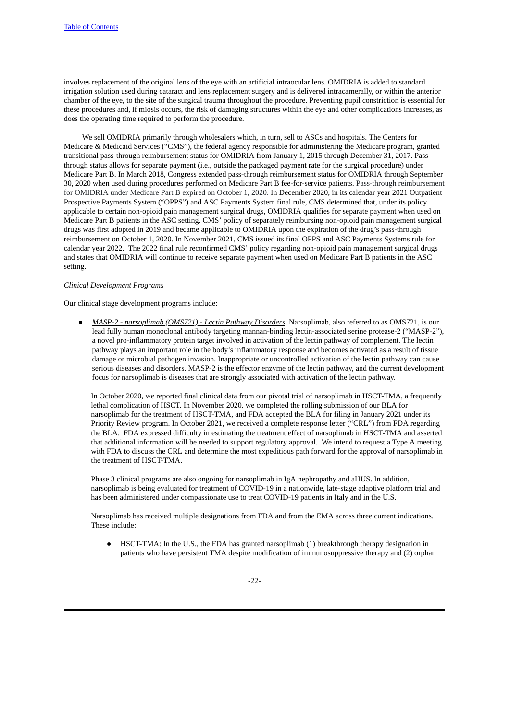involves replacement of the original lens of the eye with an artificial intraocular lens. OMIDRIA is added to standard irrigation solution used during cataract and lens replacement surgery and is delivered intracamerally, or within the anterior chamber of the eye, to the site of the surgical trauma throughout the procedure. Preventing pupil constriction is essential for these procedures and, if miosis occurs, the risk of damaging structures within the eye and other complications increases, as does the operating time required to perform the procedure.

We sell OMIDRIA primarily through wholesalers which, in turn, sell to ASCs and hospitals. The Centers for Medicare & Medicaid Services ("CMS"), the federal agency responsible for administering the Medicare program, granted transitional pass-through reimbursement status for OMIDRIA from January 1, 2015 through December 31, 2017. Passthrough status allows for separate payment (i.e., outside the packaged payment rate for the surgical procedure) under Medicare Part B. In March 2018, Congress extended pass-through reimbursement status for OMIDRIA through September 30, 2020 when used during procedures performed on Medicare Part B fee-for-service patients. Pass-through reimbursement for OMIDRIA under Medicare Part B expired on October 1, 2020. In December 2020, in its calendar year 2021 Outpatient Prospective Payments System ("OPPS") and ASC Payments System final rule, CMS determined that, under its policy applicable to certain non-opioid pain management surgical drugs, OMIDRIA qualifies for separate payment when used on Medicare Part B patients in the ASC setting. CMS' policy of separately reimbursing non-opioid pain management surgical drugs was first adopted in 2019 and became applicable to OMIDRIA upon the expiration of the drug's pass-through reimbursement on October 1, 2020. In November 2021, CMS issued its final OPPS and ASC Payments Systems rule for calendar year 2022. The 2022 final rule reconfirmed CMS' policy regarding non-opioid pain management surgical drugs and states that OMIDRIA will continue to receive separate payment when used on Medicare Part B patients in the ASC setting.

#### *Clinical Development Programs*

Our clinical stage development programs include:

● *MASP-2 - narsoplimab (OMS721) - Lectin Pathway Disorders.* Narsoplimab, also referred to as OMS721, is our lead fully human monoclonal antibody targeting mannan-binding lectin-associated serine protease-2 ("MASP-2"), a novel pro-inflammatory protein target involved in activation of the lectin pathway of complement. The lectin pathway plays an important role in the body's inflammatory response and becomes activated as a result of tissue damage or microbial pathogen invasion. Inappropriate or uncontrolled activation of the lectin pathway can cause serious diseases and disorders. MASP-2 is the effector enzyme of the lectin pathway, and the current development focus for narsoplimab is diseases that are strongly associated with activation of the lectin pathway.

In October 2020, we reported final clinical data from our pivotal trial of narsoplimab in HSCT-TMA, a frequently lethal complication of HSCT. In November 2020, we completed the rolling submission of our BLA for narsoplimab for the treatment of HSCT-TMA, and FDA accepted the BLA for filing in January 2021 under its Priority Review program. In October 2021, we received a complete response letter ("CRL") from FDA regarding the BLA. FDA expressed difficulty in estimating the treatment effect of narsoplimab in HSCT-TMA and asserted that additional information will be needed to support regulatory approval. We intend to request a Type A meeting with FDA to discuss the CRL and determine the most expeditious path forward for the approval of narsoplimab in the treatment of HSCT-TMA.

Phase 3 clinical programs are also ongoing for narsoplimab in IgA nephropathy and aHUS. In addition, narsoplimab is being evaluated for treatment of COVID-19 in a nationwide, late-stage adaptive platform trial and has been administered under compassionate use to treat COVID-19 patients in Italy and in the U.S.

Narsoplimab has received multiple designations from FDA and from the EMA across three current indications. These include:

● HSCT-TMA: In the U.S., the FDA has granted narsoplimab (1) breakthrough therapy designation in patients who have persistent TMA despite modification of immunosuppressive therapy and (2) orphan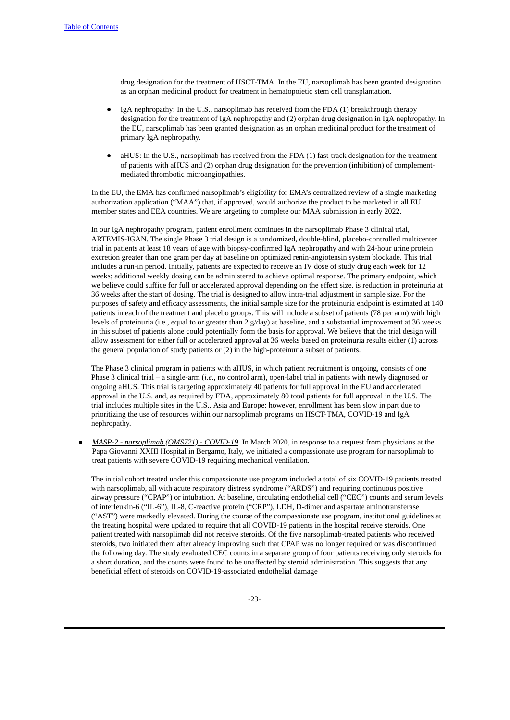drug designation for the treatment of HSCT-TMA. In the EU, narsoplimab has been granted designation as an orphan medicinal product for treatment in hematopoietic stem cell transplantation.

- IgA nephropathy: In the U.S., narsoplimab has received from the FDA (1) breakthrough therapy designation for the treatment of IgA nephropathy and (2) orphan drug designation in IgA nephropathy. In the EU, narsoplimab has been granted designation as an orphan medicinal product for the treatment of primary IgA nephropathy.
- aHUS: In the U.S., narsoplimab has received from the FDA (1) fast-track designation for the treatment of patients with aHUS and (2) orphan drug designation for the prevention (inhibition) of complementmediated thrombotic microangiopathies.

In the EU, the EMA has confirmed narsoplimab's eligibility for EMA's centralized review of a single marketing authorization application ("MAA") that, if approved, would authorize the product to be marketed in all EU member states and EEA countries. We are targeting to complete our MAA submission in early 2022.

In our IgA nephropathy program, patient enrollment continues in the narsoplimab Phase 3 clinical trial, ARTEMIS-IGAN. The single Phase 3 trial design is a randomized, double-blind, placebo-controlled multicenter trial in patients at least 18 years of age with biopsy-confirmed IgA nephropathy and with 24-hour urine protein excretion greater than one gram per day at baseline on optimized renin-angiotensin system blockade. This trial includes a run-in period. Initially, patients are expected to receive an IV dose of study drug each week for 12 weeks; additional weekly dosing can be administered to achieve optimal response. The primary endpoint, which we believe could suffice for full or accelerated approval depending on the effect size, is reduction in proteinuria at 36 weeks after the start of dosing. The trial is designed to allow intra-trial adjustment in sample size. For the purposes of safety and efficacy assessments, the initial sample size for the proteinuria endpoint is estimated at 140 patients in each of the treatment and placebo groups. This will include a subset of patients (78 per arm) with high levels of proteinuria (i.e., equal to or greater than 2 g/day) at baseline, and a substantial improvement at 36 weeks in this subset of patients alone could potentially form the basis for approval. We believe that the trial design will allow assessment for either full or accelerated approval at 36 weeks based on proteinuria results either (1) across the general population of study patients or (2) in the high-proteinuria subset of patients.

The Phase 3 clinical program in patients with aHUS, in which patient recruitment is ongoing, consists of one Phase 3 clinical trial – a single-arm (*i.e.*, no control arm), open-label trial in patients with newly diagnosed or ongoing aHUS. This trial is targeting approximately 40 patients for full approval in the EU and accelerated approval in the U.S. and, as required by FDA, approximately 80 total patients for full approval in the U.S. The trial includes multiple sites in the U.S., Asia and Europe; however, enrollment has been slow in part due to prioritizing the use of resources within our narsoplimab programs on HSCT-TMA, COVID-19 and IgA nephropathy.

● *MASP-2 - narsoplimab (OMS721) - COVID-19*. In March 2020, in response to a request from physicians at the Papa Giovanni XXIII Hospital in Bergamo, Italy, we initiated a compassionate use program for narsoplimab to treat patients with severe COVID-19 requiring mechanical ventilation.

The initial cohort treated under this compassionate use program included a total of six COVID-19 patients treated with narsoplimab, all with acute respiratory distress syndrome ("ARDS") and requiring continuous positive airway pressure ("CPAP") or intubation. At baseline, circulating endothelial cell ("CEC") counts and serum levels of interleukin-6 ("IL-6"), IL-8, C-reactive protein ("CRP"), LDH, D-dimer and aspartate aminotransferase ("AST") were markedly elevated. During the course of the compassionate use program, institutional guidelines at the treating hospital were updated to require that all COVID-19 patients in the hospital receive steroids. One patient treated with narsoplimab did not receive steroids. Of the five narsoplimab-treated patients who received steroids, two initiated them after already improving such that CPAP was no longer required or was discontinued the following day. The study evaluated CEC counts in a separate group of four patients receiving only steroids for a short duration, and the counts were found to be unaffected by steroid administration. This suggests that any beneficial effect of steroids on COVID-19-associated endothelial damage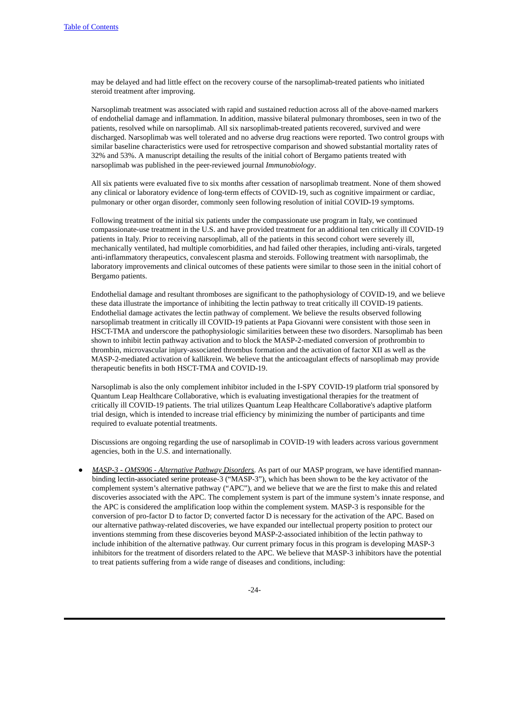may be delayed and had little effect on the recovery course of the narsoplimab-treated patients who initiated steroid treatment after improving.

Narsoplimab treatment was associated with rapid and sustained reduction across all of the above-named markers of endothelial damage and inflammation. In addition, massive bilateral pulmonary thromboses, seen in two of the patients, resolved while on narsoplimab. All six narsoplimab-treated patients recovered, survived and were discharged. Narsoplimab was well tolerated and no adverse drug reactions were reported. Two control groups with similar baseline characteristics were used for retrospective comparison and showed substantial mortality rates of 32% and 53%. A manuscript detailing the results of the initial cohort of Bergamo patients treated with narsoplimab was published in the peer-reviewed journal *Immunobiology*.

All six patients were evaluated five to six months after cessation of narsoplimab treatment. None of them showed any clinical or laboratory evidence of long-term effects of COVID-19, such as cognitive impairment or cardiac, pulmonary or other organ disorder, commonly seen following resolution of initial COVID-19 symptoms.

Following treatment of the initial six patients under the compassionate use program in Italy, we continued compassionate-use treatment in the U.S. and have provided treatment for an additional ten critically ill COVID-19 patients in Italy. Prior to receiving narsoplimab, all of the patients in this second cohort were severely ill, mechanically ventilated, had multiple comorbidities, and had failed other therapies, including anti-virals, targeted anti-inflammatory therapeutics, convalescent plasma and steroids. Following treatment with narsoplimab, the laboratory improvements and clinical outcomes of these patients were similar to those seen in the initial cohort of Bergamo patients.

Endothelial damage and resultant thromboses are significant to the pathophysiology of COVID-19, and we believe these data illustrate the importance of inhibiting the lectin pathway to treat critically ill COVID-19 patients. Endothelial damage activates the lectin pathway of complement. We believe the results observed following narsoplimab treatment in critically ill COVID-19 patients at Papa Giovanni were consistent with those seen in HSCT-TMA and underscore the pathophysiologic similarities between these two disorders. Narsoplimab has been shown to inhibit lectin pathway activation and to block the MASP-2-mediated conversion of prothrombin to thrombin, microvascular injury-associated thrombus formation and the activation of factor XII as well as the MASP-2-mediated activation of kallikrein. We believe that the anticoagulant effects of narsoplimab may provide therapeutic benefits in both HSCT-TMA and COVID-19.

Narsoplimab is also the only complement inhibitor included in the I-SPY COVID-19 platform trial sponsored by Quantum Leap Healthcare Collaborative, which is evaluating investigational therapies for the treatment of critically ill COVID-19 patients. The trial utilizes Quantum Leap Healthcare Collaborative's adaptive platform trial design, which is intended to increase trial efficiency by minimizing the number of participants and time required to evaluate potential treatments.

Discussions are ongoing regarding the use of narsoplimab in COVID-19 with leaders across various government agencies, both in the U.S. and internationally.

● *MASP-3 - OMS906 - Alternative Pathway Disorders*. As part of our MASP program, we have identified mannanbinding lectin-associated serine protease-3 ("MASP-3"), which has been shown to be the key activator of the complement system's alternative pathway ("APC"), and we believe that we are the first to make this and related discoveries associated with the APC. The complement system is part of the immune system's innate response, and the APC is considered the amplification loop within the complement system. MASP-3 is responsible for the conversion of pro-factor D to factor D; converted factor D is necessary for the activation of the APC. Based on our alternative pathway-related discoveries, we have expanded our intellectual property position to protect our inventions stemming from these discoveries beyond MASP-2-associated inhibition of the lectin pathway to include inhibition of the alternative pathway. Our current primary focus in this program is developing MASP-3 inhibitors for the treatment of disorders related to the APC. We believe that MASP-3 inhibitors have the potential to treat patients suffering from a wide range of diseases and conditions, including: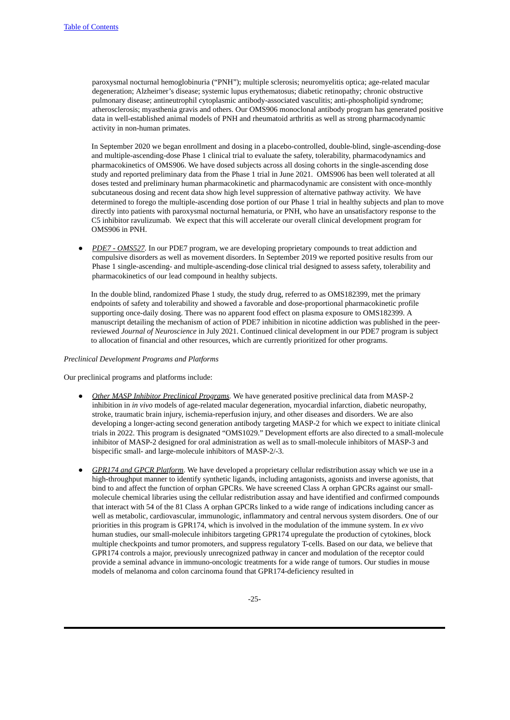paroxysmal nocturnal hemoglobinuria ("PNH"); multiple sclerosis; neuromyelitis optica; age-related macular degeneration; Alzheimer's disease; systemic lupus erythematosus; diabetic retinopathy; chronic obstructive pulmonary disease; antineutrophil cytoplasmic antibody-associated vasculitis; anti-phospholipid syndrome; atherosclerosis; myasthenia gravis and others. Our OMS906 monoclonal antibody program has generated positive data in well-established animal models of PNH and rheumatoid arthritis as well as strong pharmacodynamic activity in non-human primates.

In September 2020 we began enrollment and dosing in a placebo-controlled, double-blind, single-ascending-dose and multiple-ascending-dose Phase 1 clinical trial to evaluate the safety, tolerability, pharmacodynamics and pharmacokinetics of OMS906. We have dosed subjects across all dosing cohorts in the single-ascending dose study and reported preliminary data from the Phase 1 trial in June 2021. OMS906 has been well tolerated at all doses tested and preliminary human pharmacokinetic and pharmacodynamic are consistent with once-monthly subcutaneous dosing and recent data show high level suppression of alternative pathway activity. We have determined to forego the multiple-ascending dose portion of our Phase 1 trial in healthy subjects and plan to move directly into patients with paroxysmal nocturnal hematuria, or PNH, who have an unsatisfactory response to the C5 inhibitor ravulizumab. We expect that this will accelerate our overall clinical development program for OMS906 in PNH.

● *PDE7 - OMS527.* In our PDE7 program, we are developing proprietary compounds to treat addiction and compulsive disorders as well as movement disorders. In September 2019 we reported positive results from our Phase 1 single-ascending- and multiple-ascending-dose clinical trial designed to assess safety, tolerability and pharmacokinetics of our lead compound in healthy subjects.

In the double blind, randomized Phase 1 study, the study drug, referred to as OMS182399, met the primary endpoints of safety and tolerability and showed a favorable and dose-proportional pharmacokinetic profile supporting once-daily dosing. There was no apparent food effect on plasma exposure to OMS182399. A manuscript detailing the mechanism of action of PDE7 inhibition in nicotine addiction was published in the peerreviewed *Journal of Neuroscience* in July 2021. Continued clinical development in our PDE7 program is subject to allocation of financial and other resources, which are currently prioritized for other programs.

#### *Preclinical Development Programs and Platforms*

Our preclinical programs and platforms include:

- *Other MASP Inhibitor Preclinical Programs.* We have generated positive preclinical data from MASP-2 inhibition in *in vivo* models of age-related macular degeneration, myocardial infarction, diabetic neuropathy, stroke, traumatic brain injury, ischemia-reperfusion injury, and other diseases and disorders. We are also developing a longer-acting second generation antibody targeting MASP-2 for which we expect to initiate clinical trials in 2022. This program is designated "OMS1029." Development efforts are also directed to a small-molecule inhibitor of MASP-2 designed for oral administration as well as to small-molecule inhibitors of MASP-3 and bispecific small- and large-molecule inhibitors of MASP-2/-3.
- *GPR174 and GPCR Platform*. We have developed a proprietary cellular redistribution assay which we use in a high-throughput manner to identify synthetic ligands, including antagonists, agonists and inverse agonists, that bind to and affect the function of orphan GPCRs. We have screened Class A orphan GPCRs against our smallmolecule chemical libraries using the cellular redistribution assay and have identified and confirmed compounds that interact with 54 of the 81 Class A orphan GPCRs linked to a wide range of indications including cancer as well as metabolic, cardiovascular, immunologic, inflammatory and central nervous system disorders. One of our priorities in this program is GPR174, which is involved in the modulation of the immune system. In *ex vivo* human studies, our small-molecule inhibitors targeting GPR174 upregulate the production of cytokines, block multiple checkpoints and tumor promoters, and suppress regulatory T-cells. Based on our data, we believe that GPR174 controls a major, previously unrecognized pathway in cancer and modulation of the receptor could provide a seminal advance in immuno-oncologic treatments for a wide range of tumors. Our studies in mouse models of melanoma and colon carcinoma found that GPR174-deficiency resulted in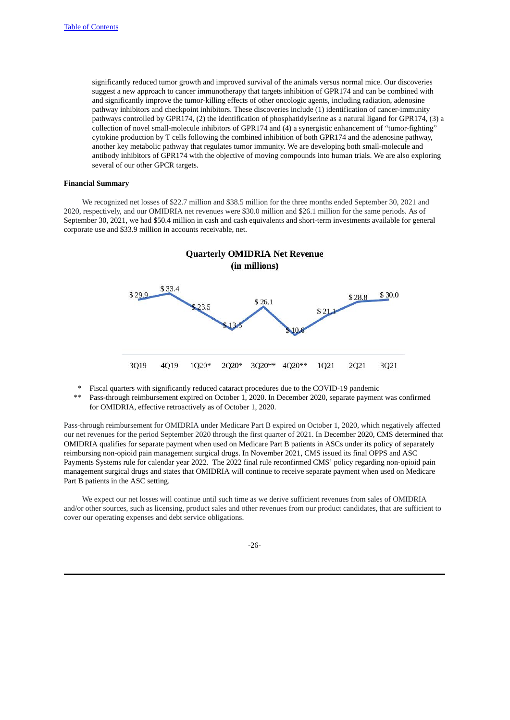significantly reduced tumor growth and improved survival of the animals versus normal mice. Our discoveries suggest a new approach to cancer immunotherapy that targets inhibition of GPR174 and can be combined with and significantly improve the tumor-killing effects of other oncologic agents, including radiation, adenosine pathway inhibitors and checkpoint inhibitors. These discoveries include (1) identification of cancer-immunity pathways controlled by GPR174, (2) the identification of phosphatidylserine as a natural ligand for GPR174, (3) a collection of novel small-molecule inhibitors of GPR174 and (4) a synergistic enhancement of "tumor-fighting" cytokine production by T cells following the combined inhibition of both GPR174 and the adenosine pathway, another key metabolic pathway that regulates tumor immunity. We are developing both small-molecule and antibody inhibitors of GPR174 with the objective of moving compounds into human trials. We are also exploring several of our other GPCR targets.

#### **Financial Summary**

We recognized net losses of \$22.7 million and \$38.5 million for the three months ended September 30, 2021 and 2020, respectively, and our OMIDRIA net revenues were \$30.0 million and \$26.1 million for the same periods. As of September 30, 2021, we had \$50.4 million in cash and cash equivalents and short-term investments available for general corporate use and \$33.9 million in accounts receivable, net.



- \* Fiscal quarters with significantly reduced cataract procedures due to the COVID-19 pandemic
- Pass-through reimbursement expired on October 1, 2020. In December 2020, separate payment was confirmed for OMIDRIA, effective retroactively as of October 1, 2020.

Pass-through reimbursement for OMIDRIA under Medicare Part B expired on October 1, 2020, which negatively affected our net revenues for the period September 2020 through the first quarter of 2021. In December 2020, CMS determined that OMIDRIA qualifies for separate payment when used on Medicare Part B patients in ASCs under its policy of separately reimbursing non-opioid pain management surgical drugs. In November 2021, CMS issued its final OPPS and ASC Payments Systems rule for calendar year 2022. The 2022 final rule reconfirmed CMS' policy regarding non-opioid pain management surgical drugs and states that OMIDRIA will continue to receive separate payment when used on Medicare Part B patients in the ASC setting.

We expect our net losses will continue until such time as we derive sufficient revenues from sales of OMIDRIA and/or other sources, such as licensing, product sales and other revenues from our product candidates, that are sufficient to cover our operating expenses and debt service obligations.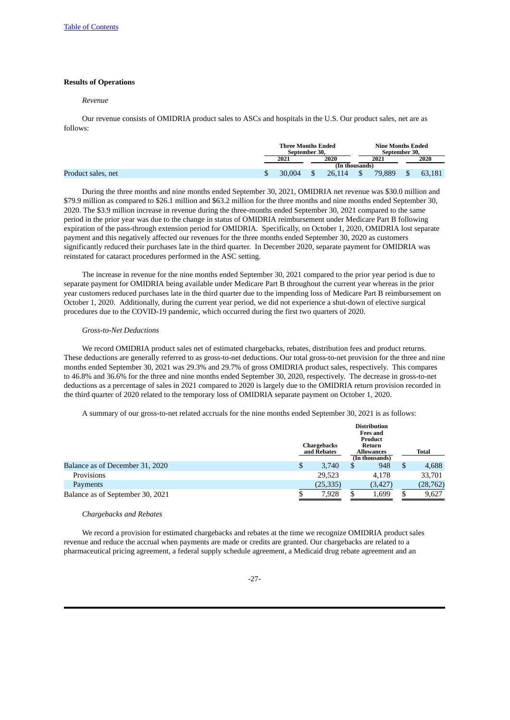#### **Results of Operations**

#### *Revenue*

Our revenue consists of OMIDRIA product sales to ASCs and hospitals in the U.S. Our product sales, net are as follows:

| <b>Three Months Ended</b><br>September 30. |  |        | <b>Nine Months Ended</b><br>September 30, |        |                |        |  |
|--------------------------------------------|--|--------|-------------------------------------------|--------|----------------|--------|--|
| 2020<br>2021                               |  |        | 2021                                      |        |                | 2020   |  |
|                                            |  |        |                                           |        |                |        |  |
| 30,004                                     |  | 26.114 |                                           | 79.889 |                | 63.181 |  |
|                                            |  |        |                                           |        | (In thousands) |        |  |

During the three months and nine months ended September 30, 2021, OMIDRIA net revenue was \$30.0 million and \$79.9 million as compared to \$26.1 million and \$63.2 million for the three months and nine months ended September 30, 2020. The \$3.9 million increase in revenue during the three-months ended September 30, 2021 compared to the same period in the prior year was due to the change in status of OMIDRIA reimbursement under Medicare Part B following expiration of the pass-through extension period for OMIDRIA. Specifically, on October 1, 2020, OMIDRIA lost separate payment and this negatively affected our revenues for the three months ended September 30, 2020 as customers significantly reduced their purchases late in the third quarter. In December 2020, separate payment for OMIDRIA was reinstated for cataract procedures performed in the ASC setting.

The increase in revenue for the nine months ended September 30, 2021 compared to the prior year period is due to separate payment for OMIDRIA being available under Medicare Part B throughout the current year whereas in the prior year customers reduced purchases late in the third quarter due to the impending loss of Medicare Part B reimbursement on October 1, 2020. Additionally, during the current year period, we did not experience a shut-down of elective surgical procedures due to the COVID-19 pandemic, which occurred during the first two quarters of 2020.

#### *Gross-to-Net Deductions*

We record OMIDRIA product sales net of estimated chargebacks, rebates, distribution fees and product returns. These deductions are generally referred to as gross-to-net deductions. Our total gross-to-net provision for the three and nine months ended September 30, 2021 was 29.3% and 29.7% of gross OMIDRIA product sales, respectively. This compares to 46.8% and 36.6% for the three and nine months ended September 30, 2020, respectively. The decrease in gross-to-net deductions as a percentage of sales in 2021 compared to 2020 is largely due to the OMIDRIA return provision recorded in the third quarter of 2020 related to the temporary loss of OMIDRIA separate payment on October 1, 2020.

A summary of our gross-to-net related accruals for the nine months ended September 30, 2021 is as follows:

|                                  | Chargebacks<br>and Rebates | <b>Distribution</b><br><b>Fees and</b><br>Product<br>Return<br><b>Allowances</b><br>(In thousands) |          |    | <b>Total</b> |
|----------------------------------|----------------------------|----------------------------------------------------------------------------------------------------|----------|----|--------------|
| Balance as of December 31, 2020  | \$<br>3,740                |                                                                                                    | 948      | S. | 4,688        |
| Provisions                       | 29.523                     |                                                                                                    | 4.178    |    | 33,701       |
| Payments                         | (25, 335)                  |                                                                                                    | (3, 427) |    | (28, 762)    |
| Balance as of September 30, 2021 | 7,928                      |                                                                                                    | 1,699    |    | 9,627        |

#### *Chargebacks and Rebates*

We record a provision for estimated chargebacks and rebates at the time we recognize OMIDRIA product sales revenue and reduce the accrual when payments are made or credits are granted. Our chargebacks are related to a pharmaceutical pricing agreement, a federal supply schedule agreement, a Medicaid drug rebate agreement and an

### -27-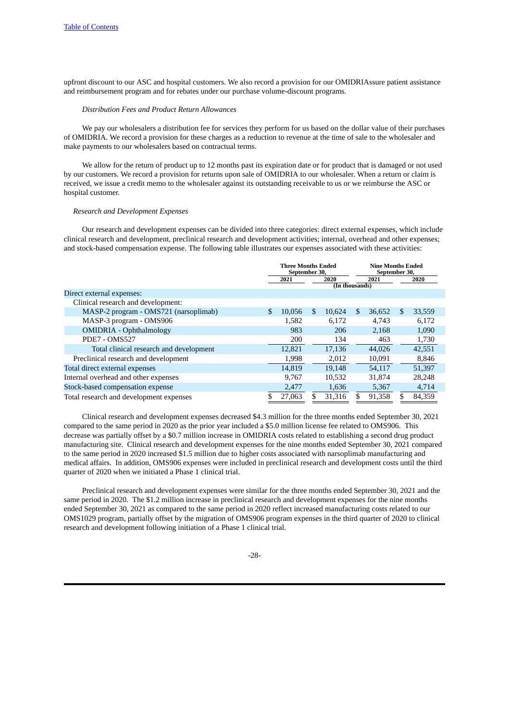upfront discount to our ASC and hospital customers. We also record a provision for our OMIDRIAssure patient assistance and reimbursement program and for rebates under our purchase volume-discount programs.

#### *Distribution Fees and Product Return Allowances*

We pay our wholesalers a distribution fee for services they perform for us based on the dollar value of their purchases of OMIDRIA. We record a provision for these charges as a reduction to revenue at the time of sale to the wholesaler and make payments to our wholesalers based on contractual terms.

We allow for the return of product up to 12 months past its expiration date or for product that is damaged or not used by our customers. We record a provision for returns upon sale of OMIDRIA to our wholesaler. When a return or claim is received, we issue a credit memo to the wholesaler against its outstanding receivable to us or we reimburse the ASC or hospital customer.

#### *Research and Development Expenses*

Our research and development expenses can be divided into three categories: direct external expenses, which include clinical research and development, preclinical research and development activities; internal, overhead and other expenses; and stock-based compensation expense. The following table illustrates our expenses associated with these activities:

|                                         | <b>Three Months Ended</b><br>September 30, |        |    |                        |    | <b>Nine Months Ended</b><br>September 30, |     |        |
|-----------------------------------------|--------------------------------------------|--------|----|------------------------|----|-------------------------------------------|-----|--------|
|                                         |                                            | 2021   |    | 2020<br>(In thousands) |    | 2021                                      |     | 2020   |
| Direct external expenses:               |                                            |        |    |                        |    |                                           |     |        |
| Clinical research and development:      |                                            |        |    |                        |    |                                           |     |        |
| MASP-2 program - OMS721 (narsoplimab)   | \$                                         | 10,056 | \$ | 10.624                 | \$ | 36.652                                    | \$. | 33,559 |
| MASP-3 program - OMS906                 |                                            | 1,582  |    | 6,172                  |    | 4,743                                     |     | 6,172  |
| <b>OMIDRIA</b> - Ophthalmology          |                                            | 983    |    | 206                    |    | 2,168                                     |     | 1,090  |
| <b>PDE7 - OMS527</b>                    |                                            | 200    |    | 134                    |    | 463                                       |     | 1,730  |
| Total clinical research and development |                                            | 12.821 |    | 17,136                 |    | 44,026                                    |     | 42,551 |
| Preclinical research and development    |                                            | 1,998  |    | 2,012                  |    | 10,091                                    |     | 8,846  |
| Total direct external expenses          |                                            | 14.819 |    | 19,148                 |    | 54,117                                    |     | 51,397 |
| Internal overhead and other expenses    |                                            | 9,767  |    | 10,532                 |    | 31,874                                    |     | 28,248 |
| Stock-based compensation expense        |                                            | 2,477  |    | 1,636                  |    | 5,367                                     |     | 4,714  |
| Total research and development expenses |                                            | 27,063 |    | 31.316                 | \$ | 91,358                                    | \$  | 84,359 |

Clinical research and development expenses decreased \$4.3 million for the three months ended September 30, 2021 compared to the same period in 2020 as the prior year included a \$5.0 million license fee related to OMS906. This decrease was partially offset by a \$0.7 million increase in OMIDRIA costs related to establishing a second drug product manufacturing site. Clinical research and development expenses for the nine months ended September 30, 2021 compared to the same period in 2020 increased \$1.5 million due to higher costs associated with narsoplimab manufacturing and medical affairs. In addition, OMS906 expenses were included in preclinical research and development costs until the third quarter of 2020 when we initiated a Phase 1 clinical trial.

Preclinical research and development expenses were similar for the three months ended September 30, 2021 and the same period in 2020. The \$1.2 million increase in preclinical research and development expenses for the nine months ended September 30, 2021 as compared to the same period in 2020 reflect increased manufacturing costs related to our OMS1029 program, partially offset by the migration of OMS906 program expenses in the third quarter of 2020 to clinical research and development following initiation of a Phase 1 clinical trial.

#### -28-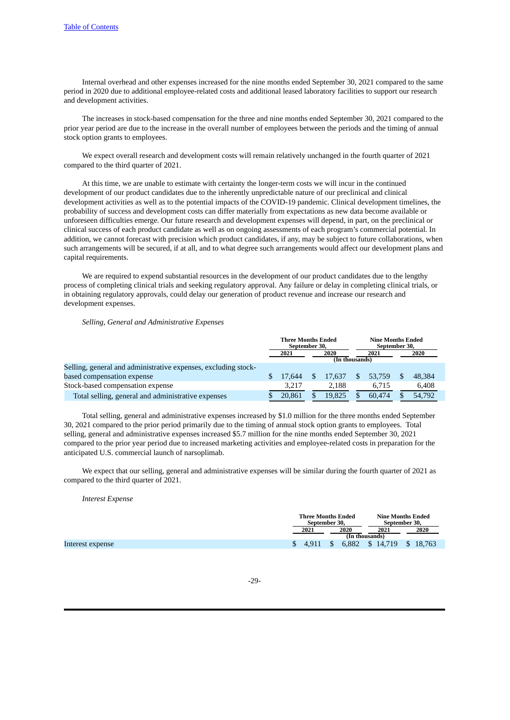Internal overhead and other expenses increased for the nine months ended September 30, 2021 compared to the same period in 2020 due to additional employee-related costs and additional leased laboratory facilities to support our research and development activities.

The increases in stock-based compensation for the three and nine months ended September 30, 2021 compared to the prior year period are due to the increase in the overall number of employees between the periods and the timing of annual stock option grants to employees.

We expect overall research and development costs will remain relatively unchanged in the fourth quarter of 2021 compared to the third quarter of 2021.

At this time, we are unable to estimate with certainty the longer-term costs we will incur in the continued development of our product candidates due to the inherently unpredictable nature of our preclinical and clinical development activities as well as to the potential impacts of the COVID-19 pandemic. Clinical development timelines, the probability of success and development costs can differ materially from expectations as new data become available or unforeseen difficulties emerge. Our future research and development expenses will depend, in part, on the preclinical or clinical success of each product candidate as well as on ongoing assessments of each program's commercial potential. In addition, we cannot forecast with precision which product candidates, if any, may be subject to future collaborations, when such arrangements will be secured, if at all, and to what degree such arrangements would affect our development plans and capital requirements.

We are required to expend substantial resources in the development of our product candidates due to the lengthy process of completing clinical trials and seeking regulatory approval. Any failure or delay in completing clinical trials, or in obtaining regulatory approvals, could delay our generation of product revenue and increase our research and development expenses.

#### *Selling, General and Administrative Expenses*

|                                                                | <b>Three Months Ended</b><br>September 30, |        |  |        |                        |        | <b>Nine Months Ended</b><br>September 30, |        |
|----------------------------------------------------------------|--------------------------------------------|--------|--|--------|------------------------|--------|-------------------------------------------|--------|
|                                                                |                                            | 2021   |  | 2020   | 2021<br>(In thousands) |        |                                           | 2020   |
| Selling, general and administrative expenses, excluding stock- |                                            |        |  |        |                        |        |                                           |        |
| based compensation expense                                     |                                            | 17.644 |  | 17.637 | \$.                    | 53.759 |                                           | 48,384 |
| Stock-based compensation expense                               |                                            | 3.217  |  | 2.188  |                        | 6.715  |                                           | 6.408  |
| Total selling, general and administrative expenses             |                                            | 20.861 |  | 19,825 |                        | 60,474 |                                           | 54.792 |

Total selling, general and administrative expenses increased by \$1.0 million for the three months ended September 30, 2021 compared to the prior period primarily due to the timing of annual stock option grants to employees. Total selling, general and administrative expenses increased \$5.7 million for the nine months ended September 30, 2021 compared to the prior year period due to increased marketing activities and employee-related costs in preparation for the anticipated U.S. commercial launch of narsoplimab.

We expect that our selling, general and administrative expenses will be similar during the fourth quarter of 2021 as compared to the third quarter of 2021.

#### *Interest Expense*

|                  |       | <b>Three Months Ended</b><br>September 30. |  |                           | Nine Months Ended<br>September 30. |
|------------------|-------|--------------------------------------------|--|---------------------------|------------------------------------|
|                  | 2021  | 2020                                       |  | 2021                      | 2020                               |
|                  |       |                                            |  | (In thousands)            |                                    |
| Interest expense | 4.911 | \$.                                        |  | 6,882 \$ 14,719 \$ 18,763 |                                    |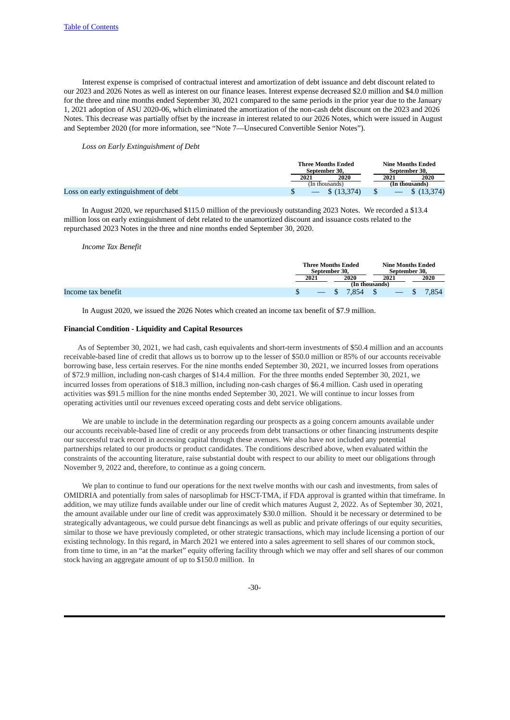Interest expense is comprised of contractual interest and amortization of debt issuance and debt discount related to our 2023 and 2026 Notes as well as interest on our finance leases. Interest expense decreased \$2.0 million and \$4.0 million for the three and nine months ended September 30, 2021 compared to the same periods in the prior year due to the January 1, 2021 adoption of ASU 2020-06, which eliminated the amortization of the non-cash debt discount on the 2023 and 2026 Notes. This decrease was partially offset by the increase in interest related to our 2026 Notes, which were issued in August and September 2020 (for more information, see "Note 7—Unsecured Convertible Senior Notes").

#### *Loss on Early Extinguishment of Debt*

|                                      | <b>Three Months Ended</b><br>September 30. |              |                |  | <b>Nine Months Ended</b><br>September 30. |                |
|--------------------------------------|--------------------------------------------|--------------|----------------|--|-------------------------------------------|----------------|
|                                      |                                            | 2020<br>2021 |                |  | 2021                                      | 2020           |
|                                      |                                            |              | (In thousands) |  |                                           | (In thousands) |
| Loss on early extinguishment of debt |                                            |              | \$(13,374)     |  |                                           | \$(13,374)     |

In August 2020, we repurchased \$115.0 million of the previously outstanding 2023 Notes. We recorded a \$13.4 million loss on early extinguishment of debt related to the unamortized discount and issuance costs related to the repurchased 2023 Notes in the three and nine months ended September 30, 2020.

*Income Tax Benefit*

|                    | <b>Three Months Ended</b><br>September 30. |  |                | <b>Nine Months Ended</b><br>September 30. |      |  |       |  |
|--------------------|--------------------------------------------|--|----------------|-------------------------------------------|------|--|-------|--|
|                    | 2020<br>2021                               |  | 2021           |                                           | 2020 |  |       |  |
|                    |                                            |  | (In thousands) |                                           |      |  |       |  |
| Income tax benefit |                                            |  | 7.854          |                                           |      |  | 7.854 |  |

In August 2020, we issued the 2026 Notes which created an income tax benefit of \$7.9 million.

#### **Financial Condition - Liquidity and Capital Resources**

As of September 30, 2021, we had cash, cash equivalents and short-term investments of \$50.4 million and an accounts receivable-based line of credit that allows us to borrow up to the lesser of \$50.0 million or 85% of our accounts receivable borrowing base, less certain reserves. For the nine months ended September 30, 2021, we incurred losses from operations of \$72.9 million, including non-cash charges of \$14.4 million. For the three months ended September 30, 2021, we incurred losses from operations of \$18.3 million, including non-cash charges of \$6.4 million. Cash used in operating activities was \$91.5 million for the nine months ended September 30, 2021. We will continue to incur losses from operating activities until our revenues exceed operating costs and debt service obligations.

We are unable to include in the determination regarding our prospects as a going concern amounts available under our accounts receivable-based line of credit or any proceeds from debt transactions or other financing instruments despite our successful track record in accessing capital through these avenues. We also have not included any potential partnerships related to our products or product candidates. The conditions described above, when evaluated within the constraints of the accounting literature, raise substantial doubt with respect to our ability to meet our obligations through November 9, 2022 and, therefore, to continue as a going concern.

We plan to continue to fund our operations for the next twelve months with our cash and investments, from sales of OMIDRIA and potentially from sales of narsoplimab for HSCT-TMA, if FDA approval is granted within that timeframe. In addition, we may utilize funds available under our line of credit which matures August 2, 2022. As of September 30, 2021, the amount available under our line of credit was approximately \$30.0 million. Should it be necessary or determined to be strategically advantageous, we could pursue debt financings as well as public and private offerings of our equity securities, similar to those we have previously completed, or other strategic transactions, which may include licensing a portion of our existing technology. In this regard, in March 2021 we entered into a sales agreement to sell shares of our common stock, from time to time, in an "at the market" equity offering facility through which we may offer and sell shares of our common stock having an aggregate amount of up to \$150.0 million. In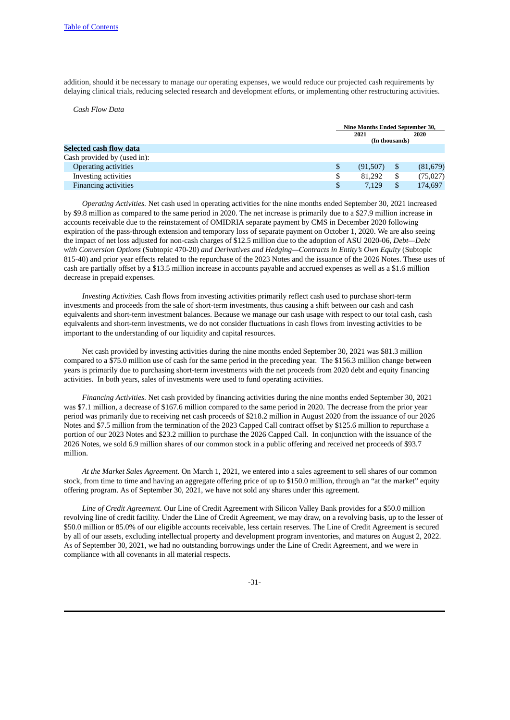addition, should it be necessary to manage our operating expenses, we would reduce our projected cash requirements by delaying clinical trials, reducing selected research and development efforts, or implementing other restructuring activities.

#### *Cash Flow Data*

|                                | Nine Months Ended September 30, |  |           |  |
|--------------------------------|---------------------------------|--|-----------|--|
|                                | 2021<br>2020<br>(In thousands)  |  |           |  |
| <b>Selected cash flow data</b> |                                 |  |           |  |
| Cash provided by (used in):    |                                 |  |           |  |
| <b>Operating activities</b>    | (91,507)<br>\$                  |  | (81, 679) |  |
| Investing activities           | \$<br>81.292                    |  | (75,027)  |  |
| <b>Financing activities</b>    | \$<br>7.129                     |  | 174,697   |  |

*Operating Activities.* Net cash used in operating activities for the nine months ended September 30, 2021 increased by \$9.8 million as compared to the same period in 2020. The net increase is primarily due to a \$27.9 million increase in accounts receivable due to the reinstatement of OMIDRIA separate payment by CMS in December 2020 following expiration of the pass-through extension and temporary loss of separate payment on October 1, 2020. We are also seeing the impact of net loss adjusted for non-cash charges of \$12.5 million due to the adoption of ASU 2020-06, *Debt—Debt with Conversion Options* (Subtopic 470-20) *and Derivatives and Hedging—Contracts in Entity's Own Equity* (Subtopic 815-40) and prior year effects related to the repurchase of the 2023 Notes and the issuance of the 2026 Notes. These uses of cash are partially offset by a \$13.5 million increase in accounts payable and accrued expenses as well as a \$1.6 million decrease in prepaid expenses.

*Investing Activities.* Cash flows from investing activities primarily reflect cash used to purchase short-term investments and proceeds from the sale of short-term investments, thus causing a shift between our cash and cash equivalents and short-term investment balances. Because we manage our cash usage with respect to our total cash, cash equivalents and short-term investments, we do not consider fluctuations in cash flows from investing activities to be important to the understanding of our liquidity and capital resources.

Net cash provided by investing activities during the nine months ended September 30, 2021 was \$81.3 million compared to a \$75.0 million use of cash for the same period in the preceding year. The \$156.3 million change between years is primarily due to purchasing short-term investments with the net proceeds from 2020 debt and equity financing activities. In both years, sales of investments were used to fund operating activities.

*Financing Activities.* Net cash provided by financing activities during the nine months ended September 30, 2021 was \$7.1 million, a decrease of \$167.6 million compared to the same period in 2020. The decrease from the prior year period was primarily due to receiving net cash proceeds of \$218.2 million in August 2020 from the issuance of our 2026 Notes and \$7.5 million from the termination of the 2023 Capped Call contract offset by \$125.6 million to repurchase a portion of our 2023 Notes and \$23.2 million to purchase the 2026 Capped Call. In conjunction with the issuance of the 2026 Notes, we sold 6.9 million shares of our common stock in a public offering and received net proceeds of \$93.7 million.

*At the Market Sales Agreement.* On March 1, 2021, we entered into a sales agreement to sell shares of our common stock, from time to time and having an aggregate offering price of up to \$150.0 million, through an "at the market" equity offering program. As of September 30, 2021, we have not sold any shares under this agreement.

*Line of Credit Agreement.* Our Line of Credit Agreement with Silicon Valley Bank provides for a \$50.0 million revolving line of credit facility. Under the Line of Credit Agreement, we may draw, on a revolving basis, up to the lesser of \$50.0 million or 85.0% of our eligible accounts receivable, less certain reserves. The Line of Credit Agreement is secured by all of our assets, excluding intellectual property and development program inventories, and matures on August 2, 2022. As of September 30, 2021, we had no outstanding borrowings under the Line of Credit Agreement, and we were in compliance with all covenants in all material respects.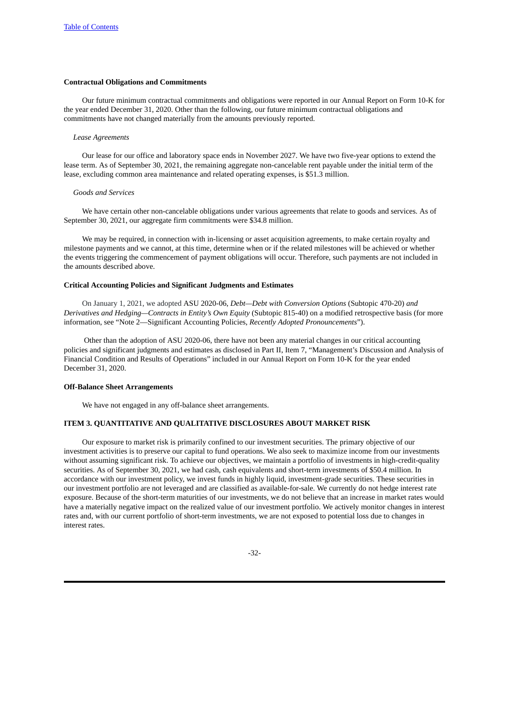#### **Contractual Obligations and Commitments**

Our future minimum contractual commitments and obligations were reported in our Annual Report on Form 10-K for the year ended December 31, 2020. Other than the following, our future minimum contractual obligations and commitments have not changed materially from the amounts previously reported.

#### *Lease Agreements*

Our lease for our office and laboratory space ends in November 2027. We have two five-year options to extend the lease term. As of September 30, 2021, the remaining aggregate non-cancelable rent payable under the initial term of the lease, excluding common area maintenance and related operating expenses, is \$51.3 million.

#### *Goods and Services*

We have certain other non-cancelable obligations under various agreements that relate to goods and services. As of September 30, 2021, our aggregate firm commitments were \$34.8 million.

We may be required, in connection with in-licensing or asset acquisition agreements, to make certain royalty and milestone payments and we cannot, at this time, determine when or if the related milestones will be achieved or whether the events triggering the commencement of payment obligations will occur. Therefore, such payments are not included in the amounts described above.

#### **Critical Accounting Policies and Significant Judgments and Estimates**

On January 1, 2021, we adopted ASU 2020-06, *Debt—Debt with Conversion Options* (Subtopic 470-20) *and Derivatives and Hedging—Contracts in Entity's Own Equity* (Subtopic 815-40) on a modified retrospective basis (for more information, see "Note 2—Significant Accounting Policies, *Recently Adopted Pronouncements*").

Other than the adoption of ASU 2020-06, there have not been any material changes in our critical accounting policies and significant judgments and estimates as disclosed in Part II, Item 7, "Management's Discussion and Analysis of Financial Condition and Results of Operations" included in our Annual Report on Form 10-K for the year ended December 31, 2020.

#### **Off-Balance Sheet Arrangements**

We have not engaged in any off-balance sheet arrangements.

#### <span id="page-31-0"></span>**ITEM 3. QUANTITATIVE AND QUALITATIVE DISCLOSURES ABOUT MARKET RISK**

Our exposure to market risk is primarily confined to our investment securities. The primary objective of our investment activities is to preserve our capital to fund operations. We also seek to maximize income from our investments without assuming significant risk. To achieve our objectives, we maintain a portfolio of investments in high-credit-quality securities. As of September 30, 2021, we had cash, cash equivalents and short-term investments of \$50.4 million. In accordance with our investment policy, we invest funds in highly liquid, investment-grade securities. These securities in our investment portfolio are not leveraged and are classified as available-for-sale. We currently do not hedge interest rate exposure. Because of the short-term maturities of our investments, we do not believe that an increase in market rates would have a materially negative impact on the realized value of our investment portfolio. We actively monitor changes in interest rates and, with our current portfolio of short-term investments, we are not exposed to potential loss due to changes in interest rates.

#### -32-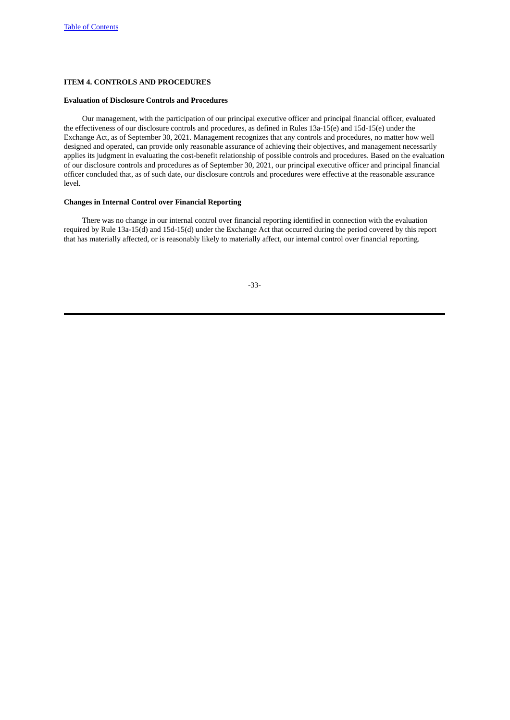### <span id="page-32-0"></span>**ITEM 4. CONTROLS AND PROCEDURES**

#### **Evaluation of Disclosure Controls and Procedures**

Our management, with the participation of our principal executive officer and principal financial officer, evaluated the effectiveness of our disclosure controls and procedures, as defined in Rules 13a-15(e) and 15d-15(e) under the Exchange Act, as of September 30, 2021. Management recognizes that any controls and procedures, no matter how well designed and operated, can provide only reasonable assurance of achieving their objectives, and management necessarily applies its judgment in evaluating the cost-benefit relationship of possible controls and procedures. Based on the evaluation of our disclosure controls and procedures as of September 30, 2021, our principal executive officer and principal financial officer concluded that, as of such date, our disclosure controls and procedures were effective at the reasonable assurance level.

#### **Changes in Internal Control over Financial Reporting**

There was no change in our internal control over financial reporting identified in connection with the evaluation required by Rule 13a-15(d) and 15d-15(d) under the Exchange Act that occurred during the period covered by this report that has materially affected, or is reasonably likely to materially affect, our internal control over financial reporting.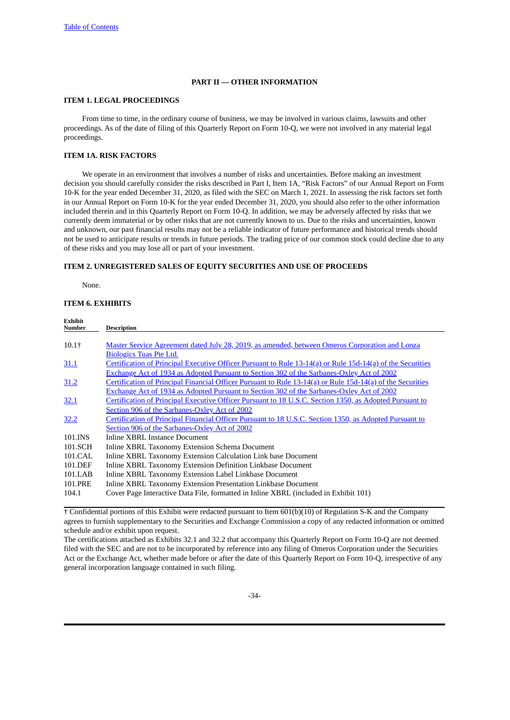#### **PART II — OTHER INFORMATION**

#### <span id="page-33-1"></span><span id="page-33-0"></span>**ITEM 1. LEGAL PROCEEDINGS**

From time to time, in the ordinary course of business, we may be involved in various claims, lawsuits and other proceedings. As of the date of filing of this Quarterly Report on Form 10-Q, we were not involved in any material legal proceedings.

#### <span id="page-33-2"></span>**ITEM 1A. RISK FACTORS**

We operate in an environment that involves a number of risks and uncertainties. Before making an investment decision you should carefully consider the risks described in Part I, Item 1A, "Risk Factors" of our Annual Report on Form 10-K for the year ended December 31, 2020, as filed with the SEC on March 1, 2021. In assessing the risk factors set forth in our Annual Report on Form 10-K for the year ended December 31, 2020, you should also refer to the other information included therein and in this Quarterly Report on Form 10-Q. In addition, we may be adversely affected by risks that we currently deem immaterial or by other risks that are not currently known to us. Due to the risks and uncertainties, known and unknown, our past financial results may not be a reliable indicator of future performance and historical trends should not be used to anticipate results or trends in future periods. The trading price of our common stock could decline due to any of these risks and you may lose all or part of your investment.

#### <span id="page-33-3"></span>**ITEM 2. UNREGISTERED SALES OF EQUITY SECURITIES AND USE OF PROCEEDS**

None.

## <span id="page-33-4"></span>**ITEM 6. EXHIBITS**

| <b>Exhibit</b><br><b>Number</b> | <b>Description</b>                                                                                         |
|---------------------------------|------------------------------------------------------------------------------------------------------------|
| $10.1+$                         | <u>Master Service Agreement dated July 28, 2019, as amended, between Omeros Corporation and Lonza</u>      |
|                                 | <b>Biologics Tuas Pte Ltd.</b>                                                                             |
| <u>31.1</u>                     | Certification of Principal Executive Officer Pursuant to Rule 13-14(a) or Rule 15d-14(a) of the Securities |
|                                 | Exchange Act of 1934 as Adopted Pursuant to Section 302 of the Sarbanes-Oxley Act of 2002                  |
| 31.2                            | Certification of Principal Financial Officer Pursuant to Rule 13-14(a) or Rule 15d-14(a) of the Securities |
|                                 | Exchange Act of 1934 as Adopted Pursuant to Section 302 of the Sarbanes-Oxley Act of 2002                  |
| 32.1                            | Certification of Principal Executive Officer Pursuant to 18 U.S.C. Section 1350, as Adopted Pursuant to    |
|                                 | Section 906 of the Sarbanes-Oxley Act of 2002                                                              |
| 32.2                            | Certification of Principal Financial Officer Pursuant to 18 U.S.C. Section 1350, as Adopted Pursuant to    |
|                                 | Section 906 of the Sarbanes-Oxley Act of 2002                                                              |
| 101.INS                         | Inline XBRL Instance Document                                                                              |
| 101.SCH                         | Inline XBRL Taxonomy Extension Schema Document                                                             |
| 101.CAL                         | Inline XBRL Taxonomy Extension Calculation Link base Document                                              |
| 101.DEF                         | Inline XBRL Taxonomy Extension Definition Linkbase Document                                                |
| 101.LAB                         | Inline XBRL Taxonomy Extension Label Linkbase Document                                                     |
| 101.PRE                         | Inline XBRL Taxonomy Extension Presentation Linkbase Document                                              |
| 104.1                           | Cover Page Interactive Data File, formatted in Inline XBRL (included in Exhibit 101)                       |

† Confidential portions of this Exhibit were redacted pursuant to Item 601(b)(10) of Regulation S-K and the Company agrees to furnish supplementary to the Securities and Exchange Commission a copy of any redacted information or omitted schedule and/or exhibit upon request.

The certifications attached as Exhibits 32.1 and 32.2 that accompany this Quarterly Report on Form 10-Q are not deemed filed with the SEC and are not to be incorporated by reference into any filing of Omeros Corporation under the Securities Act or the Exchange Act, whether made before or after the date of this Quarterly Report on Form 10-Q, irrespective of any general incorporation language contained in such filing.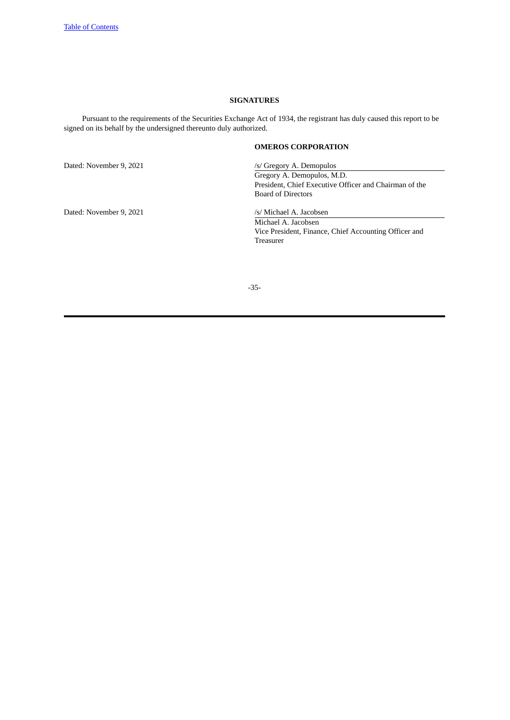## **SIGNATURES**

<span id="page-34-0"></span>Pursuant to the requirements of the Securities Exchange Act of 1934, the registrant has duly caused this report to be signed on its behalf by the undersigned thereunto duly authorized.

## **OMEROS CORPORATION**

Dated: November 9, 2021 /s/ Gregory A. Demopulos

Gregory A. Demopulos, M.D. President, Chief Executive Officer and Chairman of the Board of Directors

Dated: November 9, 2021 /s/ Michael A. Jacobsen

Michael A. Jacobsen Vice President, Finance, Chief Accounting Officer and Treasurer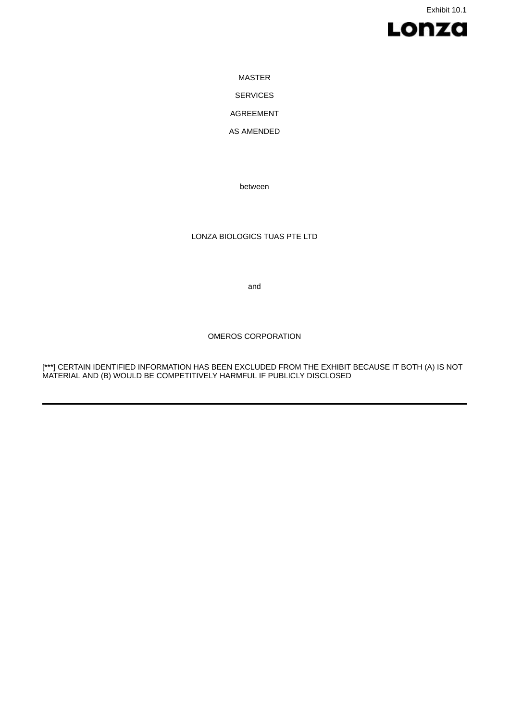



<span id="page-35-0"></span>MASTER

SERVICES

AGREEMENT

AS AMENDED

between

LONZA BIOLOGICS TUAS PTE LTD

and

OMEROS CORPORATION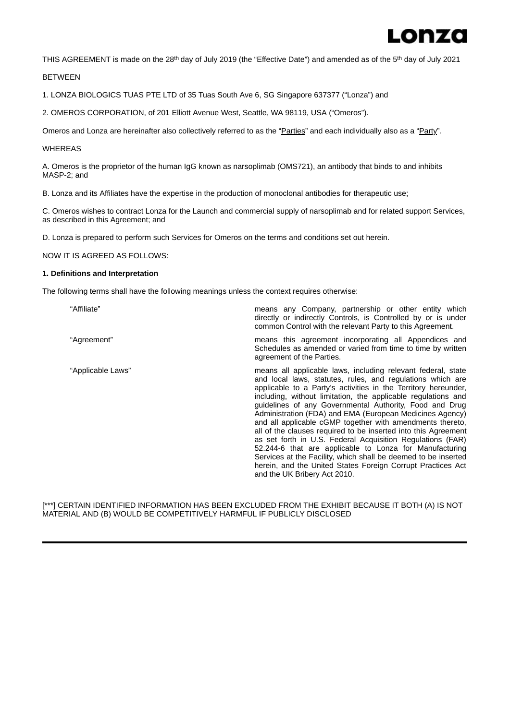

THIS AGREEMENT is made on the 28<sup>th</sup> day of July 2019 (the "Effective Date") and amended as of the 5<sup>th</sup> day of July 2021

BETWEEN

1. LONZA BIOLOGICS TUAS PTE LTD of 35 Tuas South Ave 6, SG Singapore 637377 ("Lonza") and

2. OMEROS CORPORATION, of 201 Elliott Avenue West, Seattle, WA 98119, USA ("Omeros").

Omeros and Lonza are hereinafter also collectively referred to as the "Parties" and each individually also as a "Party".

WHEREAS

A. Omeros is the proprietor of the human IgG known as narsoplimab (OMS721), an antibody that binds to and inhibits MASP-2; and

B. Lonza and its Affiliates have the expertise in the production of monoclonal antibodies for therapeutic use;

C. Omeros wishes to contract Lonza for the Launch and commercial supply of narsoplimab and for related support Services, as described in this Agreement; and

D. Lonza is prepared to perform such Services for Omeros on the terms and conditions set out herein.

NOW IT IS AGREED AS FOLLOWS:

#### **1. Definitions and Interpretation**

The following terms shall have the following meanings unless the context requires otherwise:

| "Affiliate"       | means any Company, partnership or other entity which<br>directly or indirectly Controls, is Controlled by or is under<br>common Control with the relevant Party to this Agreement.                                                                                                                                                                                                                                                                                                                                                                                                                                                                                                                                                                                                                            |
|-------------------|---------------------------------------------------------------------------------------------------------------------------------------------------------------------------------------------------------------------------------------------------------------------------------------------------------------------------------------------------------------------------------------------------------------------------------------------------------------------------------------------------------------------------------------------------------------------------------------------------------------------------------------------------------------------------------------------------------------------------------------------------------------------------------------------------------------|
| "Agreement"       | means this agreement incorporating all Appendices and<br>Schedules as amended or varied from time to time by written<br>agreement of the Parties.                                                                                                                                                                                                                                                                                                                                                                                                                                                                                                                                                                                                                                                             |
| "Applicable Laws" | means all applicable laws, including relevant federal, state<br>and local laws, statutes, rules, and regulations which are<br>applicable to a Party's activities in the Territory hereunder,<br>including, without limitation, the applicable regulations and<br>quidelines of any Governmental Authority, Food and Drug<br>Administration (FDA) and EMA (European Medicines Agency)<br>and all applicable cGMP together with amendments thereto,<br>all of the clauses required to be inserted into this Agreement<br>as set forth in U.S. Federal Acquisition Regulations (FAR)<br>52.244-6 that are applicable to Lonza for Manufacturing<br>Services at the Facility, which shall be deemed to be inserted<br>herein, and the United States Foreign Corrupt Practices Act<br>and the UK Bribery Act 2010. |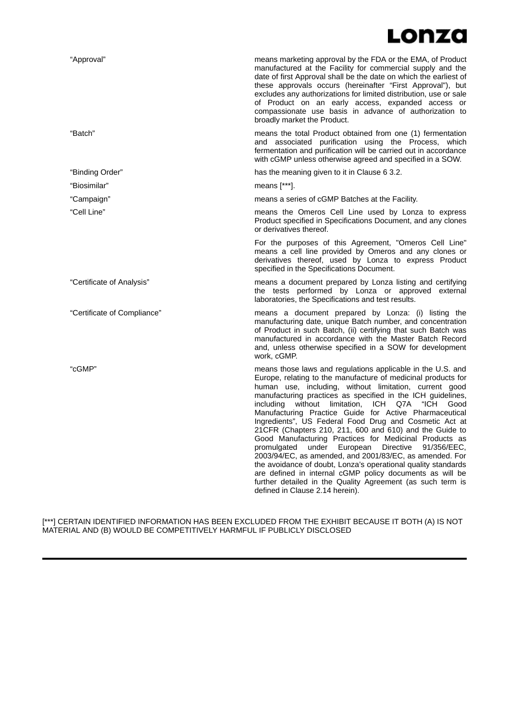## Lonza

| "Approval"                  | means marketing approval by the FDA or the EMA, of Product<br>manufactured at the Facility for commercial supply and the<br>date of first Approval shall be the date on which the earliest of<br>these approvals occurs (hereinafter "First Approval"), but<br>excludes any authorizations for limited distribution, use or sale<br>of Product on an early access, expanded access or<br>compassionate use basis in advance of authorization to<br>broadly market the Product.                                                                                                                                                                                                                                                                                                                                                                                                                                       |
|-----------------------------|----------------------------------------------------------------------------------------------------------------------------------------------------------------------------------------------------------------------------------------------------------------------------------------------------------------------------------------------------------------------------------------------------------------------------------------------------------------------------------------------------------------------------------------------------------------------------------------------------------------------------------------------------------------------------------------------------------------------------------------------------------------------------------------------------------------------------------------------------------------------------------------------------------------------|
| "Batch"                     | means the total Product obtained from one (1) fermentation<br>and associated purification using the Process, which<br>fermentation and purification will be carried out in accordance<br>with cGMP unless otherwise agreed and specified in a SOW.                                                                                                                                                                                                                                                                                                                                                                                                                                                                                                                                                                                                                                                                   |
| "Binding Order"             | has the meaning given to it in Clause 6 3.2.                                                                                                                                                                                                                                                                                                                                                                                                                                                                                                                                                                                                                                                                                                                                                                                                                                                                         |
| "Biosimilar"                | means $[***]$ .                                                                                                                                                                                                                                                                                                                                                                                                                                                                                                                                                                                                                                                                                                                                                                                                                                                                                                      |
| "Campaign"                  | means a series of cGMP Batches at the Facility.                                                                                                                                                                                                                                                                                                                                                                                                                                                                                                                                                                                                                                                                                                                                                                                                                                                                      |
| "Cell Line"                 | means the Omeros Cell Line used by Lonza to express<br>Product specified in Specifications Document, and any clones<br>or derivatives thereof.                                                                                                                                                                                                                                                                                                                                                                                                                                                                                                                                                                                                                                                                                                                                                                       |
|                             | For the purposes of this Agreement, "Omeros Cell Line"<br>means a cell line provided by Omeros and any clones or<br>derivatives thereof, used by Lonza to express Product<br>specified in the Specifications Document.                                                                                                                                                                                                                                                                                                                                                                                                                                                                                                                                                                                                                                                                                               |
| "Certificate of Analysis"   | means a document prepared by Lonza listing and certifying<br>the tests performed by Lonza or approved external<br>laboratories, the Specifications and test results.                                                                                                                                                                                                                                                                                                                                                                                                                                                                                                                                                                                                                                                                                                                                                 |
| "Certificate of Compliance" | means a document prepared by Lonza: (i) listing the<br>manufacturing date, unique Batch number, and concentration<br>of Product in such Batch, (ii) certifying that such Batch was<br>manufactured in accordance with the Master Batch Record<br>and, unless otherwise specified in a SOW for development<br>work, cGMP.                                                                                                                                                                                                                                                                                                                                                                                                                                                                                                                                                                                             |
| "cGMP"                      | means those laws and regulations applicable in the U.S. and<br>Europe, relating to the manufacture of medicinal products for<br>human use, including, without limitation, current good<br>manufacturing practices as specified in the ICH guidelines,<br>including without limitation, ICH Q7A "ICH<br>Good<br>Manufacturing Practice Guide for Active Pharmaceutical<br>Ingredients", US Federal Food Drug and Cosmetic Act at<br>21CFR (Chapters 210, 211, 600 and 610) and the Guide to<br>Good Manufacturing Practices for Medicinal Products as<br>promulgated<br>under<br>European<br><b>Directive</b><br>91/356/EEC.<br>2003/94/EC, as amended, and 2001/83/EC, as amended. For<br>the avoidance of doubt, Lonza's operational quality standards<br>are defined in internal cGMP policy documents as will be<br>further detailed in the Quality Agreement (as such term is<br>defined in Clause 2.14 herein). |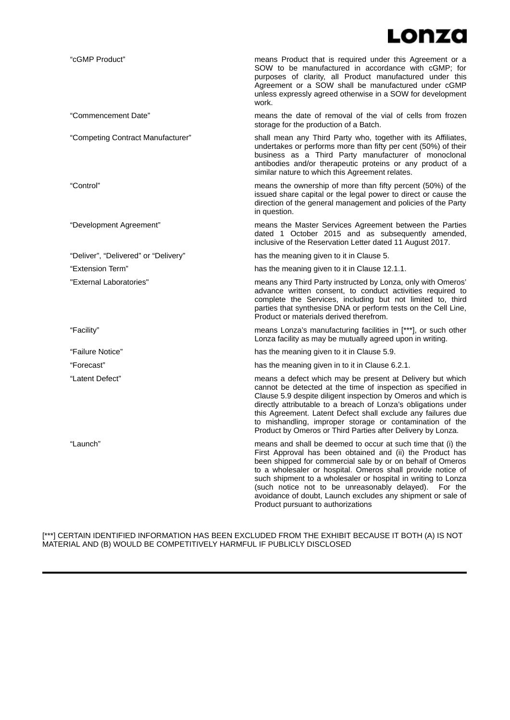# Lonza

| "cGMP Product"                       | means Product that is required under this Agreement or a<br>SOW to be manufactured in accordance with cGMP; for<br>purposes of clarity, all Product manufactured under this<br>Agreement or a SOW shall be manufactured under cGMP<br>unless expressly agreed otherwise in a SOW for development<br>work.                                                                                                                                                                             |
|--------------------------------------|---------------------------------------------------------------------------------------------------------------------------------------------------------------------------------------------------------------------------------------------------------------------------------------------------------------------------------------------------------------------------------------------------------------------------------------------------------------------------------------|
| "Commencement Date"                  | means the date of removal of the vial of cells from frozen<br>storage for the production of a Batch.                                                                                                                                                                                                                                                                                                                                                                                  |
| "Competing Contract Manufacturer"    | shall mean any Third Party who, together with its Affiliates,<br>undertakes or performs more than fifty per cent (50%) of their<br>business as a Third Party manufacturer of monoclonal<br>antibodies and/or therapeutic proteins or any product of a<br>similar nature to which this Agreement relates.                                                                                                                                                                              |
| "Control"                            | means the ownership of more than fifty percent (50%) of the<br>issued share capital or the legal power to direct or cause the<br>direction of the general management and policies of the Party<br>in question.                                                                                                                                                                                                                                                                        |
| "Development Agreement"              | means the Master Services Agreement between the Parties<br>dated 1 October 2015 and as subsequently amended,<br>inclusive of the Reservation Letter dated 11 August 2017.                                                                                                                                                                                                                                                                                                             |
| "Deliver", "Delivered" or "Delivery" | has the meaning given to it in Clause 5.                                                                                                                                                                                                                                                                                                                                                                                                                                              |
| "Extension Term"                     | has the meaning given to it in Clause 12.1.1.                                                                                                                                                                                                                                                                                                                                                                                                                                         |
| "External Laboratories"              | means any Third Party instructed by Lonza, only with Omeros'<br>advance written consent, to conduct activities required to<br>complete the Services, including but not limited to, third<br>parties that synthesise DNA or perform tests on the Cell Line,<br>Product or materials derived therefrom.                                                                                                                                                                                 |
| "Facility"                           | means Lonza's manufacturing facilities in [***], or such other<br>Lonza facility as may be mutually agreed upon in writing.                                                                                                                                                                                                                                                                                                                                                           |
| "Failure Notice"                     | has the meaning given to it in Clause 5.9.                                                                                                                                                                                                                                                                                                                                                                                                                                            |
| "Forecast"                           | has the meaning given in to it in Clause 6.2.1.                                                                                                                                                                                                                                                                                                                                                                                                                                       |
| "Latent Defect"                      | means a defect which may be present at Delivery but which<br>cannot be detected at the time of inspection as specified in<br>Clause 5.9 despite diligent inspection by Omeros and which is<br>directly attributable to a breach of Lonza's obligations under<br>this Agreement. Latent Defect shall exclude any failures due<br>to mishandling, improper storage or contamination of the<br>Product by Omeros or Third Parties after Delivery by Lonza.                               |
| "Launch"                             | means and shall be deemed to occur at such time that (i) the<br>First Approval has been obtained and (ii) the Product has<br>been shipped for commercial sale by or on behalf of Omeros<br>to a wholesaler or hospital. Omeros shall provide notice of<br>such shipment to a wholesaler or hospital in writing to Lonza<br>(such notice not to be unreasonably delayed). For the<br>avoidance of doubt, Launch excludes any shipment or sale of<br>Product pursuant to authorizations |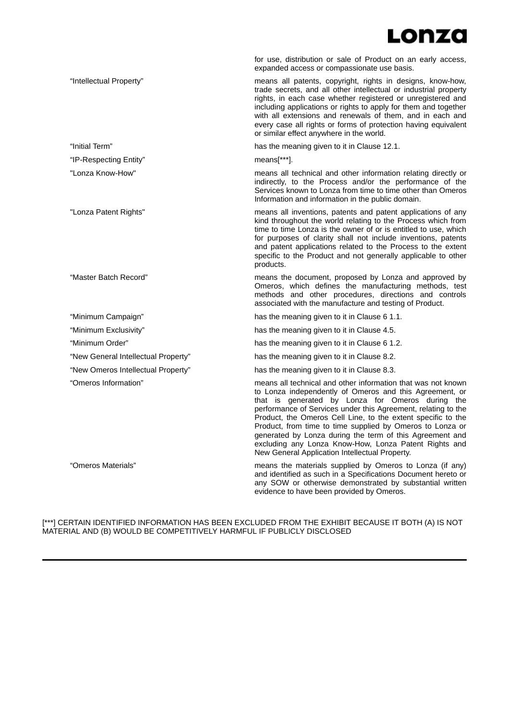

|                                     | for use, distribution or sale of Product on an early access,<br>expanded access or compassionate use basis.                                                                                                                                                                                                                                                                                                                                                                                                                                      |
|-------------------------------------|--------------------------------------------------------------------------------------------------------------------------------------------------------------------------------------------------------------------------------------------------------------------------------------------------------------------------------------------------------------------------------------------------------------------------------------------------------------------------------------------------------------------------------------------------|
| "Intellectual Property"             | means all patents, copyright, rights in designs, know-how,<br>trade secrets, and all other intellectual or industrial property<br>rights, in each case whether registered or unregistered and<br>including applications or rights to apply for them and together<br>with all extensions and renewals of them, and in each and<br>every case all rights or forms of protection having equivalent<br>or similar effect anywhere in the world.                                                                                                      |
| "Initial Term"                      | has the meaning given to it in Clause 12.1.                                                                                                                                                                                                                                                                                                                                                                                                                                                                                                      |
| "IP-Respecting Entity"              | means[***].                                                                                                                                                                                                                                                                                                                                                                                                                                                                                                                                      |
| "Lonza Know-How"                    | means all technical and other information relating directly or<br>indirectly, to the Process and/or the performance of the<br>Services known to Lonza from time to time other than Omeros<br>Information and information in the public domain.                                                                                                                                                                                                                                                                                                   |
| "Lonza Patent Rights"               | means all inventions, patents and patent applications of any<br>kind throughout the world relating to the Process which from<br>time to time Lonza is the owner of or is entitled to use, which<br>for purposes of clarity shall not include inventions, patents<br>and patent applications related to the Process to the extent<br>specific to the Product and not generally applicable to other<br>products.                                                                                                                                   |
| "Master Batch Record"               | means the document, proposed by Lonza and approved by<br>Omeros, which defines the manufacturing methods, test<br>methods and other procedures, directions and controls<br>associated with the manufacture and testing of Product.                                                                                                                                                                                                                                                                                                               |
| "Minimum Campaign"                  | has the meaning given to it in Clause 6 1.1.                                                                                                                                                                                                                                                                                                                                                                                                                                                                                                     |
| "Minimum Exclusivity"               | has the meaning given to it in Clause 4.5.                                                                                                                                                                                                                                                                                                                                                                                                                                                                                                       |
| "Minimum Order"                     | has the meaning given to it in Clause 6 1.2.                                                                                                                                                                                                                                                                                                                                                                                                                                                                                                     |
| "New General Intellectual Property" | has the meaning given to it in Clause 8.2.                                                                                                                                                                                                                                                                                                                                                                                                                                                                                                       |
| "New Omeros Intellectual Property"  | has the meaning given to it in Clause 8.3.                                                                                                                                                                                                                                                                                                                                                                                                                                                                                                       |
| "Omeros Information"                | means all technical and other information that was not known<br>to Lonza independently of Omeros and this Agreement, or<br>that is generated by Lonza for Omeros during the<br>performance of Services under this Agreement, relating to the<br>Product, the Omeros Cell Line, to the extent specific to the<br>Product, from time to time supplied by Omeros to Lonza or<br>generated by Lonza during the term of this Agreement and<br>excluding any Lonza Know-How, Lonza Patent Rights and<br>New General Application Intellectual Property. |
| "Omeros Materials"                  | means the materials supplied by Omeros to Lonza (if any)<br>and identified as such in a Specifications Document hereto or<br>any SOW or otherwise demonstrated by substantial written<br>evidence to have been provided by Omeros.                                                                                                                                                                                                                                                                                                               |
|                                     |                                                                                                                                                                                                                                                                                                                                                                                                                                                                                                                                                  |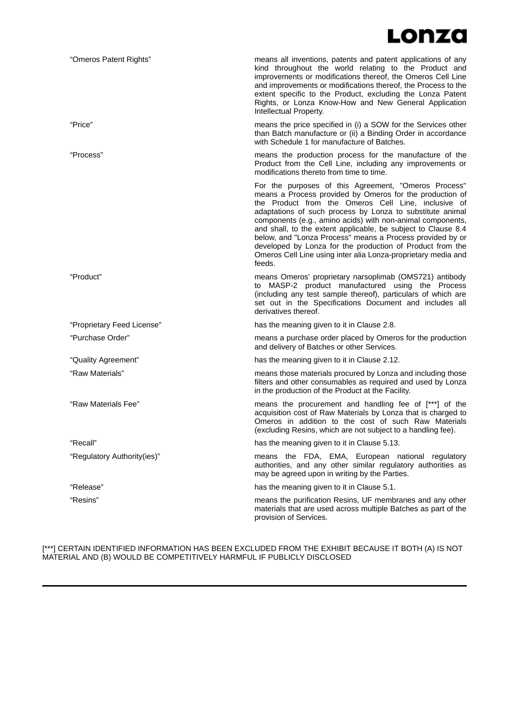

| "Omeros Patent Rights"      | means all inventions, patents and patent applications of any<br>kind throughout the world relating to the Product and<br>improvements or modifications thereof, the Omeros Cell Line<br>and improvements or modifications thereof, the Process to the<br>extent specific to the Product, excluding the Lonza Patent<br>Rights, or Lonza Know-How and New General Application<br>Intellectual Property.                                                                                                                                                                   |
|-----------------------------|--------------------------------------------------------------------------------------------------------------------------------------------------------------------------------------------------------------------------------------------------------------------------------------------------------------------------------------------------------------------------------------------------------------------------------------------------------------------------------------------------------------------------------------------------------------------------|
| "Price"                     | means the price specified in (i) a SOW for the Services other<br>than Batch manufacture or (ii) a Binding Order in accordance<br>with Schedule 1 for manufacture of Batches.                                                                                                                                                                                                                                                                                                                                                                                             |
| "Process"                   | means the production process for the manufacture of the<br>Product from the Cell Line, including any improvements or<br>modifications thereto from time to time.                                                                                                                                                                                                                                                                                                                                                                                                         |
|                             | For the purposes of this Agreement, "Omeros Process"<br>means a Process provided by Omeros for the production of<br>the Product from the Omeros Cell Line, inclusive of<br>adaptations of such process by Lonza to substitute animal<br>components (e.g., amino acids) with non-animal components,<br>and shall, to the extent applicable, be subject to Clause 8.4<br>below, and "Lonza Process" means a Process provided by or<br>developed by Lonza for the production of Product from the<br>Omeros Cell Line using inter alia Lonza-proprietary media and<br>feeds. |
| "Product"                   | means Omeros' proprietary narsoplimab (OMS721) antibody<br>to MASP-2 product manufactured using the Process<br>(including any test sample thereof), particulars of which are<br>set out in the Specifications Document and includes all<br>derivatives thereof.                                                                                                                                                                                                                                                                                                          |
| "Proprietary Feed License"  | has the meaning given to it in Clause 2.8.                                                                                                                                                                                                                                                                                                                                                                                                                                                                                                                               |
| "Purchase Order"            | means a purchase order placed by Omeros for the production<br>and delivery of Batches or other Services.                                                                                                                                                                                                                                                                                                                                                                                                                                                                 |
| "Quality Agreement"         | has the meaning given to it in Clause 2.12.                                                                                                                                                                                                                                                                                                                                                                                                                                                                                                                              |
| "Raw Materials"             | means those materials procured by Lonza and including those<br>filters and other consumables as required and used by Lonza<br>in the production of the Product at the Facility.                                                                                                                                                                                                                                                                                                                                                                                          |
| "Raw Materials Fee"         | means the procurement and handling fee of [***] of the<br>acquisition cost of Raw Materials by Lonza that is charged to<br>Omeros in addition to the cost of such Raw Materials<br>(excluding Resins, which are not subject to a handling fee).                                                                                                                                                                                                                                                                                                                          |
| "Recall"                    | has the meaning given to it in Clause 5.13.                                                                                                                                                                                                                                                                                                                                                                                                                                                                                                                              |
| "Regulatory Authority(ies)" | means the FDA, EMA, European national regulatory<br>authorities, and any other similar regulatory authorities as<br>may be agreed upon in writing by the Parties.                                                                                                                                                                                                                                                                                                                                                                                                        |
| "Release"                   | has the meaning given to it in Clause 5.1.                                                                                                                                                                                                                                                                                                                                                                                                                                                                                                                               |
| "Resins"                    | means the purification Resins, UF membranes and any other<br>materials that are used across multiple Batches as part of the<br>provision of Services.                                                                                                                                                                                                                                                                                                                                                                                                                    |
|                             |                                                                                                                                                                                                                                                                                                                                                                                                                                                                                                                                                                          |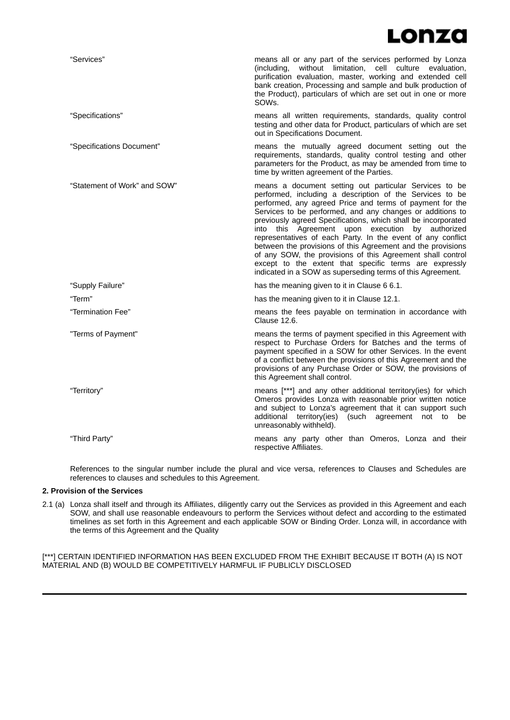# Lonza

| "Services"                   | means all or any part of the services performed by Lonza<br>(including, without limitation,<br>cell culture<br>evaluation,<br>purification evaluation, master, working and extended cell<br>bank creation, Processing and sample and bulk production of<br>the Product), particulars of which are set out in one or more<br>SOW <sub>S</sub> .                                                                                                                                                                                                                                                                                                                                       |
|------------------------------|--------------------------------------------------------------------------------------------------------------------------------------------------------------------------------------------------------------------------------------------------------------------------------------------------------------------------------------------------------------------------------------------------------------------------------------------------------------------------------------------------------------------------------------------------------------------------------------------------------------------------------------------------------------------------------------|
| "Specifications"             | means all written requirements, standards, quality control<br>testing and other data for Product, particulars of which are set<br>out in Specifications Document.                                                                                                                                                                                                                                                                                                                                                                                                                                                                                                                    |
| "Specifications Document"    | means the mutually agreed document setting out the<br>requirements, standards, quality control testing and other<br>parameters for the Product, as may be amended from time to<br>time by written agreement of the Parties.                                                                                                                                                                                                                                                                                                                                                                                                                                                          |
| "Statement of Work" and SOW" | means a document setting out particular Services to be<br>performed, including a description of the Services to be<br>performed, any agreed Price and terms of payment for the<br>Services to be performed, and any changes or additions to<br>previously agreed Specifications, which shall be incorporated<br>into this Agreement upon execution by authorized<br>representatives of each Party. In the event of any conflict<br>between the provisions of this Agreement and the provisions<br>of any SOW, the provisions of this Agreement shall control<br>except to the extent that specific terms are expressly<br>indicated in a SOW as superseding terms of this Agreement. |
| "Supply Failure"             | has the meaning given to it in Clause 6 6.1.                                                                                                                                                                                                                                                                                                                                                                                                                                                                                                                                                                                                                                         |
| "Term"                       | has the meaning given to it in Clause 12.1.                                                                                                                                                                                                                                                                                                                                                                                                                                                                                                                                                                                                                                          |
| "Termination Fee"            | means the fees payable on termination in accordance with<br>Clause 12.6.                                                                                                                                                                                                                                                                                                                                                                                                                                                                                                                                                                                                             |
| "Terms of Payment"           | means the terms of payment specified in this Agreement with<br>respect to Purchase Orders for Batches and the terms of<br>payment specified in a SOW for other Services. In the event<br>of a conflict between the provisions of this Agreement and the<br>provisions of any Purchase Order or SOW, the provisions of<br>this Agreement shall control.                                                                                                                                                                                                                                                                                                                               |
| "Territory"                  | means [***] and any other additional territory(ies) for which<br>Omeros provides Lonza with reasonable prior written notice<br>and subject to Lonza's agreement that it can support such<br>additional territory(ies) (such agreement not to<br>be<br>unreasonably withheld).                                                                                                                                                                                                                                                                                                                                                                                                        |
| "Third Party"                | means any party other than Omeros, Lonza and their<br>respective Affiliates.                                                                                                                                                                                                                                                                                                                                                                                                                                                                                                                                                                                                         |

References to the singular number include the plural and vice versa, references to Clauses and Schedules are references to clauses and schedules to this Agreement.

## **2. Provision of the Services**

2.1 (a) Lonza shall itself and through its Affiliates, diligently carry out the Services as provided in this Agreement and each SOW, and shall use reasonable endeavours to perform the Services without defect and according to the estimated timelines as set forth in this Agreement and each applicable SOW or Binding Order. Lonza will, in accordance with the terms of this Agreement and the Quality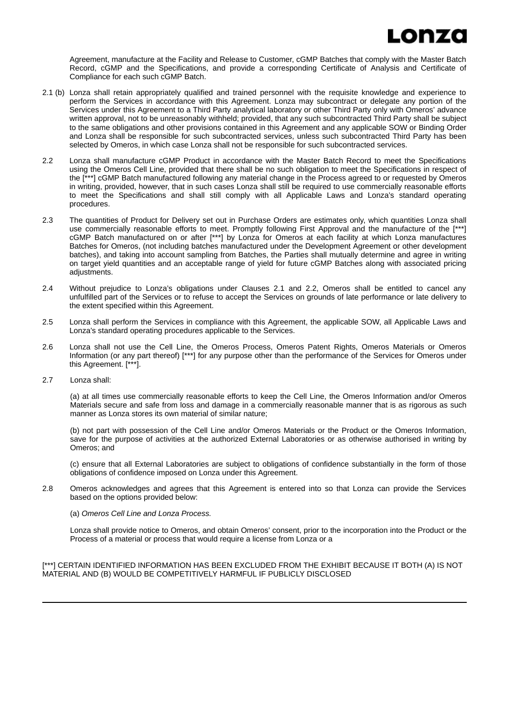## $\blacksquare$

Agreement, manufacture at the Facility and Release to Customer, cGMP Batches that comply with the Master Batch Record, cGMP and the Specifications, and provide a corresponding Certificate of Analysis and Certificate of Compliance for each such cGMP Batch.

- 2.1 (b) Lonza shall retain appropriately qualified and trained personnel with the requisite knowledge and experience to perform the Services in accordance with this Agreement. Lonza may subcontract or delegate any portion of the Services under this Agreement to a Third Party analytical laboratory or other Third Party only with Omeros' advance written approval, not to be unreasonably withheld; provided, that any such subcontracted Third Party shall be subject to the same obligations and other provisions contained in this Agreement and any applicable SOW or Binding Order and Lonza shall be responsible for such subcontracted services, unless such subcontracted Third Party has been selected by Omeros, in which case Lonza shall not be responsible for such subcontracted services.
- 2.2 Lonza shall manufacture cGMP Product in accordance with the Master Batch Record to meet the Specifications using the Omeros Cell Line, provided that there shall be no such obligation to meet the Specifications in respect of the [\*\*\*] cGMP Batch manufactured following any material change in the Process agreed to or requested by Omeros in writing, provided, however, that in such cases Lonza shall still be required to use commercially reasonable efforts to meet the Specifications and shall still comply with all Applicable Laws and Lonza's standard operating procedures.
- 2.3 The quantities of Product for Delivery set out in Purchase Orders are estimates only, which quantities Lonza shall use commercially reasonable efforts to meet. Promptly following First Approval and the manufacture of the [\*\*\*] cGMP Batch manufactured on or after [\*\*\*] by Lonza for Omeros at each facility at which Lonza manufactures Batches for Omeros, (not including batches manufactured under the Development Agreement or other development batches), and taking into account sampling from Batches, the Parties shall mutually determine and agree in writing on target yield quantities and an acceptable range of yield for future cGMP Batches along with associated pricing adjustments.
- 2.4 Without prejudice to Lonza's obligations under Clauses 2.1 and 2.2, Omeros shall be entitled to cancel any unfulfilled part of the Services or to refuse to accept the Services on grounds of late performance or late delivery to the extent specified within this Agreement.
- 2.5 Lonza shall perform the Services in compliance with this Agreement, the applicable SOW, all Applicable Laws and Lonza's standard operating procedures applicable to the Services.
- 2.6 Lonza shall not use the Cell Line, the Omeros Process, Omeros Patent Rights, Omeros Materials or Omeros Information (or any part thereof) [\*\*\*] for any purpose other than the performance of the Services for Omeros under this Agreement. [\*\*\*].
- 2.7 Lonza shall:

(a) at all times use commercially reasonable efforts to keep the Cell Line, the Omeros Information and/or Omeros Materials secure and safe from loss and damage in a commercially reasonable manner that is as rigorous as such manner as Lonza stores its own material of similar nature;

(b) not part with possession of the Cell Line and/or Omeros Materials or the Product or the Omeros Information, save for the purpose of activities at the authorized External Laboratories or as otherwise authorised in writing by Omeros; and

(c) ensure that all External Laboratories are subject to obligations of confidence substantially in the form of those obligations of confidence imposed on Lonza under this Agreement.

2.8 Omeros acknowledges and agrees that this Agreement is entered into so that Lonza can provide the Services based on the options provided below:

### (a) *Omeros Cell Line and Lonza Process.*

Lonza shall provide notice to Omeros, and obtain Omeros' consent, prior to the incorporation into the Product or the Process of a material or process that would require a license from Lonza or a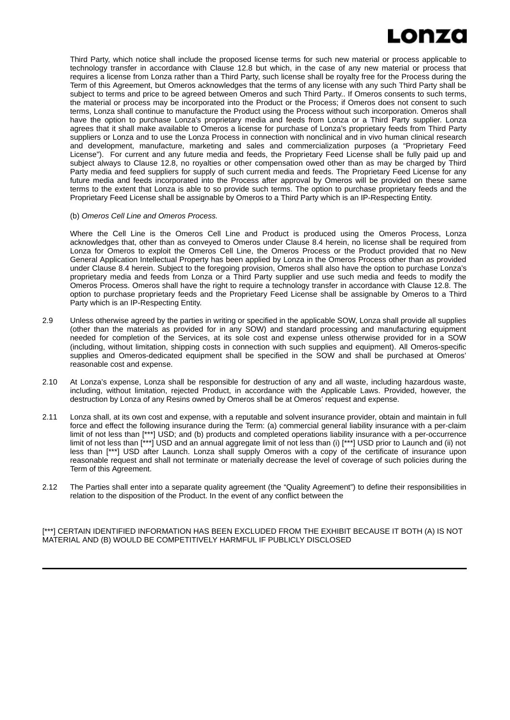

Third Party, which notice shall include the proposed license terms for such new material or process applicable to technology transfer in accordance with Clause 12.8 but which, in the case of any new material or process that requires a license from Lonza rather than a Third Party, such license shall be royalty free for the Process during the Term of this Agreement, but Omeros acknowledges that the terms of any license with any such Third Party shall be subject to terms and price to be agreed between Omeros and such Third Party.. If Omeros consents to such terms, the material or process may be incorporated into the Product or the Process; if Omeros does not consent to such terms, Lonza shall continue to manufacture the Product using the Process without such incorporation. Omeros shall have the option to purchase Lonza's proprietary media and feeds from Lonza or a Third Party supplier. Lonza agrees that it shall make available to Omeros a license for purchase of Lonza's proprietary feeds from Third Party suppliers or Lonza and to use the Lonza Process in connection with nonclinical and in vivo human clinical research and development, manufacture, marketing and sales and commercialization purposes (a "Proprietary Feed License"). For current and any future media and feeds, the Proprietary Feed License shall be fully paid up and subject always to Clause 12.8, no royalties or other compensation owed other than as may be charged by Third Party media and feed suppliers for supply of such current media and feeds. The Proprietary Feed License for any future media and feeds incorporated into the Process after approval by Omeros will be provided on these same terms to the extent that Lonza is able to so provide such terms. The option to purchase proprietary feeds and the Proprietary Feed License shall be assignable by Omeros to a Third Party which is an IP-Respecting Entity.

#### (b) *Omeros Cell Line and Omeros Process.*

Where the Cell Line is the Omeros Cell Line and Product is produced using the Omeros Process, Lonza acknowledges that, other than as conveyed to Omeros under Clause 8.4 herein, no license shall be required from Lonza for Omeros to exploit the Omeros Cell Line, the Omeros Process or the Product provided that no New General Application Intellectual Property has been applied by Lonza in the Omeros Process other than as provided under Clause 8.4 herein. Subject to the foregoing provision, Omeros shall also have the option to purchase Lonza's proprietary media and feeds from Lonza or a Third Party supplier and use such media and feeds to modify the Omeros Process. Omeros shall have the right to require a technology transfer in accordance with Clause 12.8. The option to purchase proprietary feeds and the Proprietary Feed License shall be assignable by Omeros to a Third Party which is an IP-Respecting Entity.

- 2.9 Unless otherwise agreed by the parties in writing or specified in the applicable SOW, Lonza shall provide all supplies (other than the materials as provided for in any SOW) and standard processing and manufacturing equipment needed for completion of the Services, at its sole cost and expense unless otherwise provided for in a SOW (including, without limitation, shipping costs in connection with such supplies and equipment). All Omeros-specific supplies and Omeros-dedicated equipment shall be specified in the SOW and shall be purchased at Omeros' reasonable cost and expense.
- 2.10 At Lonza's expense, Lonza shall be responsible for destruction of any and all waste, including hazardous waste, including, without limitation, rejected Product, in accordance with the Applicable Laws. Provided, however, the destruction by Lonza of any Resins owned by Omeros shall be at Omeros' request and expense.
- 2.11 Lonza shall, at its own cost and expense, with a reputable and solvent insurance provider, obtain and maintain in full force and effect the following insurance during the Term: (a) commercial general liability insurance with a per-claim limit of not less than [\*\*\*] USD; and (b) products and completed operations liability insurance with a per-occurrence limit of not less than [\*\*\*] USD and an annual aggregate limit of not less than (i) [\*\*\*] USD prior to Launch and (ii) not less than [\*\*\*] USD after Launch. Lonza shall supply Omeros with a copy of the certificate of insurance upon reasonable request and shall not terminate or materially decrease the level of coverage of such policies during the Term of this Agreement.
- 2.12 The Parties shall enter into a separate quality agreement (the "Quality Agreement") to define their responsibilities in relation to the disposition of the Product. In the event of any conflict between the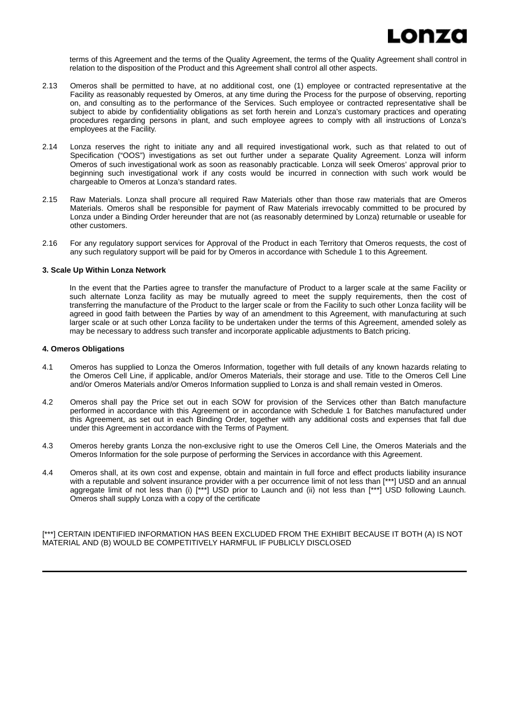

terms of this Agreement and the terms of the Quality Agreement, the terms of the Quality Agreement shall control in relation to the disposition of the Product and this Agreement shall control all other aspects.

- 2.13 Omeros shall be permitted to have, at no additional cost, one (1) employee or contracted representative at the Facility as reasonably requested by Omeros, at any time during the Process for the purpose of observing, reporting on, and consulting as to the performance of the Services. Such employee or contracted representative shall be subject to abide by confidentiality obligations as set forth herein and Lonza's customary practices and operating procedures regarding persons in plant, and such employee agrees to comply with all instructions of Lonza's employees at the Facility.
- 2.14 Lonza reserves the right to initiate any and all required investigational work, such as that related to out of Specification ("OOS") investigations as set out further under a separate Quality Agreement. Lonza will inform Omeros of such investigational work as soon as reasonably practicable. Lonza will seek Omeros' approval prior to beginning such investigational work if any costs would be incurred in connection with such work would be chargeable to Omeros at Lonza's standard rates.
- 2.15 Raw Materials. Lonza shall procure all required Raw Materials other than those raw materials that are Omeros Materials. Omeros shall be responsible for payment of Raw Materials irrevocably committed to be procured by Lonza under a Binding Order hereunder that are not (as reasonably determined by Lonza) returnable or useable for other customers.
- 2.16 For any regulatory support services for Approval of the Product in each Territory that Omeros requests, the cost of any such regulatory support will be paid for by Omeros in accordance with Schedule 1 to this Agreement.

#### **3. Scale Up Within Lonza Network**

In the event that the Parties agree to transfer the manufacture of Product to a larger scale at the same Facility or such alternate Lonza facility as may be mutually agreed to meet the supply requirements, then the cost of transferring the manufacture of the Product to the larger scale or from the Facility to such other Lonza facility will be agreed in good faith between the Parties by way of an amendment to this Agreement, with manufacturing at such larger scale or at such other Lonza facility to be undertaken under the terms of this Agreement, amended solely as may be necessary to address such transfer and incorporate applicable adjustments to Batch pricing.

#### **4. Omeros Obligations**

- 4.1 Omeros has supplied to Lonza the Omeros Information, together with full details of any known hazards relating to the Omeros Cell Line, if applicable, and/or Omeros Materials, their storage and use. Title to the Omeros Cell Line and/or Omeros Materials and/or Omeros Information supplied to Lonza is and shall remain vested in Omeros.
- 4.2 Omeros shall pay the Price set out in each SOW for provision of the Services other than Batch manufacture performed in accordance with this Agreement or in accordance with Schedule 1 for Batches manufactured under this Agreement, as set out in each Binding Order, together with any additional costs and expenses that fall due under this Agreement in accordance with the Terms of Payment.
- 4.3 Omeros hereby grants Lonza the non-exclusive right to use the Omeros Cell Line, the Omeros Materials and the Omeros Information for the sole purpose of performing the Services in accordance with this Agreement.
- 4.4 Omeros shall, at its own cost and expense, obtain and maintain in full force and effect products liability insurance with a reputable and solvent insurance provider with a per occurrence limit of not less than [\*\*\*] USD and an annual aggregate limit of not less than (i) [\*\*\*] USD prior to Launch and (ii) not less than [\*\*\*] USD following Launch. Omeros shall supply Lonza with a copy of the certificate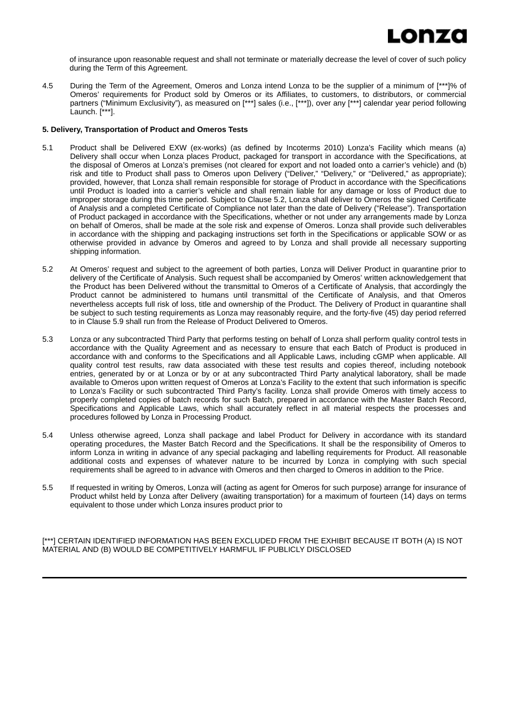

of insurance upon reasonable request and shall not terminate or materially decrease the level of cover of such policy during the Term of this Agreement.

4.5 During the Term of the Agreement, Omeros and Lonza intend Lonza to be the supplier of a minimum of [\*\*\*]% of Omeros' requirements for Product sold by Omeros or its Affiliates, to customers, to distributors, or commercial partners ("Minimum Exclusivity"), as measured on [\*\*\*] sales (i.e., [\*\*\*]), over any [\*\*\*] calendar year period following Launch. [\*\*\*].

#### **5. Delivery, Transportation of Product and Omeros Tests**

- 5.1 Product shall be Delivered EXW (ex-works) (as defined by Incoterms 2010) Lonza's Facility which means (a) Delivery shall occur when Lonza places Product, packaged for transport in accordance with the Specifications, at the disposal of Omeros at Lonza's premises (not cleared for export and not loaded onto a carrier's vehicle) and (b) risk and title to Product shall pass to Omeros upon Delivery ("Deliver," "Delivery," or "Delivered," as appropriate); provided, however, that Lonza shall remain responsible for storage of Product in accordance with the Specifications until Product is loaded into a carrier's vehicle and shall remain liable for any damage or loss of Product due to improper storage during this time period. Subject to Clause 5.2, Lonza shall deliver to Omeros the signed Certificate of Analysis and a completed Certificate of Compliance not later than the date of Delivery ("Release"). Transportation of Product packaged in accordance with the Specifications, whether or not under any arrangements made by Lonza on behalf of Omeros, shall be made at the sole risk and expense of Omeros. Lonza shall provide such deliverables in accordance with the shipping and packaging instructions set forth in the Specifications or applicable SOW or as otherwise provided in advance by Omeros and agreed to by Lonza and shall provide all necessary supporting shipping information.
- 5.2 At Omeros' request and subject to the agreement of both parties, Lonza will Deliver Product in quarantine prior to delivery of the Certificate of Analysis. Such request shall be accompanied by Omeros' written acknowledgement that the Product has been Delivered without the transmittal to Omeros of a Certificate of Analysis, that accordingly the Product cannot be administered to humans until transmittal of the Certificate of Analysis, and that Omeros nevertheless accepts full risk of loss, title and ownership of the Product. The Delivery of Product in quarantine shall be subject to such testing requirements as Lonza may reasonably require, and the forty-five (45) day period referred to in Clause 5.9 shall run from the Release of Product Delivered to Omeros.
- 5.3 Lonza or any subcontracted Third Party that performs testing on behalf of Lonza shall perform quality control tests in accordance with the Quality Agreement and as necessary to ensure that each Batch of Product is produced in accordance with and conforms to the Specifications and all Applicable Laws, including cGMP when applicable. All quality control test results, raw data associated with these test results and copies thereof, including notebook entries, generated by or at Lonza or by or at any subcontracted Third Party analytical laboratory, shall be made available to Omeros upon written request of Omeros at Lonza's Facility to the extent that such information is specific to Lonza's Facility or such subcontracted Third Party's facility. Lonza shall provide Omeros with timely access to properly completed copies of batch records for such Batch, prepared in accordance with the Master Batch Record, Specifications and Applicable Laws, which shall accurately reflect in all material respects the processes and procedures followed by Lonza in Processing Product.
- 5.4 Unless otherwise agreed, Lonza shall package and label Product for Delivery in accordance with its standard operating procedures, the Master Batch Record and the Specifications. It shall be the responsibility of Omeros to inform Lonza in writing in advance of any special packaging and labelling requirements for Product. All reasonable additional costs and expenses of whatever nature to be incurred by Lonza in complying with such special requirements shall be agreed to in advance with Omeros and then charged to Omeros in addition to the Price.
- 5.5 If requested in writing by Omeros, Lonza will (acting as agent for Omeros for such purpose) arrange for insurance of Product whilst held by Lonza after Delivery (awaiting transportation) for a maximum of fourteen (14) days on terms equivalent to those under which Lonza insures product prior to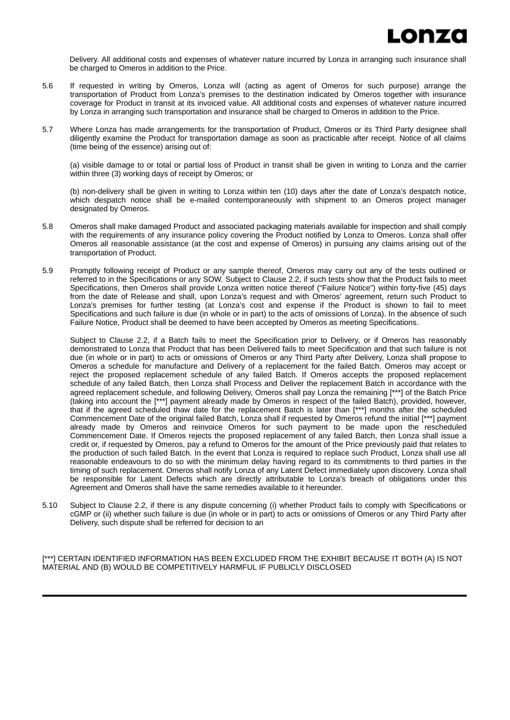

Delivery. All additional costs and expenses of whatever nature incurred by Lonza in arranging such insurance shall be charged to Omeros in addition to the Price.

- 5.6 If requested in writing by Omeros, Lonza will (acting as agent of Omeros for such purpose) arrange the transportation of Product from Lonza's premises to the destination indicated by Omeros together with insurance coverage for Product in transit at its invoiced value. All additional costs and expenses of whatever nature incurred by Lonza in arranging such transportation and insurance shall be charged to Omeros in addition to the Price.
- 5.7 Where Lonza has made arrangements for the transportation of Product, Omeros or its Third Party designee shall diligently examine the Product for transportation damage as soon as practicable after receipt. Notice of all claims (time being of the essence) arising out of:

(a) visible damage to or total or partial loss of Product in transit shall be given in writing to Lonza and the carrier within three (3) working days of receipt by Omeros; or

(b) non-delivery shall be given in writing to Lonza within ten (10) days after the date of Lonza's despatch notice, which despatch notice shall be e-mailed contemporaneously with shipment to an Omeros project manager designated by Omeros.

- 5.8 Omeros shall make damaged Product and associated packaging materials available for inspection and shall comply with the requirements of any insurance policy covering the Product notified by Lonza to Omeros. Lonza shall offer Omeros all reasonable assistance (at the cost and expense of Omeros) in pursuing any claims arising out of the transportation of Product.
- 5.9 Promptly following receipt of Product or any sample thereof, Omeros may carry out any of the tests outlined or referred to in the Specifications or any SOW. Subject to Clause 2.2, if such tests show that the Product fails to meet Specifications, then Omeros shall provide Lonza written notice thereof ("Failure Notice") within forty-five (45) days from the date of Release and shall, upon Lonza's request and with Omeros' agreement, return such Product to Lonza's premises for further testing (at Lonza's cost and expense if the Product is shown to fail to meet Specifications and such failure is due (in whole or in part) to the acts of omissions of Lonza). In the absence of such Failure Notice, Product shall be deemed to have been accepted by Omeros as meeting Specifications.

Subject to Clause 2.2, if a Batch fails to meet the Specification prior to Delivery, or if Omeros has reasonably demonstrated to Lonza that Product that has been Delivered fails to meet Specification and that such failure is not due (in whole or in part) to acts or omissions of Omeros or any Third Party after Delivery, Lonza shall propose to Omeros a schedule for manufacture and Delivery of a replacement for the failed Batch. Omeros may accept or reject the proposed replacement schedule of any failed Batch. If Omeros accepts the proposed replacement schedule of any failed Batch, then Lonza shall Process and Deliver the replacement Batch in accordance with the agreed replacement schedule, and following Delivery, Omeros shall pay Lonza the remaining [\*\*\*] of the Batch Price (taking into account the [\*\*\*] payment already made by Omeros in respect of the failed Batch), provided, however, that if the agreed scheduled thaw date for the replacement Batch is later than [\*\*\*] months after the scheduled Commencement Date of the original failed Batch, Lonza shall if requested by Omeros refund the initial [\*\*\*] payment already made by Omeros and reinvoice Omeros for such payment to be made upon the rescheduled Commencement Date. If Omeros rejects the proposed replacement of any failed Batch, then Lonza shall issue a credit or, if requested by Omeros, pay a refund to Omeros for the amount of the Price previously paid that relates to the production of such failed Batch. In the event that Lonza is required to replace such Product, Lonza shall use all reasonable endeavours to do so with the minimum delay having regard to its commitments to third parties in the timing of such replacement. Omeros shall notify Lonza of any Latent Defect immediately upon discovery. Lonza shall be responsible for Latent Defects which are directly attributable to Lonza's breach of obligations under this Agreement and Omeros shall have the same remedies available to it hereunder.

5.10 Subject to Clause 2.2, if there is any dispute concerning (i) whether Product fails to comply with Specifications or cGMP or (ii) whether such failure is due (in whole or in part) to acts or omissions of Omeros or any Third Party after Delivery, such dispute shall be referred for decision to an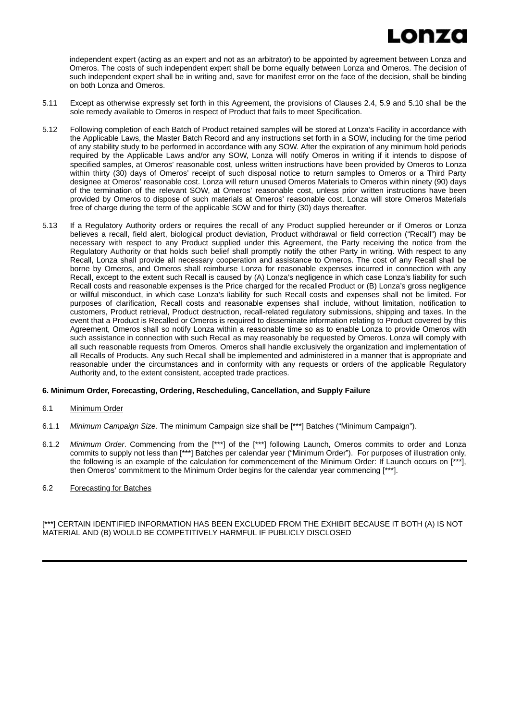## $\blacksquare$  $\blacksquare$

independent expert (acting as an expert and not as an arbitrator) to be appointed by agreement between Lonza and Omeros. The costs of such independent expert shall be borne equally between Lonza and Omeros. The decision of such independent expert shall be in writing and, save for manifest error on the face of the decision, shall be binding on both Lonza and Omeros.

- 5.11 Except as otherwise expressly set forth in this Agreement, the provisions of Clauses 2.4, 5.9 and 5.10 shall be the sole remedy available to Omeros in respect of Product that fails to meet Specification.
- 5.12 Following completion of each Batch of Product retained samples will be stored at Lonza's Facility in accordance with the Applicable Laws, the Master Batch Record and any instructions set forth in a SOW, including for the time period of any stability study to be performed in accordance with any SOW. After the expiration of any minimum hold periods required by the Applicable Laws and/or any SOW, Lonza will notify Omeros in writing if it intends to dispose of specified samples, at Omeros' reasonable cost, unless written instructions have been provided by Omeros to Lonza within thirty (30) days of Omeros' receipt of such disposal notice to return samples to Omeros or a Third Party designee at Omeros' reasonable cost. Lonza will return unused Omeros Materials to Omeros within ninety (90) days of the termination of the relevant SOW, at Omeros' reasonable cost, unless prior written instructions have been provided by Omeros to dispose of such materials at Omeros' reasonable cost. Lonza will store Omeros Materials free of charge during the term of the applicable SOW and for thirty (30) days thereafter.
- 5.13 If a Regulatory Authority orders or requires the recall of any Product supplied hereunder or if Omeros or Lonza believes a recall, field alert, biological product deviation, Product withdrawal or field correction ("Recall") may be necessary with respect to any Product supplied under this Agreement, the Party receiving the notice from the Regulatory Authority or that holds such belief shall promptly notify the other Party in writing. With respect to any Recall, Lonza shall provide all necessary cooperation and assistance to Omeros. The cost of any Recall shall be borne by Omeros, and Omeros shall reimburse Lonza for reasonable expenses incurred in connection with any Recall, except to the extent such Recall is caused by (A) Lonza's negligence in which case Lonza's liability for such Recall costs and reasonable expenses is the Price charged for the recalled Product or (B) Lonza's gross negligence or willful misconduct, in which case Lonza's liability for such Recall costs and expenses shall not be limited. For purposes of clarification, Recall costs and reasonable expenses shall include, without limitation, notification to customers, Product retrieval, Product destruction, recall-related regulatory submissions, shipping and taxes. In the event that a Product is Recalled or Omeros is required to disseminate information relating to Product covered by this Agreement, Omeros shall so notify Lonza within a reasonable time so as to enable Lonza to provide Omeros with such assistance in connection with such Recall as may reasonably be requested by Omeros. Lonza will comply with all such reasonable requests from Omeros. Omeros shall handle exclusively the organization and implementation of all Recalls of Products. Any such Recall shall be implemented and administered in a manner that is appropriate and reasonable under the circumstances and in conformity with any requests or orders of the applicable Regulatory Authority and, to the extent consistent, accepted trade practices.

#### **6. Minimum Order, Forecasting, Ordering, Rescheduling, Cancellation, and Supply Failure**

#### 6.1 Minimum Order

- 6.1.1 *Minimum Campaign Size*. The minimum Campaign size shall be [\*\*\*] Batches ("Minimum Campaign").
- 6.1.2 *Minimum Order*. Commencing from the [\*\*\*] of the [\*\*\*] following Launch, Omeros commits to order and Lonza commits to supply not less than [\*\*\*] Batches per calendar year ("Minimum Order"). For purposes of illustration only, the following is an example of the calculation for commencement of the Minimum Order: If Launch occurs on [\*\*\*], then Omeros' commitment to the Minimum Order begins for the calendar year commencing [\*\*\*].

#### 6.2 Forecasting for Batches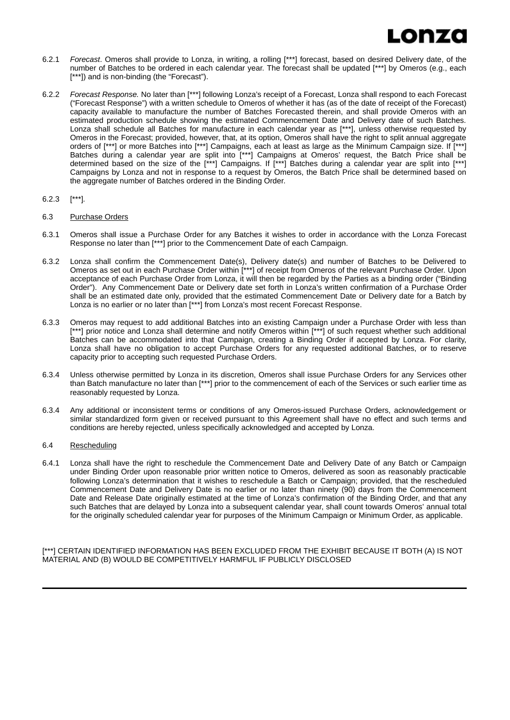

- 6.2.1 *Forecast*. Omeros shall provide to Lonza, in writing, a rolling [\*\*\*] forecast, based on desired Delivery date, of the number of Batches to be ordered in each calendar year. The forecast shall be updated [\*\*\*] by Omeros (e.g., each [\*\*\*]) and is non-binding (the "Forecast").
- 6.2.2 *Forecast Response.* No later than [\*\*\*] following Lonza's receipt of a Forecast, Lonza shall respond to each Forecast ("Forecast Response") with a written schedule to Omeros of whether it has (as of the date of receipt of the Forecast) capacity available to manufacture the number of Batches Forecasted therein, and shall provide Omeros with an estimated production schedule showing the estimated Commencement Date and Delivery date of such Batches. Lonza shall schedule all Batches for manufacture in each calendar year as [\*\*\*], unless otherwise requested by Omeros in the Forecast; provided, however, that, at its option, Omeros shall have the right to split annual aggregate orders of [\*\*\*] or more Batches into [\*\*\*] Campaigns, each at least as large as the Minimum Campaign size. If [\*\*\*] Batches during a calendar year are split into [\*\*\*] Campaigns at Omeros' request, the Batch Price shall be determined based on the size of the [\*\*\*] Campaigns. If [\*\*\*] Batches during a calendar year are split into [\*\*\*] Campaigns by Lonza and not in response to a request by Omeros, the Batch Price shall be determined based on the aggregate number of Batches ordered in the Binding Order.
- 6.2.3 [\*\*\*]*.*
- 6.3 Purchase Orders
- 6.3.1 Omeros shall issue a Purchase Order for any Batches it wishes to order in accordance with the Lonza Forecast Response no later than [\*\*\*] prior to the Commencement Date of each Campaign.
- 6.3.2 Lonza shall confirm the Commencement Date(s), Delivery date(s) and number of Batches to be Delivered to Omeros as set out in each Purchase Order within [\*\*\*] of receipt from Omeros of the relevant Purchase Order. Upon acceptance of each Purchase Order from Lonza, it will then be regarded by the Parties as a binding order ("Binding Order"). Any Commencement Date or Delivery date set forth in Lonza's written confirmation of a Purchase Order shall be an estimated date only, provided that the estimated Commencement Date or Delivery date for a Batch by Lonza is no earlier or no later than [\*\*\*] from Lonza's most recent Forecast Response.
- 6.3.3 Omeros may request to add additional Batches into an existing Campaign under a Purchase Order with less than [\*\*\*] prior notice and Lonza shall determine and notify Omeros within [\*\*\*] of such request whether such additional Batches can be accommodated into that Campaign, creating a Binding Order if accepted by Lonza. For clarity, Lonza shall have no obligation to accept Purchase Orders for any requested additional Batches, or to reserve capacity prior to accepting such requested Purchase Orders.
- 6.3.4 Unless otherwise permitted by Lonza in its discretion, Omeros shall issue Purchase Orders for any Services other than Batch manufacture no later than [\*\*\*] prior to the commencement of each of the Services or such earlier time as reasonably requested by Lonza.
- 6.3.4 Any additional or inconsistent terms or conditions of any Omeros-issued Purchase Orders, acknowledgement or similar standardized form given or received pursuant to this Agreement shall have no effect and such terms and conditions are hereby rejected, unless specifically acknowledged and accepted by Lonza.

#### 6.4 Rescheduling

6.4.1 Lonza shall have the right to reschedule the Commencement Date and Delivery Date of any Batch or Campaign under Binding Order upon reasonable prior written notice to Omeros, delivered as soon as reasonably practicable following Lonza's determination that it wishes to reschedule a Batch or Campaign; provided, that the rescheduled Commencement Date and Delivery Date is no earlier or no later than ninety (90) days from the Commencement Date and Release Date originally estimated at the time of Lonza's confirmation of the Binding Order, and that any such Batches that are delayed by Lonza into a subsequent calendar year, shall count towards Omeros' annual total for the originally scheduled calendar year for purposes of the Minimum Campaign or Minimum Order, as applicable.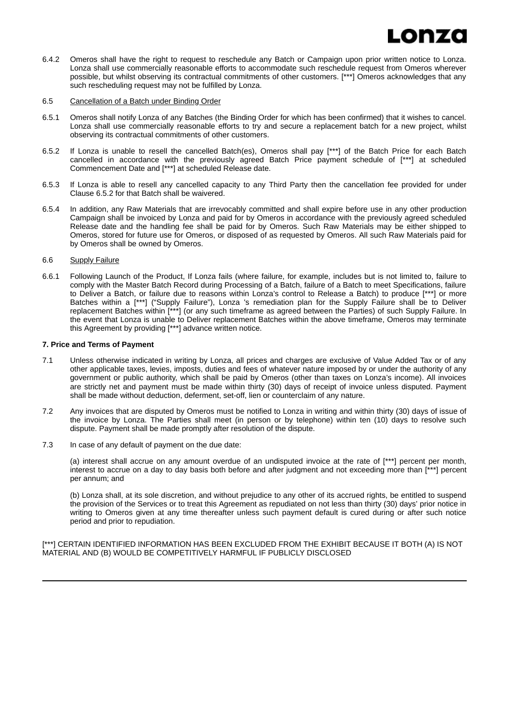

6.4.2 Omeros shall have the right to request to reschedule any Batch or Campaign upon prior written notice to Lonza. Lonza shall use commercially reasonable efforts to accommodate such reschedule request from Omeros wherever possible, but whilst observing its contractual commitments of other customers. [\*\*\*] Omeros acknowledges that any such rescheduling request may not be fulfilled by Lonza.

#### 6.5 Cancellation of a Batch under Binding Order

- 6.5.1 Omeros shall notify Lonza of any Batches (the Binding Order for which has been confirmed) that it wishes to cancel. Lonza shall use commercially reasonable efforts to try and secure a replacement batch for a new project, whilst observing its contractual commitments of other customers.
- 6.5.2 If Lonza is unable to resell the cancelled Batch(es), Omeros shall pay [\*\*\*] of the Batch Price for each Batch cancelled in accordance with the previously agreed Batch Price payment schedule of [\*\*\*] at scheduled Commencement Date and [\*\*\*] at scheduled Release date.
- 6.5.3 If Lonza is able to resell any cancelled capacity to any Third Party then the cancellation fee provided for under Clause 6.5.2 for that Batch shall be waivered.
- 6.5.4 In addition, any Raw Materials that are irrevocably committed and shall expire before use in any other production Campaign shall be invoiced by Lonza and paid for by Omeros in accordance with the previously agreed scheduled Release date and the handling fee shall be paid for by Omeros. Such Raw Materials may be either shipped to Omeros, stored for future use for Omeros, or disposed of as requested by Omeros. All such Raw Materials paid for by Omeros shall be owned by Omeros.

### 6.6 Supply Failure

6.6.1 Following Launch of the Product, If Lonza fails (where failure, for example, includes but is not limited to, failure to comply with the Master Batch Record during Processing of a Batch, failure of a Batch to meet Specifications, failure to Deliver a Batch, or failure due to reasons within Lonza's control to Release a Batch) to produce [\*\*\*] or more Batches within a [\*\*\*] ("Supply Failure"), Lonza 's remediation plan for the Supply Failure shall be to Deliver replacement Batches within [\*\*\*] (or any such timeframe as agreed between the Parties) of such Supply Failure. In the event that Lonza is unable to Deliver replacement Batches within the above timeframe, Omeros may terminate this Agreement by providing [\*\*\*] advance written notice.

#### **7. Price and Terms of Payment**

- 7.1 Unless otherwise indicated in writing by Lonza, all prices and charges are exclusive of Value Added Tax or of any other applicable taxes, levies, imposts, duties and fees of whatever nature imposed by or under the authority of any government or public authority, which shall be paid by Omeros (other than taxes on Lonza's income). All invoices are strictly net and payment must be made within thirty (30) days of receipt of invoice unless disputed. Payment shall be made without deduction, deferment, set-off, lien or counterclaim of any nature.
- 7.2 Any invoices that are disputed by Omeros must be notified to Lonza in writing and within thirty (30) days of issue of the invoice by Lonza. The Parties shall meet (in person or by telephone) within ten (10) days to resolve such dispute. Payment shall be made promptly after resolution of the dispute.
- 7.3 In case of any default of payment on the due date:

(a) interest shall accrue on any amount overdue of an undisputed invoice at the rate of  $[***]$  percent per month, interest to accrue on a day to day basis both before and after judgment and not exceeding more than [\*\*\*] percent per annum; and

(b) Lonza shall, at its sole discretion, and without prejudice to any other of its accrued rights, be entitled to suspend the provision of the Services or to treat this Agreement as repudiated on not less than thirty (30) days' prior notice in writing to Omeros given at any time thereafter unless such payment default is cured during or after such notice period and prior to repudiation.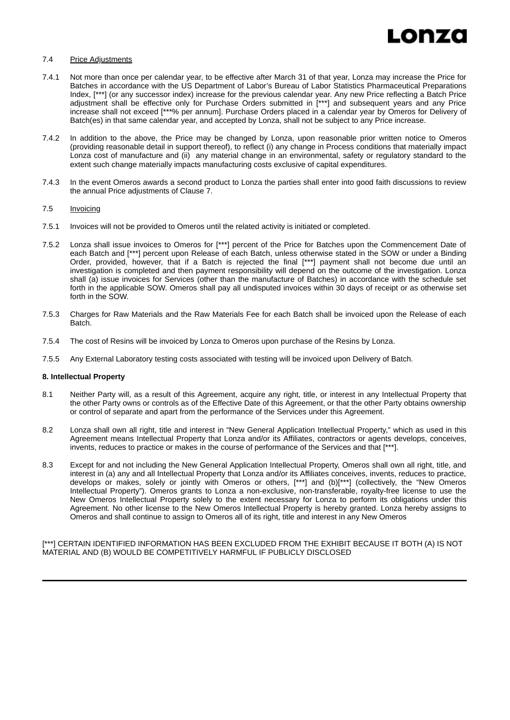

#### 7.4 Price Adjustments

- 7.4.1 Not more than once per calendar year, to be effective after March 31 of that year, Lonza may increase the Price for Batches in accordance with the US Department of Labor's Bureau of Labor Statistics Pharmaceutical Preparations Index, [\*\*\*] (or any successor index) increase for the previous calendar year. Any new Price reflecting a Batch Price adjustment shall be effective only for Purchase Orders submitted in [\*\*\*] and subsequent years and any Price increase shall not exceed [\*\*\*% per annum]. Purchase Orders placed in a calendar year by Omeros for Delivery of Batch(es) in that same calendar year, and accepted by Lonza, shall not be subject to any Price increase.
- 7.4.2 In addition to the above, the Price may be changed by Lonza, upon reasonable prior written notice to Omeros (providing reasonable detail in support thereof), to reflect (i) any change in Process conditions that materially impact Lonza cost of manufacture and (ii) any material change in an environmental, safety or regulatory standard to the extent such change materially impacts manufacturing costs exclusive of capital expenditures.
- 7.4.3 In the event Omeros awards a second product to Lonza the parties shall enter into good faith discussions to review the annual Price adjustments of Clause 7.

#### 7.5 Invoicing

- 7.5.1 Invoices will not be provided to Omeros until the related activity is initiated or completed.
- 7.5.2 Lonza shall issue invoices to Omeros for [\*\*\*] percent of the Price for Batches upon the Commencement Date of each Batch and [\*\*\*] percent upon Release of each Batch, unless otherwise stated in the SOW or under a Binding Order, provided, however, that if a Batch is rejected the final [\*\*\*] payment shall not become due until an investigation is completed and then payment responsibility will depend on the outcome of the investigation. Lonza shall (a) issue invoices for Services (other than the manufacture of Batches) in accordance with the schedule set forth in the applicable SOW. Omeros shall pay all undisputed invoices within 30 days of receipt or as otherwise set forth in the SOW.
- 7.5.3 Charges for Raw Materials and the Raw Materials Fee for each Batch shall be invoiced upon the Release of each **Batch**
- 7.5.4 The cost of Resins will be invoiced by Lonza to Omeros upon purchase of the Resins by Lonza.
- 7.5.5 Any External Laboratory testing costs associated with testing will be invoiced upon Delivery of Batch.

#### **8. Intellectual Property**

- 8.1 Neither Party will, as a result of this Agreement, acquire any right, title, or interest in any Intellectual Property that the other Party owns or controls as of the Effective Date of this Agreement, or that the other Party obtains ownership or control of separate and apart from the performance of the Services under this Agreement.
- 8.2 Lonza shall own all right, title and interest in "New General Application Intellectual Property," which as used in this Agreement means Intellectual Property that Lonza and/or its Affiliates, contractors or agents develops, conceives, invents, reduces to practice or makes in the course of performance of the Services and that [\*\*\*].
- 8.3 Except for and not including the New General Application Intellectual Property, Omeros shall own all right, title, and interest in (a) any and all Intellectual Property that Lonza and/or its Affiliates conceives, invents, reduces to practice, develops or makes, solely or jointly with Omeros or others, [\*\*\*] and (b)[\*\*\*] (collectively, the "New Omeros Intellectual Property"). Omeros grants to Lonza a non-exclusive, non-transferable, royalty-free license to use the New Omeros Intellectual Property solely to the extent necessary for Lonza to perform its obligations under this Agreement. No other license to the New Omeros Intellectual Property is hereby granted. Lonza hereby assigns to Omeros and shall continue to assign to Omeros all of its right, title and interest in any New Omeros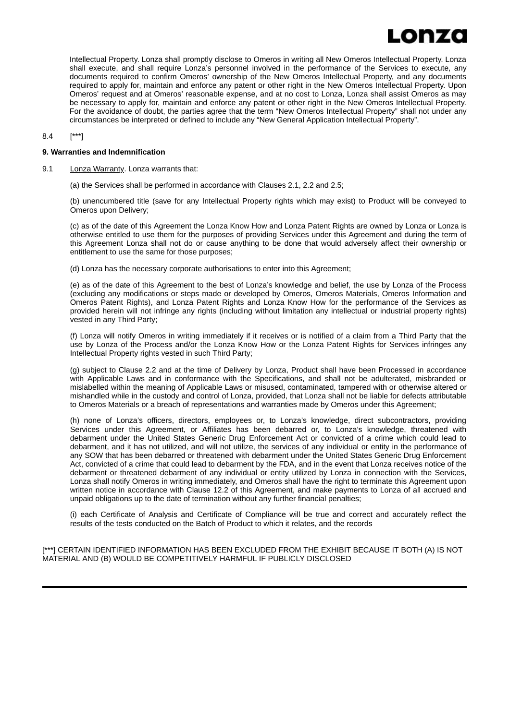

Intellectual Property. Lonza shall promptly disclose to Omeros in writing all New Omeros Intellectual Property. Lonza shall execute, and shall require Lonza's personnel involved in the performance of the Services to execute, any documents required to confirm Omeros' ownership of the New Omeros Intellectual Property, and any documents required to apply for, maintain and enforce any patent or other right in the New Omeros Intellectual Property. Upon Omeros' request and at Omeros' reasonable expense, and at no cost to Lonza, Lonza shall assist Omeros as may be necessary to apply for, maintain and enforce any patent or other right in the New Omeros Intellectual Property. For the avoidance of doubt, the parties agree that the term "New Omeros Intellectual Property" shall not under any circumstances be interpreted or defined to include any "New General Application Intellectual Property".

#### 8.4 [\*\*\*]

#### **9. Warranties and Indemnification**

9.1 Lonza Warranty. Lonza warrants that:

(a) the Services shall be performed in accordance with Clauses 2.1, 2.2 and 2.5;

(b) unencumbered title (save for any Intellectual Property rights which may exist) to Product will be conveyed to Omeros upon Delivery;

(c) as of the date of this Agreement the Lonza Know How and Lonza Patent Rights are owned by Lonza or Lonza is otherwise entitled to use them for the purposes of providing Services under this Agreement and during the term of this Agreement Lonza shall not do or cause anything to be done that would adversely affect their ownership or entitlement to use the same for those purposes;

(d) Lonza has the necessary corporate authorisations to enter into this Agreement;

(e) as of the date of this Agreement to the best of Lonza's knowledge and belief, the use by Lonza of the Process (excluding any modifications or steps made or developed by Omeros, Omeros Materials, Omeros Information and Omeros Patent Rights), and Lonza Patent Rights and Lonza Know How for the performance of the Services as provided herein will not infringe any rights (including without limitation any intellectual or industrial property rights) vested in any Third Party;

(f) Lonza will notify Omeros in writing immediately if it receives or is notified of a claim from a Third Party that the use by Lonza of the Process and/or the Lonza Know How or the Lonza Patent Rights for Services infringes any Intellectual Property rights vested in such Third Party;

(g) subject to Clause 2.2 and at the time of Delivery by Lonza, Product shall have been Processed in accordance with Applicable Laws and in conformance with the Specifications, and shall not be adulterated, misbranded or mislabelled within the meaning of Applicable Laws or misused, contaminated, tampered with or otherwise altered or mishandled while in the custody and control of Lonza, provided, that Lonza shall not be liable for defects attributable to Omeros Materials or a breach of representations and warranties made by Omeros under this Agreement;

(h) none of Lonza's officers, directors, employees or, to Lonza's knowledge, direct subcontractors, providing Services under this Agreement, or Affiliates has been debarred or, to Lonza's knowledge, threatened with debarment under the United States Generic Drug Enforcement Act or convicted of a crime which could lead to debarment, and it has not utilized, and will not utilize, the services of any individual or entity in the performance of any SOW that has been debarred or threatened with debarment under the United States Generic Drug Enforcement Act, convicted of a crime that could lead to debarment by the FDA, and in the event that Lonza receives notice of the debarment or threatened debarment of any individual or entity utilized by Lonza in connection with the Services, Lonza shall notify Omeros in writing immediately, and Omeros shall have the right to terminate this Agreement upon written notice in accordance with Clause 12.2 of this Agreement, and make payments to Lonza of all accrued and unpaid obligations up to the date of termination without any further financial penalties;

(i) each Certificate of Analysis and Certificate of Compliance will be true and correct and accurately reflect the results of the tests conducted on the Batch of Product to which it relates, and the records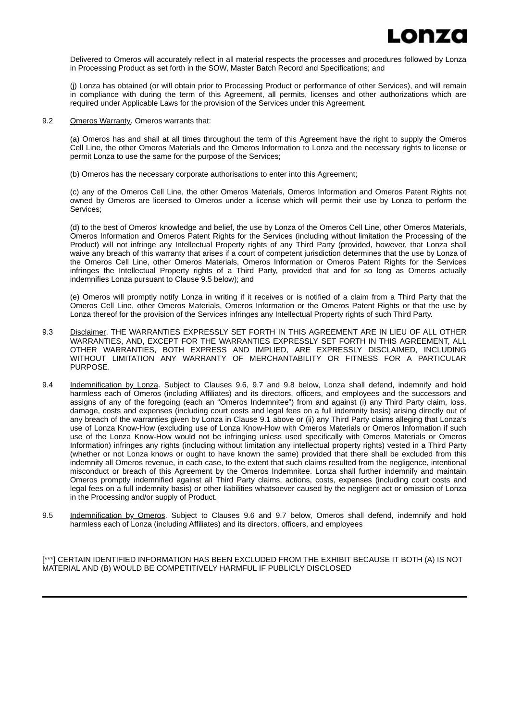

Delivered to Omeros will accurately reflect in all material respects the processes and procedures followed by Lonza in Processing Product as set forth in the SOW, Master Batch Record and Specifications; and

(j) Lonza has obtained (or will obtain prior to Processing Product or performance of other Services), and will remain in compliance with during the term of this Agreement, all permits, licenses and other authorizations which are required under Applicable Laws for the provision of the Services under this Agreement.

9.2 Omeros Warranty. Omeros warrants that:

(a) Omeros has and shall at all times throughout the term of this Agreement have the right to supply the Omeros Cell Line, the other Omeros Materials and the Omeros Information to Lonza and the necessary rights to license or permit Lonza to use the same for the purpose of the Services;

(b) Omeros has the necessary corporate authorisations to enter into this Agreement;

(c) any of the Omeros Cell Line, the other Omeros Materials, Omeros Information and Omeros Patent Rights not owned by Omeros are licensed to Omeros under a license which will permit their use by Lonza to perform the Services;

(d) to the best of Omeros' knowledge and belief, the use by Lonza of the Omeros Cell Line, other Omeros Materials, Omeros Information and Omeros Patent Rights for the Services (including without limitation the Processing of the Product) will not infringe any Intellectual Property rights of any Third Party (provided, however, that Lonza shall waive any breach of this warranty that arises if a court of competent jurisdiction determines that the use by Lonza of the Omeros Cell Line, other Omeros Materials, Omeros Information or Omeros Patent Rights for the Services infringes the Intellectual Property rights of a Third Party, provided that and for so long as Omeros actually indemnifies Lonza pursuant to Clause 9.5 below); and

(e) Omeros will promptly notify Lonza in writing if it receives or is notified of a claim from a Third Party that the Omeros Cell Line, other Omeros Materials, Omeros Information or the Omeros Patent Rights or that the use by Lonza thereof for the provision of the Services infringes any Intellectual Property rights of such Third Party.

- 9.3 Disclaimer. THE WARRANTIES EXPRESSLY SET FORTH IN THIS AGREEMENT ARE IN LIEU OF ALL OTHER WARRANTIES, AND, EXCEPT FOR THE WARRANTIES EXPRESSLY SET FORTH IN THIS AGREEMENT, ALL OTHER WARRANTIES, BOTH EXPRESS AND IMPLIED, ARE EXPRESSLY DISCLAIMED, INCLUDING WITHOUT LIMITATION ANY WARRANTY OF MERCHANTABILITY OR FITNESS FOR A PARTICULAR PURPOSE.
- 9.4 Indemnification by Lonza. Subject to Clauses 9.6, 9.7 and 9.8 below, Lonza shall defend, indemnify and hold harmless each of Omeros (including Affiliates) and its directors, officers, and employees and the successors and assigns of any of the foregoing (each an "Omeros Indemnitee") from and against (i) any Third Party claim, loss, damage, costs and expenses (including court costs and legal fees on a full indemnity basis) arising directly out of any breach of the warranties given by Lonza in Clause 9.1 above or (ii) any Third Party claims alleging that Lonza's use of Lonza Know-How (excluding use of Lonza Know-How with Omeros Materials or Omeros Information if such use of the Lonza Know-How would not be infringing unless used specifically with Omeros Materials or Omeros Information) infringes any rights (including without limitation any intellectual property rights) vested in a Third Party (whether or not Lonza knows or ought to have known the same) provided that there shall be excluded from this indemnity all Omeros revenue, in each case, to the extent that such claims resulted from the negligence, intentional misconduct or breach of this Agreement by the Omeros Indemnitee. Lonza shall further indemnify and maintain Omeros promptly indemnified against all Third Party claims, actions, costs, expenses (including court costs and legal fees on a full indemnity basis) or other liabilities whatsoever caused by the negligent act or omission of Lonza in the Processing and/or supply of Product.
- 9.5 Indemnification by Omeros. Subject to Clauses 9.6 and 9.7 below, Omeros shall defend, indemnify and hold harmless each of Lonza (including Affiliates) and its directors, officers, and employees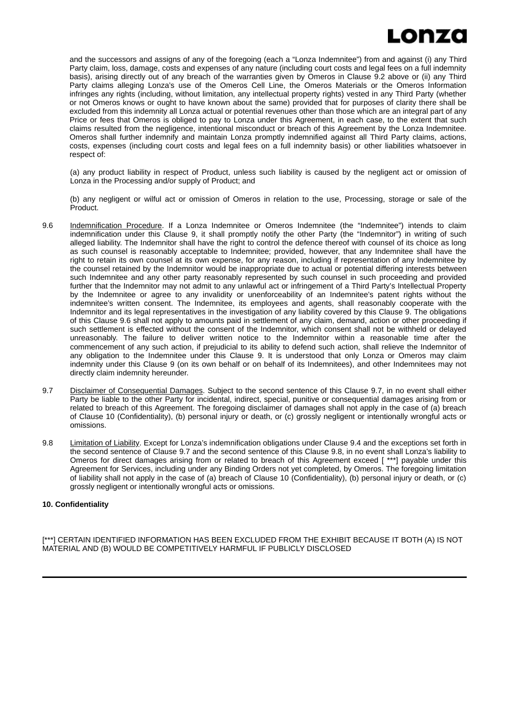## $\blacksquare$  $\blacksquare$

and the successors and assigns of any of the foregoing (each a "Lonza Indemnitee") from and against (i) any Third Party claim, loss, damage, costs and expenses of any nature (including court costs and legal fees on a full indemnity basis), arising directly out of any breach of the warranties given by Omeros in Clause 9.2 above or (ii) any Third Party claims alleging Lonza's use of the Omeros Cell Line, the Omeros Materials or the Omeros Information infringes any rights (including, without limitation, any intellectual property rights) vested in any Third Party (whether or not Omeros knows or ought to have known about the same) provided that for purposes of clarity there shall be excluded from this indemnity all Lonza actual or potential revenues other than those which are an integral part of any Price or fees that Omeros is obliged to pay to Lonza under this Agreement, in each case, to the extent that such claims resulted from the negligence, intentional misconduct or breach of this Agreement by the Lonza Indemnitee. Omeros shall further indemnify and maintain Lonza promptly indemnified against all Third Party claims, actions, costs, expenses (including court costs and legal fees on a full indemnity basis) or other liabilities whatsoever in respect of:

(a) any product liability in respect of Product, unless such liability is caused by the negligent act or omission of Lonza in the Processing and/or supply of Product; and

(b) any negligent or wilful act or omission of Omeros in relation to the use, Processing, storage or sale of the Product.

- 9.6 Indemnification Procedure. If a Lonza Indemnitee or Omeros Indemnitee (the "Indemnitee") intends to claim indemnification under this Clause 9, it shall promptly notify the other Party (the "Indemnitor") in writing of such alleged liability. The Indemnitor shall have the right to control the defence thereof with counsel of its choice as long as such counsel is reasonably acceptable to Indemnitee; provided, however, that any Indemnitee shall have the right to retain its own counsel at its own expense, for any reason, including if representation of any Indemnitee by the counsel retained by the Indemnitor would be inappropriate due to actual or potential differing interests between such Indemnitee and any other party reasonably represented by such counsel in such proceeding and provided further that the Indemnitor may not admit to any unlawful act or infringement of a Third Party's Intellectual Property by the Indemnitee or agree to any invalidity or unenforceability of an Indemnitee's patent rights without the indemnitee's written consent. The Indemnitee, its employees and agents, shall reasonably cooperate with the Indemnitor and its legal representatives in the investigation of any liability covered by this Clause 9. The obligations of this Clause 9.6 shall not apply to amounts paid in settlement of any claim, demand, action or other proceeding if such settlement is effected without the consent of the Indemnitor, which consent shall not be withheld or delayed unreasonably. The failure to deliver written notice to the Indemnitor within a reasonable time after the commencement of any such action, if prejudicial to its ability to defend such action, shall relieve the Indemnitor of any obligation to the Indemnitee under this Clause 9. It is understood that only Lonza or Omeros may claim indemnity under this Clause 9 (on its own behalf or on behalf of its Indemnitees), and other Indemnitees may not directly claim indemnity hereunder.
- 9.7 Disclaimer of Consequential Damages. Subject to the second sentence of this Clause 9.7, in no event shall either Party be liable to the other Party for incidental, indirect, special, punitive or consequential damages arising from or related to breach of this Agreement. The foregoing disclaimer of damages shall not apply in the case of (a) breach of Clause 10 (Confidentiality), (b) personal injury or death, or (c) grossly negligent or intentionally wrongful acts or omissions.
- 9.8 Limitation of Liability. Except for Lonza's indemnification obligations under Clause 9.4 and the exceptions set forth in the second sentence of Clause 9.7 and the second sentence of this Clause 9.8, in no event shall Lonza's liability to Omeros for direct damages arising from or related to breach of this Agreement exceed [ \*\*\*] payable under this Agreement for Services, including under any Binding Orders not yet completed, by Omeros. The foregoing limitation of liability shall not apply in the case of (a) breach of Clause 10 (Confidentiality), (b) personal injury or death, or (c) grossly negligent or intentionally wrongful acts or omissions.

#### **10. Confidentiality**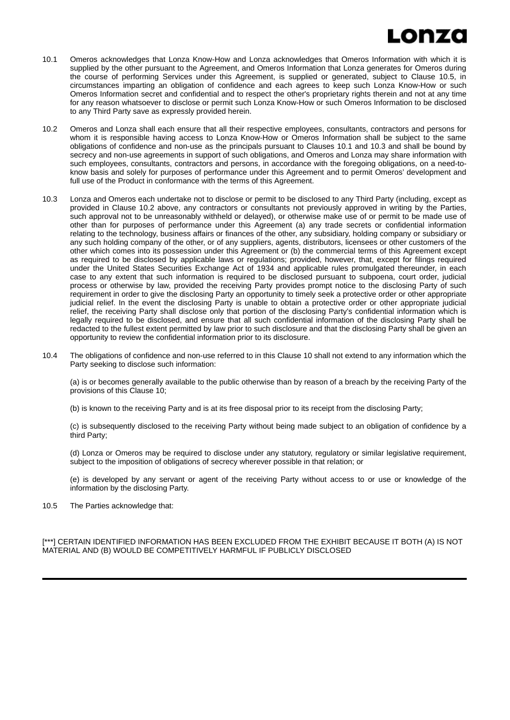## $\blacksquare$  $\blacksquare$

- 10.1 Omeros acknowledges that Lonza Know-How and Lonza acknowledges that Omeros Information with which it is supplied by the other pursuant to the Agreement, and Omeros Information that Lonza generates for Omeros during the course of performing Services under this Agreement, is supplied or generated, subject to Clause 10.5, in circumstances imparting an obligation of confidence and each agrees to keep such Lonza Know-How or such Omeros Information secret and confidential and to respect the other's proprietary rights therein and not at any time for any reason whatsoever to disclose or permit such Lonza Know-How or such Omeros Information to be disclosed to any Third Party save as expressly provided herein.
- 10.2 Omeros and Lonza shall each ensure that all their respective employees, consultants, contractors and persons for whom it is responsible having access to Lonza Know-How or Omeros Information shall be subject to the same obligations of confidence and non-use as the principals pursuant to Clauses 10.1 and 10.3 and shall be bound by secrecy and non-use agreements in support of such obligations, and Omeros and Lonza may share information with such employees, consultants, contractors and persons, in accordance with the foregoing obligations, on a need-toknow basis and solely for purposes of performance under this Agreement and to permit Omeros' development and full use of the Product in conformance with the terms of this Agreement.
- 10.3 Lonza and Omeros each undertake not to disclose or permit to be disclosed to any Third Party (including, except as provided in Clause 10.2 above, any contractors or consultants not previously approved in writing by the Parties, such approval not to be unreasonably withheld or delayed), or otherwise make use of or permit to be made use of other than for purposes of performance under this Agreement (a) any trade secrets or confidential information relating to the technology, business affairs or finances of the other, any subsidiary, holding company or subsidiary or any such holding company of the other, or of any suppliers, agents, distributors, licensees or other customers of the other which comes into its possession under this Agreement or (b) the commercial terms of this Agreement except as required to be disclosed by applicable laws or regulations; provided, however, that, except for filings required under the United States Securities Exchange Act of 1934 and applicable rules promulgated thereunder, in each case to any extent that such information is required to be disclosed pursuant to subpoena, court order, judicial process or otherwise by law, provided the receiving Party provides prompt notice to the disclosing Party of such requirement in order to give the disclosing Party an opportunity to timely seek a protective order or other appropriate judicial relief. In the event the disclosing Party is unable to obtain a protective order or other appropriate judicial relief, the receiving Party shall disclose only that portion of the disclosing Party's confidential information which is legally required to be disclosed, and ensure that all such confidential information of the disclosing Party shall be redacted to the fullest extent permitted by law prior to such disclosure and that the disclosing Party shall be given an opportunity to review the confidential information prior to its disclosure.
- 10.4 The obligations of confidence and non-use referred to in this Clause 10 shall not extend to any information which the Party seeking to disclose such information:

(a) is or becomes generally available to the public otherwise than by reason of a breach by the receiving Party of the provisions of this Clause 10;

(b) is known to the receiving Party and is at its free disposal prior to its receipt from the disclosing Party;

(c) is subsequently disclosed to the receiving Party without being made subject to an obligation of confidence by a third Party;

(d) Lonza or Omeros may be required to disclose under any statutory, regulatory or similar legislative requirement, subject to the imposition of obligations of secrecy wherever possible in that relation; or

(e) is developed by any servant or agent of the receiving Party without access to or use or knowledge of the information by the disclosing Party.

10.5 The Parties acknowledge that: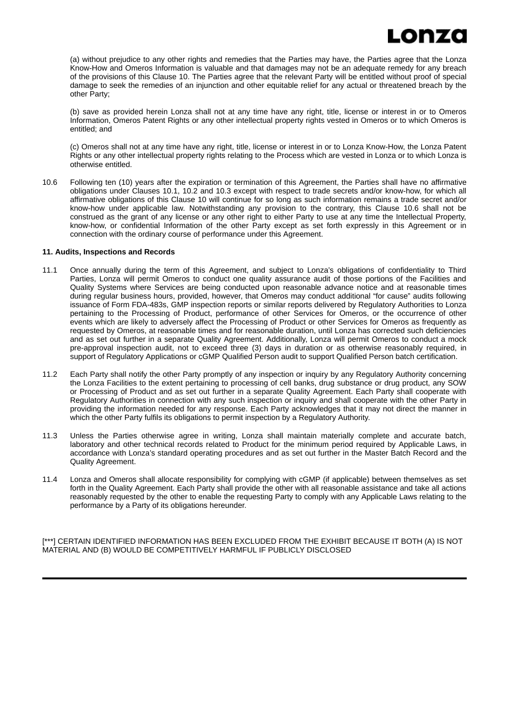## Lonzo

(a) without prejudice to any other rights and remedies that the Parties may have, the Parties agree that the Lonza Know-How and Omeros Information is valuable and that damages may not be an adequate remedy for any breach of the provisions of this Clause 10. The Parties agree that the relevant Party will be entitled without proof of special damage to seek the remedies of an injunction and other equitable relief for any actual or threatened breach by the other Party;

(b) save as provided herein Lonza shall not at any time have any right, title, license or interest in or to Omeros Information, Omeros Patent Rights or any other intellectual property rights vested in Omeros or to which Omeros is entitled; and

(c) Omeros shall not at any time have any right, title, license or interest in or to Lonza Know-How, the Lonza Patent Rights or any other intellectual property rights relating to the Process which are vested in Lonza or to which Lonza is otherwise entitled.

10.6 Following ten (10) years after the expiration or termination of this Agreement, the Parties shall have no affirmative obligations under Clauses 10.1, 10.2 and 10.3 except with respect to trade secrets and/or know-how, for which all affirmative obligations of this Clause 10 will continue for so long as such information remains a trade secret and/or know-how under applicable law. Notwithstanding any provision to the contrary, this Clause 10.6 shall not be construed as the grant of any license or any other right to either Party to use at any time the Intellectual Property, know-how, or confidential Information of the other Party except as set forth expressly in this Agreement or in connection with the ordinary course of performance under this Agreement.

#### **11. Audits, Inspections and Records**

- 11.1 Once annually during the term of this Agreement, and subject to Lonza's obligations of confidentiality to Third Parties, Lonza will permit Omeros to conduct one quality assurance audit of those portions of the Facilities and Quality Systems where Services are being conducted upon reasonable advance notice and at reasonable times during regular business hours, provided, however, that Omeros may conduct additional "for cause" audits following issuance of Form FDA-483s, GMP inspection reports or similar reports delivered by Regulatory Authorities to Lonza pertaining to the Processing of Product, performance of other Services for Omeros, or the occurrence of other events which are likely to adversely affect the Processing of Product or other Services for Omeros as frequently as requested by Omeros, at reasonable times and for reasonable duration, until Lonza has corrected such deficiencies and as set out further in a separate Quality Agreement. Additionally, Lonza will permit Omeros to conduct a mock pre-approval inspection audit, not to exceed three (3) days in duration or as otherwise reasonably required, in support of Regulatory Applications or cGMP Qualified Person audit to support Qualified Person batch certification.
- 11.2 Each Party shall notify the other Party promptly of any inspection or inquiry by any Regulatory Authority concerning the Lonza Facilities to the extent pertaining to processing of cell banks, drug substance or drug product, any SOW or Processing of Product and as set out further in a separate Quality Agreement. Each Party shall cooperate with Regulatory Authorities in connection with any such inspection or inquiry and shall cooperate with the other Party in providing the information needed for any response. Each Party acknowledges that it may not direct the manner in which the other Party fulfils its obligations to permit inspection by a Regulatory Authority.
- 11.3 Unless the Parties otherwise agree in writing, Lonza shall maintain materially complete and accurate batch, laboratory and other technical records related to Product for the minimum period required by Applicable Laws, in accordance with Lonza's standard operating procedures and as set out further in the Master Batch Record and the Quality Agreement.
- 11.4 Lonza and Omeros shall allocate responsibility for complying with cGMP (if applicable) between themselves as set forth in the Quality Agreement. Each Party shall provide the other with all reasonable assistance and take all actions reasonably requested by the other to enable the requesting Party to comply with any Applicable Laws relating to the performance by a Party of its obligations hereunder.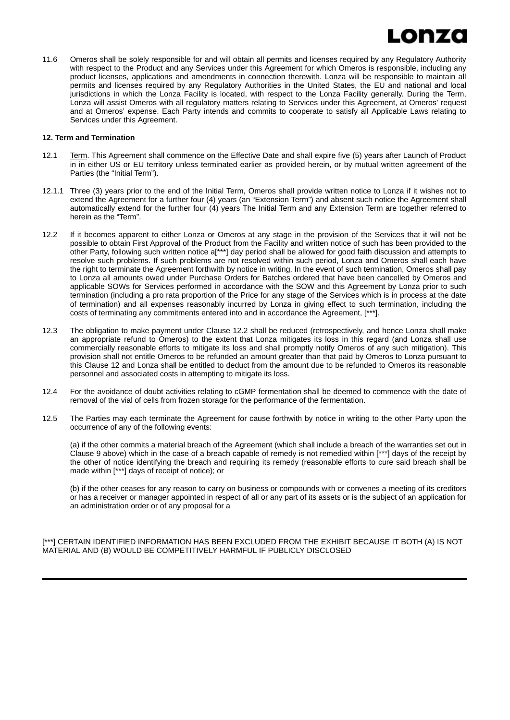

11.6 Omeros shall be solely responsible for and will obtain all permits and licenses required by any Regulatory Authority with respect to the Product and any Services under this Agreement for which Omeros is responsible, including any product licenses, applications and amendments in connection therewith. Lonza will be responsible to maintain all permits and licenses required by any Regulatory Authorities in the United States, the EU and national and local jurisdictions in which the Lonza Facility is located, with respect to the Lonza Facility generally. During the Term, Lonza will assist Omeros with all regulatory matters relating to Services under this Agreement, at Omeros' request and at Omeros' expense. Each Party intends and commits to cooperate to satisfy all Applicable Laws relating to Services under this Agreement.

## **12. Term and Termination**

- 12.1 Term. This Agreement shall commence on the Effective Date and shall expire five (5) years after Launch of Product in in either US or EU territory unless terminated earlier as provided herein, or by mutual written agreement of the Parties (the "Initial Term").
- 12.1.1 Three (3) years prior to the end of the Initial Term, Omeros shall provide written notice to Lonza if it wishes not to extend the Agreement for a further four (4) years (an "Extension Term") and absent such notice the Agreement shall automatically extend for the further four (4) years The Initial Term and any Extension Term are together referred to herein as the "Term".
- 12.2 If it becomes apparent to either Lonza or Omeros at any stage in the provision of the Services that it will not be possible to obtain First Approval of the Product from the Facility and written notice of such has been provided to the other Party, following such written notice a[\*\*\*] day period shall be allowed for good faith discussion and attempts to resolve such problems. If such problems are not resolved within such period, Lonza and Omeros shall each have the right to terminate the Agreement forthwith by notice in writing. In the event of such termination, Omeros shall pay to Lonza all amounts owed under Purchase Orders for Batches ordered that have been cancelled by Omeros and applicable SOWs for Services performed in accordance with the SOW and this Agreement by Lonza prior to such termination (including a pro rata proportion of the Price for any stage of the Services which is in process at the date of termination) and all expenses reasonably incurred by Lonza in giving effect to such termination, including the costs of terminating any commitments entered into and in accordance the Agreement, [\*\*\*].
- 12.3 The obligation to make payment under Clause 12.2 shall be reduced (retrospectively, and hence Lonza shall make an appropriate refund to Omeros) to the extent that Lonza mitigates its loss in this regard (and Lonza shall use commercially reasonable efforts to mitigate its loss and shall promptly notify Omeros of any such mitigation). This provision shall not entitle Omeros to be refunded an amount greater than that paid by Omeros to Lonza pursuant to this Clause 12 and Lonza shall be entitled to deduct from the amount due to be refunded to Omeros its reasonable personnel and associated costs in attempting to mitigate its loss.
- 12.4 For the avoidance of doubt activities relating to cGMP fermentation shall be deemed to commence with the date of removal of the vial of cells from frozen storage for the performance of the fermentation.
- 12.5 The Parties may each terminate the Agreement for cause forthwith by notice in writing to the other Party upon the occurrence of any of the following events:

(a) if the other commits a material breach of the Agreement (which shall include a breach of the warranties set out in Clause 9 above) which in the case of a breach capable of remedy is not remedied within [\*\*\*] days of the receipt by the other of notice identifying the breach and requiring its remedy (reasonable efforts to cure said breach shall be made within [\*\*\*] days of receipt of notice); or

(b) if the other ceases for any reason to carry on business or compounds with or convenes a meeting of its creditors or has a receiver or manager appointed in respect of all or any part of its assets or is the subject of an application for an administration order or of any proposal for a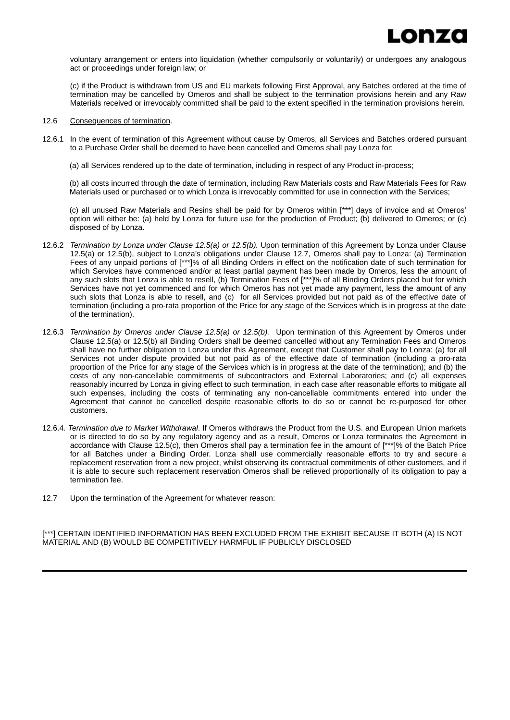

voluntary arrangement or enters into liquidation (whether compulsorily or voluntarily) or undergoes any analogous act or proceedings under foreign law; or

(c) if the Product is withdrawn from US and EU markets following First Approval, any Batches ordered at the time of termination may be cancelled by Omeros and shall be subject to the termination provisions herein and any Raw Materials received or irrevocably committed shall be paid to the extent specified in the termination provisions herein.

#### 12.6 Consequences of termination.

- 12.6.1 In the event of termination of this Agreement without cause by Omeros, all Services and Batches ordered pursuant to a Purchase Order shall be deemed to have been cancelled and Omeros shall pay Lonza for:
	- (a) all Services rendered up to the date of termination, including in respect of any Product in-process;

(b) all costs incurred through the date of termination, including Raw Materials costs and Raw Materials Fees for Raw Materials used or purchased or to which Lonza is irrevocably committed for use in connection with the Services;

(c) all unused Raw Materials and Resins shall be paid for by Omeros within [\*\*\*] days of invoice and at Omeros' option will either be: (a) held by Lonza for future use for the production of Product; (b) delivered to Omeros; or (c) disposed of by Lonza.

- 12.6.2 *Termination by Lonza under Clause 12.5(a) or 12.5(b).* Upon termination of this Agreement by Lonza under Clause 12.5(a) or 12.5(b), subject to Lonza's obligations under Clause 12.7, Omeros shall pay to Lonza: (a) Termination Fees of any unpaid portions of [\*\*\*]% of all Binding Orders in effect on the notification date of such termination for which Services have commenced and/or at least partial payment has been made by Omeros, less the amount of any such slots that Lonza is able to resell, (b) Termination Fees of [\*\*\*]% of all Binding Orders placed but for which Services have not yet commenced and for which Omeros has not yet made any payment, less the amount of any such slots that Lonza is able to resell, and (c) for all Services provided but not paid as of the effective date of termination (including a pro-rata proportion of the Price for any stage of the Services which is in progress at the date of the termination).
- 12.6.3 *Termination by Omeros under Clause 12.5(a) or 12.5(b).* Upon termination of this Agreement by Omeros under Clause 12.5(a) or 12.5(b) all Binding Orders shall be deemed cancelled without any Termination Fees and Omeros shall have no further obligation to Lonza under this Agreement, except that Customer shall pay to Lonza: (a) for all Services not under dispute provided but not paid as of the effective date of termination (including a pro-rata proportion of the Price for any stage of the Services which is in progress at the date of the termination); and (b) the costs of any non-cancellable commitments of subcontractors and External Laboratories; and (c) all expenses reasonably incurred by Lonza in giving effect to such termination, in each case after reasonable efforts to mitigate all such expenses, including the costs of terminating any non-cancellable commitments entered into under the Agreement that cannot be cancelled despite reasonable efforts to do so or cannot be re-purposed for other customers.
- 12.6.4*. Termination due to Market Withdrawal*. If Omeros withdraws the Product from the U.S. and European Union markets or is directed to do so by any regulatory agency and as a result, Omeros or Lonza terminates the Agreement in accordance with Clause 12.5(c), then Omeros shall pay a termination fee in the amount of [\*\*\*]% of the Batch Price for all Batches under a Binding Order. Lonza shall use commercially reasonable efforts to try and secure a replacement reservation from a new project, whilst observing its contractual commitments of other customers, and if it is able to secure such replacement reservation Omeros shall be relieved proportionally of its obligation to pay a termination fee.
- 12.7 Upon the termination of the Agreement for whatever reason: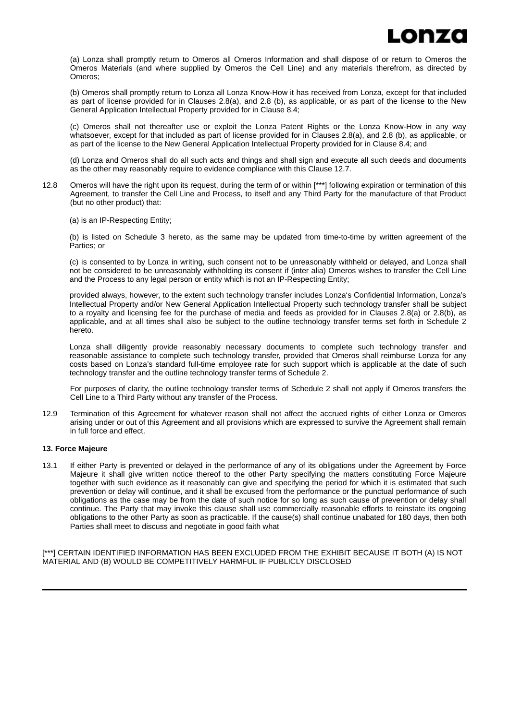(a) Lonza shall promptly return to Omeros all Omeros Information and shall dispose of or return to Omeros the Omeros Materials (and where supplied by Omeros the Cell Line) and any materials therefrom, as directed by Omeros;

(b) Omeros shall promptly return to Lonza all Lonza Know-How it has received from Lonza, except for that included as part of license provided for in Clauses 2.8(a), and 2.8 (b), as applicable, or as part of the license to the New General Application Intellectual Property provided for in Clause 8.4;

(c) Omeros shall not thereafter use or exploit the Lonza Patent Rights or the Lonza Know-How in any way whatsoever, except for that included as part of license provided for in Clauses 2.8(a), and 2.8 (b), as applicable, or as part of the license to the New General Application Intellectual Property provided for in Clause 8.4; and

(d) Lonza and Omeros shall do all such acts and things and shall sign and execute all such deeds and documents as the other may reasonably require to evidence compliance with this Clause 12.7.

- 12.8 Omeros will have the right upon its request, during the term of or within [\*\*\*] following expiration or termination of this Agreement, to transfer the Cell Line and Process, to itself and any Third Party for the manufacture of that Product (but no other product) that:
	- (a) is an IP-Respecting Entity;

(b) is listed on Schedule 3 hereto, as the same may be updated from time-to-time by written agreement of the Parties; or

(c) is consented to by Lonza in writing, such consent not to be unreasonably withheld or delayed, and Lonza shall not be considered to be unreasonably withholding its consent if (inter alia) Omeros wishes to transfer the Cell Line and the Process to any legal person or entity which is not an IP-Respecting Entity;

provided always, however, to the extent such technology transfer includes Lonza's Confidential Information, Lonza's Intellectual Property and/or New General Application Intellectual Property such technology transfer shall be subject to a royalty and licensing fee for the purchase of media and feeds as provided for in Clauses 2.8(a) or 2.8(b), as applicable, and at all times shall also be subject to the outline technology transfer terms set forth in Schedule 2 hereto.

Lonza shall diligently provide reasonably necessary documents to complete such technology transfer and reasonable assistance to complete such technology transfer, provided that Omeros shall reimburse Lonza for any costs based on Lonza's standard full-time employee rate for such support which is applicable at the date of such technology transfer and the outline technology transfer terms of Schedule 2.

For purposes of clarity, the outline technology transfer terms of Schedule 2 shall not apply if Omeros transfers the Cell Line to a Third Party without any transfer of the Process.

12.9 Termination of this Agreement for whatever reason shall not affect the accrued rights of either Lonza or Omeros arising under or out of this Agreement and all provisions which are expressed to survive the Agreement shall remain in full force and effect.

#### **13. Force Majeure**

13.1 If either Party is prevented or delayed in the performance of any of its obligations under the Agreement by Force Majeure it shall give written notice thereof to the other Party specifying the matters constituting Force Majeure together with such evidence as it reasonably can give and specifying the period for which it is estimated that such prevention or delay will continue, and it shall be excused from the performance or the punctual performance of such obligations as the case may be from the date of such notice for so long as such cause of prevention or delay shall continue. The Party that may invoke this clause shall use commercially reasonable efforts to reinstate its ongoing obligations to the other Party as soon as practicable. If the cause(s) shall continue unabated for 180 days, then both Parties shall meet to discuss and negotiate in good faith what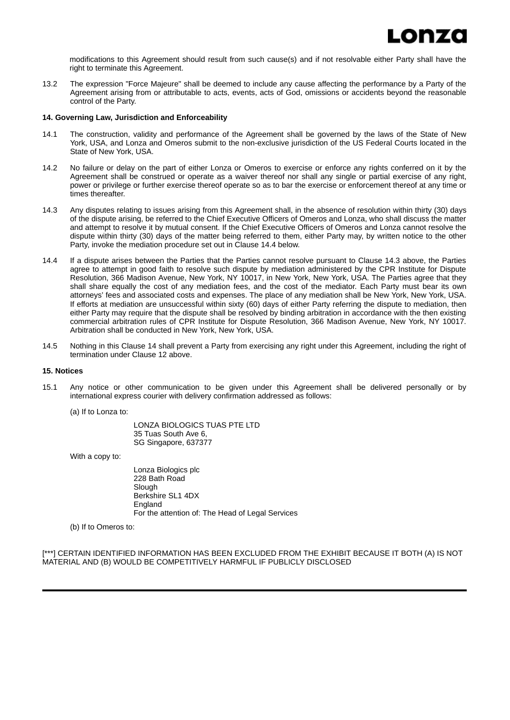

modifications to this Agreement should result from such cause(s) and if not resolvable either Party shall have the right to terminate this Agreement.

13.2 The expression "Force Majeure" shall be deemed to include any cause affecting the performance by a Party of the Agreement arising from or attributable to acts, events, acts of God, omissions or accidents beyond the reasonable control of the Party.

#### **14. Governing Law, Jurisdiction and Enforceability**

- 14.1 The construction, validity and performance of the Agreement shall be governed by the laws of the State of New York, USA, and Lonza and Omeros submit to the non-exclusive jurisdiction of the US Federal Courts located in the State of New York, USA.
- 14.2 No failure or delay on the part of either Lonza or Omeros to exercise or enforce any rights conferred on it by the Agreement shall be construed or operate as a waiver thereof nor shall any single or partial exercise of any right, power or privilege or further exercise thereof operate so as to bar the exercise or enforcement thereof at any time or times thereafter.
- 14.3 Any disputes relating to issues arising from this Agreement shall, in the absence of resolution within thirty (30) days of the dispute arising, be referred to the Chief Executive Officers of Omeros and Lonza, who shall discuss the matter and attempt to resolve it by mutual consent. If the Chief Executive Officers of Omeros and Lonza cannot resolve the dispute within thirty (30) days of the matter being referred to them, either Party may, by written notice to the other Party, invoke the mediation procedure set out in Clause 14.4 below.
- 14.4 If a dispute arises between the Parties that the Parties cannot resolve pursuant to Clause 14.3 above, the Parties agree to attempt in good faith to resolve such dispute by mediation administered by the CPR Institute for Dispute Resolution, 366 Madison Avenue, New York, NY 10017, in New York, New York, USA. The Parties agree that they shall share equally the cost of any mediation fees, and the cost of the mediator. Each Party must bear its own attorneys' fees and associated costs and expenses. The place of any mediation shall be New York, New York, USA. If efforts at mediation are unsuccessful within sixty (60) days of either Party referring the dispute to mediation, then either Party may require that the dispute shall be resolved by binding arbitration in accordance with the then existing commercial arbitration rules of CPR Institute for Dispute Resolution, 366 Madison Avenue, New York, NY 10017. Arbitration shall be conducted in New York, New York, USA.
- 14.5 Nothing in this Clause 14 shall prevent a Party from exercising any right under this Agreement, including the right of termination under Clause 12 above.

#### **15. Notices**

15.1 Any notice or other communication to be given under this Agreement shall be delivered personally or by international express courier with delivery confirmation addressed as follows:

(a) If to Lonza to:

LONZA BIOLOGICS TUAS PTE LTD 35 Tuas South Ave 6, SG Singapore, 637377

With a copy to:

Lonza Biologics plc 228 Bath Road Slough Berkshire SL1 4DX England For the attention of: The Head of Legal Services

(b) If to Omeros to: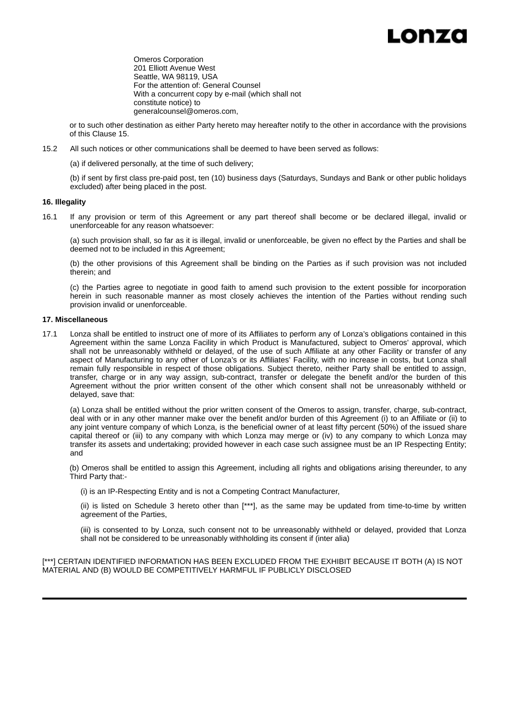## Lonzo

Omeros Corporation 201 Elliott Avenue West Seattle, WA 98119, USA For the attention of: General Counsel With a concurrent copy by e-mail (which shall not constitute notice) to generalcounsel@omeros.com,

or to such other destination as either Party hereto may hereafter notify to the other in accordance with the provisions of this Clause 15.

- 15.2 All such notices or other communications shall be deemed to have been served as follows:
	- (a) if delivered personally, at the time of such delivery;

(b) if sent by first class pre-paid post, ten (10) business days (Saturdays, Sundays and Bank or other public holidays excluded) after being placed in the post.

#### **16. Illegality**

16.1 If any provision or term of this Agreement or any part thereof shall become or be declared illegal, invalid or unenforceable for any reason whatsoever:

(a) such provision shall, so far as it is illegal, invalid or unenforceable, be given no effect by the Parties and shall be deemed not to be included in this Agreement;

(b) the other provisions of this Agreement shall be binding on the Parties as if such provision was not included therein; and

(c) the Parties agree to negotiate in good faith to amend such provision to the extent possible for incorporation herein in such reasonable manner as most closely achieves the intention of the Parties without rending such provision invalid or unenforceable.

#### **17. Miscellaneous**

17.1 Lonza shall be entitled to instruct one of more of its Affiliates to perform any of Lonza's obligations contained in this Agreement within the same Lonza Facility in which Product is Manufactured, subject to Omeros' approval, which shall not be unreasonably withheld or delayed, of the use of such Affiliate at any other Facility or transfer of any aspect of Manufacturing to any other of Lonza's or its Affiliates' Facility, with no increase in costs, but Lonza shall remain fully responsible in respect of those obligations. Subject thereto, neither Party shall be entitled to assign, transfer, charge or in any way assign, sub-contract, transfer or delegate the benefit and/or the burden of this Agreement without the prior written consent of the other which consent shall not be unreasonably withheld or delayed, save that:

(a) Lonza shall be entitled without the prior written consent of the Omeros to assign, transfer, charge, sub-contract, deal with or in any other manner make over the benefit and/or burden of this Agreement (i) to an Affiliate or (ii) to any joint venture company of which Lonza, is the beneficial owner of at least fifty percent (50%) of the issued share capital thereof or (iii) to any company with which Lonza may merge or (iv) to any company to which Lonza may transfer its assets and undertaking; provided however in each case such assignee must be an IP Respecting Entity; and

(b) Omeros shall be entitled to assign this Agreement, including all rights and obligations arising thereunder, to any Third Party that:-

(i) is an IP-Respecting Entity and is not a Competing Contract Manufacturer,

(ii) is listed on Schedule 3 hereto other than [\*\*\*], as the same may be updated from time-to-time by written agreement of the Parties,

(iii) is consented to by Lonza, such consent not to be unreasonably withheld or delayed, provided that Lonza shall not be considered to be unreasonably withholding its consent if (inter alia)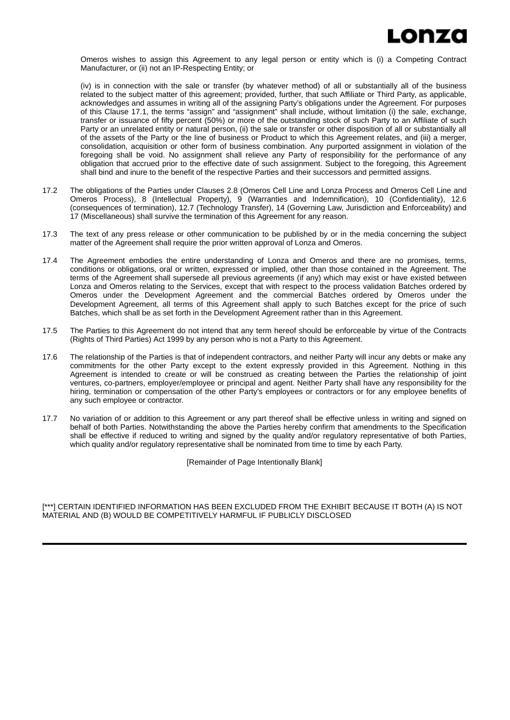

Omeros wishes to assign this Agreement to any legal person or entity which is (i) a Competing Contract Manufacturer, or (ii) not an IP-Respecting Entity; or

(iv) is in connection with the sale or transfer (by whatever method) of all or substantially all of the business related to the subject matter of this agreement; provided, further, that such Affiliate or Third Party, as applicable, acknowledges and assumes in writing all of the assigning Party's obligations under the Agreement. For purposes of this Clause 17.1, the terms "assign" and "assignment" shall include, without limitation (i) the sale, exchange, transfer or issuance of fifty percent (50%) or more of the outstanding stock of such Party to an Affiliate of such Party or an unrelated entity or natural person, (ii) the sale or transfer or other disposition of all or substantially all of the assets of the Party or the line of business or Product to which this Agreement relates, and (iii) a merger, consolidation, acquisition or other form of business combination. Any purported assignment in violation of the foregoing shall be void. No assignment shall relieve any Party of responsibility for the performance of any obligation that accrued prior to the effective date of such assignment. Subject to the foregoing, this Agreement shall bind and inure to the benefit of the respective Parties and their successors and permitted assigns.

- 17.2 The obligations of the Parties under Clauses 2.8 (Omeros Cell Line and Lonza Process and Omeros Cell Line and Omeros Process), 8 (Intellectual Property), 9 (Warranties and Indemnification), 10 (Confidentiality), 12.6 (consequences of termination), 12.7 (Technology Transfer), 14 (Governing Law, Jurisdiction and Enforceability) and 17 (Miscellaneous) shall survive the termination of this Agreement for any reason.
- 17.3 The text of any press release or other communication to be published by or in the media concerning the subject matter of the Agreement shall require the prior written approval of Lonza and Omeros.
- 17.4 The Agreement embodies the entire understanding of Lonza and Omeros and there are no promises, terms, conditions or obligations, oral or written, expressed or implied, other than those contained in the Agreement. The terms of the Agreement shall supersede all previous agreements (if any) which may exist or have existed between Lonza and Omeros relating to the Services, except that with respect to the process validation Batches ordered by Omeros under the Development Agreement and the commercial Batches ordered by Omeros under the Development Agreement, all terms of this Agreement shall apply to such Batches except for the price of such Batches, which shall be as set forth in the Development Agreement rather than in this Agreement.
- 17.5 The Parties to this Agreement do not intend that any term hereof should be enforceable by virtue of the Contracts (Rights of Third Parties) Act 1999 by any person who is not a Party to this Agreement.
- 17.6 The relationship of the Parties is that of independent contractors, and neither Party will incur any debts or make any commitments for the other Party except to the extent expressly provided in this Agreement. Nothing in this Agreement is intended to create or will be construed as creating between the Parties the relationship of joint ventures, co-partners, employer/employee or principal and agent. Neither Party shall have any responsibility for the hiring, termination or compensation of the other Party's employees or contractors or for any employee benefits of any such employee or contractor.
- 17.7 No variation of or addition to this Agreement or any part thereof shall be effective unless in writing and signed on behalf of both Parties. Notwithstanding the above the Parties hereby confirm that amendments to the Specification shall be effective if reduced to writing and signed by the quality and/or regulatory representative of both Parties, which quality and/or regulatory representative shall be nominated from time to time by each Party.

[Remainder of Page Intentionally Blank]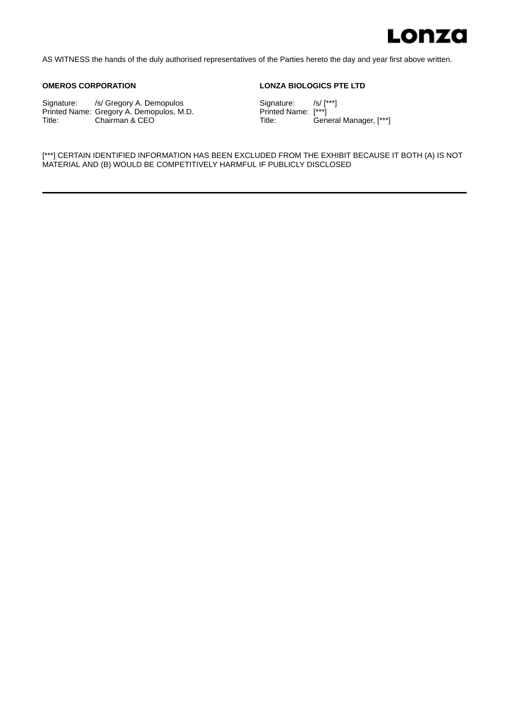

AS WITNESS the hands of the duly authorised representatives of the Parties hereto the day and year first above written.

Signature: /s/ Gregory A. Demopulos / Signature: /s/ [\*\*\*]<br>Printed Name: Gregory A. Demopulos, M.D. Printed Name: [\*\*\*] Printed Name: Gregory A. Demopulos, M.D.<br>Title: Chairman & CEO Title: Chairman & CEO Title:

## **OMEROS CORPORATION LONZA BIOLOGICS PTE LTD**

General Manager, [\*\*\*]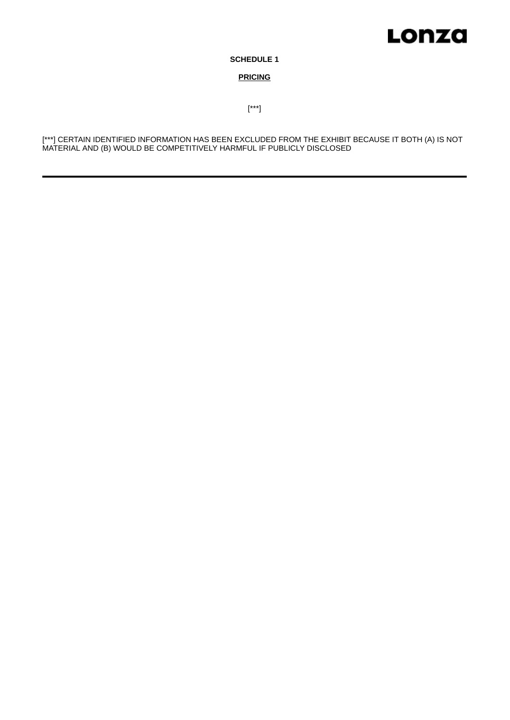

**SCHEDULE 1**

**PRICING**

[\*\*\*]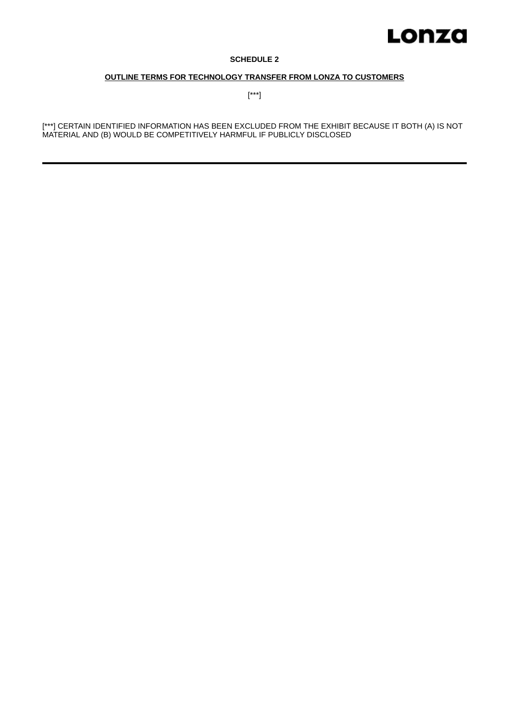

## **SCHEDULE 2**

## **OUTLINE TERMS FOR TECHNOLOGY TRANSFER FROM LONZA TO CUSTOMERS**

[\*\*\*]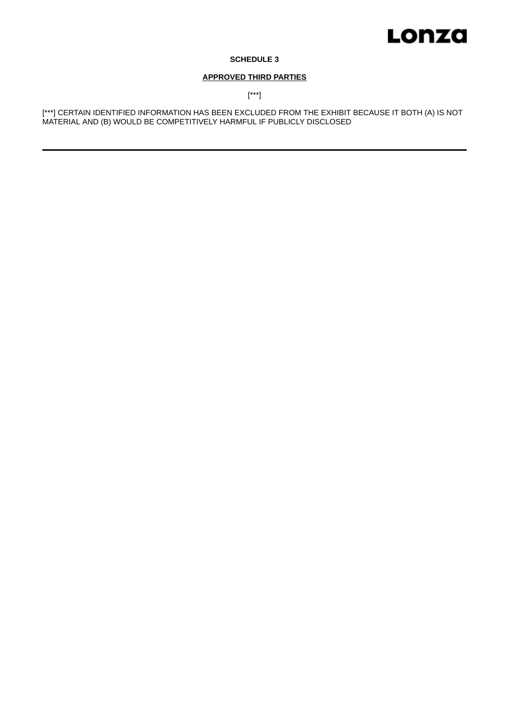

#### **SCHEDULE 3**

## **APPROVED THIRD PARTIES**

[\*\*\*]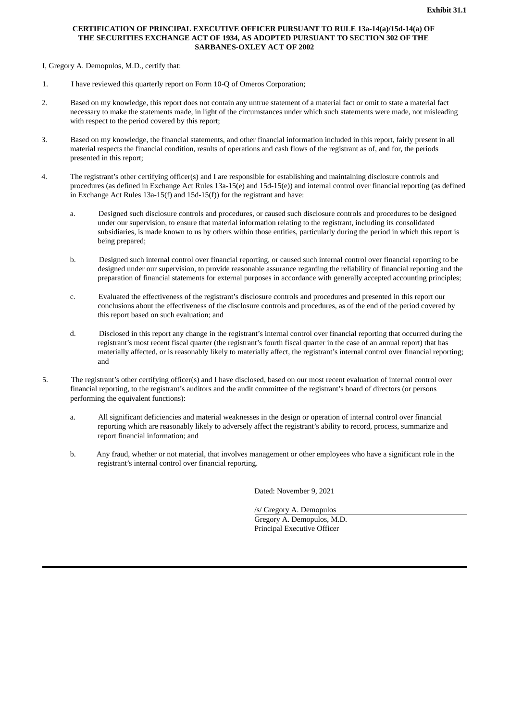#### <span id="page-66-0"></span>**CERTIFICATION OF PRINCIPAL EXECUTIVE OFFICER PURSUANT TO RULE 13a-14(a)/15d-14(a) OF THE SECURITIES EXCHANGE ACT OF 1934, AS ADOPTED PURSUANT TO SECTION 302 OF THE SARBANES-OXLEY ACT OF 2002**

I, Gregory A. Demopulos, M.D., certify that:

- 1. I have reviewed this quarterly report on Form 10-Q of Omeros Corporation;
- 2. Based on my knowledge, this report does not contain any untrue statement of a material fact or omit to state a material fact necessary to make the statements made, in light of the circumstances under which such statements were made, not misleading with respect to the period covered by this report;
- 3. Based on my knowledge, the financial statements, and other financial information included in this report, fairly present in all material respects the financial condition, results of operations and cash flows of the registrant as of, and for, the periods presented in this report;
- 4. The registrant's other certifying officer(s) and I are responsible for establishing and maintaining disclosure controls and procedures (as defined in Exchange Act Rules 13a-15(e) and 15d-15(e)) and internal control over financial reporting (as defined in Exchange Act Rules 13a-15(f) and 15d-15(f)) for the registrant and have:
	- a. Designed such disclosure controls and procedures, or caused such disclosure controls and procedures to be designed under our supervision, to ensure that material information relating to the registrant, including its consolidated subsidiaries, is made known to us by others within those entities, particularly during the period in which this report is being prepared;
	- b. Designed such internal control over financial reporting, or caused such internal control over financial reporting to be designed under our supervision, to provide reasonable assurance regarding the reliability of financial reporting and the preparation of financial statements for external purposes in accordance with generally accepted accounting principles;
	- c. Evaluated the effectiveness of the registrant's disclosure controls and procedures and presented in this report our conclusions about the effectiveness of the disclosure controls and procedures, as of the end of the period covered by this report based on such evaluation; and
	- d. Disclosed in this report any change in the registrant's internal control over financial reporting that occurred during the registrant's most recent fiscal quarter (the registrant's fourth fiscal quarter in the case of an annual report) that has materially affected, or is reasonably likely to materially affect, the registrant's internal control over financial reporting; and
- 5. The registrant's other certifying officer(s) and I have disclosed, based on our most recent evaluation of internal control over financial reporting, to the registrant's auditors and the audit committee of the registrant's board of directors (or persons performing the equivalent functions):
	- a. All significant deficiencies and material weaknesses in the design or operation of internal control over financial reporting which are reasonably likely to adversely affect the registrant's ability to record, process, summarize and report financial information; and
	- b. Any fraud, whether or not material, that involves management or other employees who have a significant role in the registrant's internal control over financial reporting.

Dated: November 9, 2021

/s/ Gregory A. Demopulos Gregory A. Demopulos, M.D. Principal Executive Officer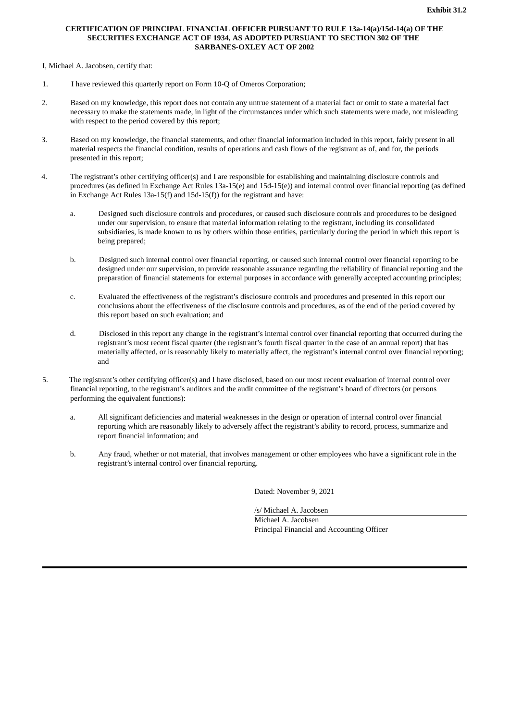#### <span id="page-67-0"></span>**CERTIFICATION OF PRINCIPAL FINANCIAL OFFICER PURSUANT TO RULE 13a-14(a)/15d-14(a) OF THE SECURITIES EXCHANGE ACT OF 1934, AS ADOPTED PURSUANT TO SECTION 302 OF THE SARBANES-OXLEY ACT OF 2002**

I, Michael A. Jacobsen, certify that:

- 1. I have reviewed this quarterly report on Form 10-Q of Omeros Corporation;
- 2. Based on my knowledge, this report does not contain any untrue statement of a material fact or omit to state a material fact necessary to make the statements made, in light of the circumstances under which such statements were made, not misleading with respect to the period covered by this report;
- 3. Based on my knowledge, the financial statements, and other financial information included in this report, fairly present in all material respects the financial condition, results of operations and cash flows of the registrant as of, and for, the periods presented in this report;
- 4. The registrant's other certifying officer(s) and I are responsible for establishing and maintaining disclosure controls and procedures (as defined in Exchange Act Rules 13a-15(e) and 15d-15(e)) and internal control over financial reporting (as defined in Exchange Act Rules 13a-15(f) and 15d-15(f)) for the registrant and have:
	- a. Designed such disclosure controls and procedures, or caused such disclosure controls and procedures to be designed under our supervision, to ensure that material information relating to the registrant, including its consolidated subsidiaries, is made known to us by others within those entities, particularly during the period in which this report is being prepared;
	- b. Designed such internal control over financial reporting, or caused such internal control over financial reporting to be designed under our supervision, to provide reasonable assurance regarding the reliability of financial reporting and the preparation of financial statements for external purposes in accordance with generally accepted accounting principles;
	- c. Evaluated the effectiveness of the registrant's disclosure controls and procedures and presented in this report our conclusions about the effectiveness of the disclosure controls and procedures, as of the end of the period covered by this report based on such evaluation; and
	- d. Disclosed in this report any change in the registrant's internal control over financial reporting that occurred during the registrant's most recent fiscal quarter (the registrant's fourth fiscal quarter in the case of an annual report) that has materially affected, or is reasonably likely to materially affect, the registrant's internal control over financial reporting; and
- 5. The registrant's other certifying officer(s) and I have disclosed, based on our most recent evaluation of internal control over financial reporting, to the registrant's auditors and the audit committee of the registrant's board of directors (or persons performing the equivalent functions):
	- a. All significant deficiencies and material weaknesses in the design or operation of internal control over financial reporting which are reasonably likely to adversely affect the registrant's ability to record, process, summarize and report financial information; and
	- b. Any fraud, whether or not material, that involves management or other employees who have a significant role in the registrant's internal control over financial reporting.

Dated: November 9, 2021

/s/ Michael A. Jacobsen

Michael A. Jacobsen Principal Financial and Accounting Officer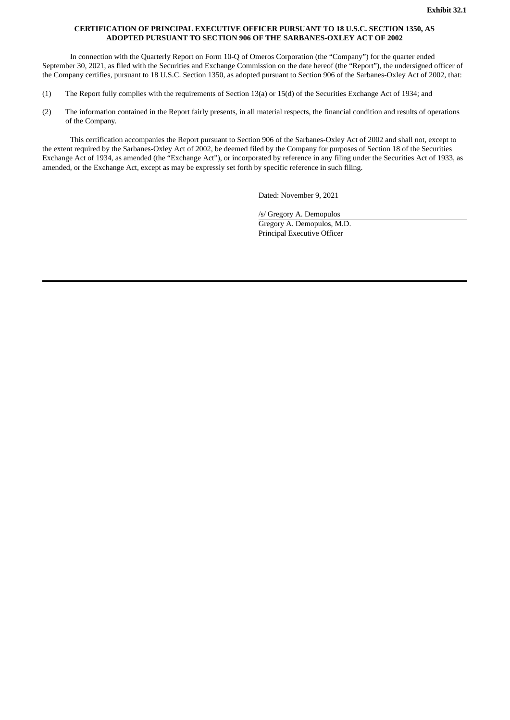#### **CERTIFICATION OF PRINCIPAL EXECUTIVE OFFICER PURSUANT TO 18 U.S.C. SECTION 1350, AS ADOPTED PURSUANT TO SECTION 906 OF THE SARBANES-OXLEY ACT OF 2002**

<span id="page-68-0"></span>In connection with the Quarterly Report on Form 10-Q of Omeros Corporation (the "Company") for the quarter ended September 30, 2021, as filed with the Securities and Exchange Commission on the date hereof (the "Report"), the undersigned officer of the Company certifies, pursuant to 18 U.S.C. Section 1350, as adopted pursuant to Section 906 of the Sarbanes-Oxley Act of 2002, that:

- (1) The Report fully complies with the requirements of Section 13(a) or 15(d) of the Securities Exchange Act of 1934; and
- (2) The information contained in the Report fairly presents, in all material respects, the financial condition and results of operations of the Company.

This certification accompanies the Report pursuant to Section 906 of the Sarbanes-Oxley Act of 2002 and shall not, except to the extent required by the Sarbanes-Oxley Act of 2002, be deemed filed by the Company for purposes of Section 18 of the Securities Exchange Act of 1934, as amended (the "Exchange Act"), or incorporated by reference in any filing under the Securities Act of 1933, as amended, or the Exchange Act, except as may be expressly set forth by specific reference in such filing.

Dated: November 9, 2021

/s/ Gregory A. Demopulos

Gregory A. Demopulos, M.D. Principal Executive Officer